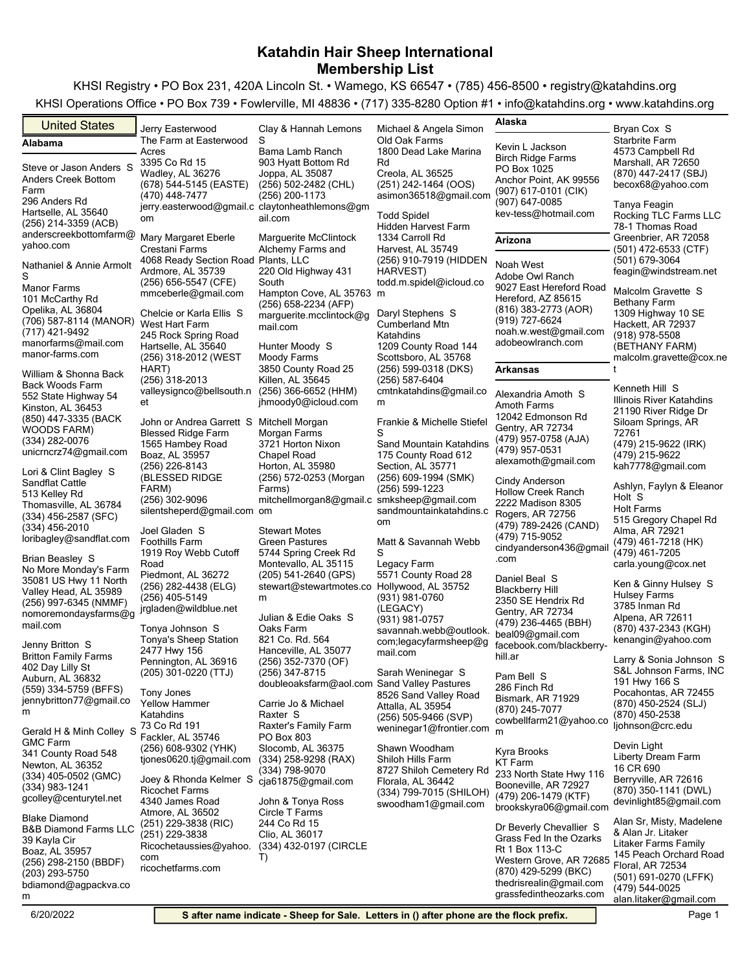KHSI Registry • PO Box 231, 420A Lincoln St. • Wamego, KS 66547 • (785) 456-8500 • registry@katahdins.org KHSI Operations Office • PO Box 739 • Fowlerville, MI 48836 • (717) 335-8280 Option #1 • info@katahdins.org • www.katahdins.org

| $\frac{1}{2}$ . The conduction of the contract of the conduction $\frac{1}{2}$ and $\frac{1}{2}$ and $\frac{1}{2}$ and $\frac{1}{2}$ and $\frac{1}{2}$ and $\frac{1}{2}$ and $\frac{1}{2}$ and $\frac{1}{2}$ and $\frac{1}{2}$ and $\frac{1}{2}$ and $\frac{1}{2}$ and $\frac{1}{$ |                                                                       |                                             |                                              |                                              | $\cdots$                                       |
|------------------------------------------------------------------------------------------------------------------------------------------------------------------------------------------------------------------------------------------------------------------------------------|-----------------------------------------------------------------------|---------------------------------------------|----------------------------------------------|----------------------------------------------|------------------------------------------------|
| <b>United States</b>                                                                                                                                                                                                                                                               | Jerry Easterwood                                                      | Clay & Hannah Lemons                        | Michael & Angela Simon                       | Alaska                                       | Bryan Cox S                                    |
| Alabama                                                                                                                                                                                                                                                                            | The Farm at Easterwood                                                | S                                           | Old Oak Farms                                | Kevin L Jackson                              | Starbrite Farm                                 |
|                                                                                                                                                                                                                                                                                    | Acres                                                                 | Bama Lamb Ranch                             | 1800 Dead Lake Marina                        | <b>Birch Ridge Farms</b>                     | 4573 Campbell Rd                               |
| Steve or Jason Anders S                                                                                                                                                                                                                                                            | 3395 Co Rd 15<br>Wadley, AL 36276                                     | 903 Hyatt Bottom Rd<br>Joppa, AL 35087      | Rd<br>Creola, AL 36525                       | PO Box 1025                                  | Marshall, AR 72650<br>(870) 447-2417 (SBJ)     |
| Anders Creek Bottom                                                                                                                                                                                                                                                                | (678) 544-5145 (EASTE)                                                | (256) 502-2482 (CHL)                        | (251) 242-1464 (OOS)                         | Anchor Point, AK 99556                       | becox68@yahoo.com                              |
| Farm                                                                                                                                                                                                                                                                               | (470) 448-7477                                                        | (256) 200-1173                              | asimon36518@gmail.com                        | (907) 617-0101 (CIK)                         |                                                |
| 296 Anders Rd                                                                                                                                                                                                                                                                      | jerry.easterwood@gmail.c claytonheathlemons@gm                        |                                             |                                              | (907) 647-0085                               | Tanya Feagin                                   |
| Hartselle, AL 35640<br>(256) 214-3359 (ACB)                                                                                                                                                                                                                                        | om                                                                    | ail.com                                     | <b>Todd Spidel</b>                           | kev-tess@hotmail.com                         | Rocking TLC Farms LLC                          |
| anderscreekbottomfarm@                                                                                                                                                                                                                                                             |                                                                       |                                             | <b>Hidden Harvest Farm</b>                   |                                              | 78-1 Thomas Road                               |
| yahoo.com                                                                                                                                                                                                                                                                          | Mary Margaret Eberle                                                  | Marguerite McClintock                       | 1334 Carroll Rd                              | Arizona                                      | Greenbrier, AR 72058                           |
|                                                                                                                                                                                                                                                                                    | Crestani Farms<br>4068 Ready Section Road Plants, LLC                 | Alchemy Farms and                           | Harvest, AL 35749<br>(256) 910-7919 (HIDDEN  |                                              | $(501)$ 472-6533 (CTF)<br>(501) 679-3064       |
| Nathaniel & Annie Armolt                                                                                                                                                                                                                                                           | Ardmore, AL 35739                                                     | 220 Old Highway 431                         | HARVEST)                                     | Noah West                                    | feagin@windstream.net                          |
| S                                                                                                                                                                                                                                                                                  | (256) 656-5547 (CFE)                                                  | South                                       | todd.m.spidel@icloud.co                      | Adobe Owl Ranch                              |                                                |
| <b>Manor Farms</b>                                                                                                                                                                                                                                                                 | mmceberle@gmail.com                                                   | Hampton Cove, AL 35763 m                    |                                              | 9027 East Hereford Road                      | Malcolm Gravette S                             |
| 101 McCarthy Rd<br>Opelika, AL 36804                                                                                                                                                                                                                                               |                                                                       | (256) 658-2234 (AFP)                        |                                              | Hereford, AZ 85615<br>(816) 383-2773 (AOR)   | <b>Bethany Farm</b>                            |
| (706) 587-8114 (MANOR)                                                                                                                                                                                                                                                             | Chelcie or Karla Ellis S                                              | marguerite.mcclintock@g                     | Daryl Stephens S                             | (919) 727-6624                               | 1309 Highway 10 SE                             |
| (717) 421-9492                                                                                                                                                                                                                                                                     | West Hart Farm<br>245 Rock Spring Road                                | mail.com                                    | <b>Cumberland Mtn</b><br>Katahdins           | noah.w.west@gmail.com                        | Hackett, AR 72937<br>$(918)$ 978-5508          |
| manorfarms@mail.com                                                                                                                                                                                                                                                                | Hartselle, AL 35640                                                   | Hunter Moody S                              | 1209 County Road 144                         | adobeowlranch.com                            | (BETHANY FARM)                                 |
| manor-farms.com                                                                                                                                                                                                                                                                    | (256) 318-2012 (WEST                                                  | Moody Farms                                 | Scottsboro, AL 35768                         |                                              | malcolm.gravette@cox.ne                        |
|                                                                                                                                                                                                                                                                                    | HART)                                                                 | 3850 County Road 25                         | (256) 599-0318 (DKS)                         | <b>Arkansas</b>                              |                                                |
| William & Shonna Back                                                                                                                                                                                                                                                              | (256) 318-2013                                                        | Killen, AL 35645                            | (256) 587-6404                               |                                              |                                                |
| <b>Back Woods Farm</b><br>552 State Highway 54                                                                                                                                                                                                                                     | valleysignco@bellsouth.n (256) 366-6652 (HHM)                         |                                             | cmtnkatahdins@gmail.co                       | Alexandria Amoth S                           | Kenneth Hill S                                 |
| Kinston, AL 36453                                                                                                                                                                                                                                                                  | et                                                                    | jhmoody0@icloud.com                         | m                                            | Amoth Farms                                  | Illinois River Katahdins                       |
| (850) 447-3335 (BACK                                                                                                                                                                                                                                                               |                                                                       |                                             |                                              | 12042 Edmonson Rd                            | 21190 River Ridge Dr                           |
| WOODS FARM)                                                                                                                                                                                                                                                                        | John or Andrea Garrett S Mitchell Morgan<br><b>Blessed Ridge Farm</b> | Morgan Farms                                | Frankie & Michelle Stiefel                   | Gentry, AR 72734                             | Siloam Springs, AR<br>72761                    |
| (334) 282-0076                                                                                                                                                                                                                                                                     | 1565 Hambey Road                                                      | 3721 Horton Nixon                           | Sand Mountain Katahdins                      | (479) 957-0758 (AJA)                         | (479) 215-9622 (IRK)                           |
| unicrncrz74@gmail.com                                                                                                                                                                                                                                                              | Boaz, AL 35957                                                        | Chapel Road                                 | 175 County Road 612                          | (479) 957-0531                               | (479) 215-9622                                 |
|                                                                                                                                                                                                                                                                                    | (256) 226-8143                                                        | Horton, AL 35980                            | Section, AL 35771                            | alexamoth@gmail.com                          | kah7778@gmail.com                              |
| Lori & Clint Bagley S<br>Sandflat Cattle                                                                                                                                                                                                                                           | (BLESSED RIDGE                                                        | (256) 572-0253 (Morgan                      | (256) 609-1994 (SMK)                         | Cindy Anderson                               |                                                |
| 513 Kelley Rd                                                                                                                                                                                                                                                                      | FARM)                                                                 | Farms)                                      | (256) 599-1223                               | <b>Hollow Creek Ranch</b>                    | Ashlyn, Faylyn & Eleanor                       |
| Thomasville, AL 36784                                                                                                                                                                                                                                                              | (256) 302-9096                                                        | mitchellmorgan8@gmail.c smksheep@gmail.com  |                                              | 2222 Madison 8305                            | Holt S<br>Holt Farms                           |
| (334) 456-2587 (SFC)                                                                                                                                                                                                                                                               | silentsheperd@gmail.com om                                            |                                             | sandmountainkatahdins.c                      | Rogers, AR 72756                             | 515 Gregory Chapel Rd                          |
| (334) 456-2010                                                                                                                                                                                                                                                                     | Joel Gladen S                                                         | <b>Stewart Motes</b>                        | om                                           | (479) 789-2426 (CAND)                        | Alma, AR 72921                                 |
| loribagley@sandflat.com                                                                                                                                                                                                                                                            | <b>Foothills Farm</b>                                                 | Green Pastures                              | Matt & Savannah Webb                         | (479) 715-9052                               | (479) 461-7218 (HK)                            |
| Brian Beasley S                                                                                                                                                                                                                                                                    | 1919 Roy Webb Cutoff                                                  | 5744 Spring Creek Rd                        | S                                            | cindyanderson436@gmail                       | (479) 461-7205                                 |
| No More Monday's Farm                                                                                                                                                                                                                                                              | Road                                                                  | Montevallo, AL 35115                        | Legacy Farm                                  | .com                                         | carla.young@cox.net                            |
| 35081 US Hwy 11 North                                                                                                                                                                                                                                                              | Piedmont, AL 36272                                                    | (205) 541-2640 (GPS)                        | 5571 County Road 28                          | Daniel Beal S                                | Ken & Ginny Hulsey S                           |
| Valley Head, AL 35989                                                                                                                                                                                                                                                              | (256) 282-4438 (ELG)                                                  | stewart@stewartmotes.co Hollywood, AL 35752 |                                              | <b>Blackberry Hill</b>                       | <b>Hulsey Farms</b>                            |
| (256) 997-6345 (NMMF)                                                                                                                                                                                                                                                              | (256) 405-5149<br>jrgladen@wildblue.net                               | m                                           | (931) 981-0760<br>(LEGACY)                   | 2350 SE Hendrix Rd                           | 3785 Inman Rd                                  |
| nomoremondaysfarms@g                                                                                                                                                                                                                                                               |                                                                       | Julian & Edie Oaks S                        | (931) 981-0757                               | Gentry, AR 72734                             | Alpena, AR 72611                               |
| mail.com                                                                                                                                                                                                                                                                           | Tonya Johnson S                                                       | Oaks Farm                                   | savannah.webb@outlook.                       | (479) 236-4465 (BBH)                         | (870) 437-2343 (KGH)                           |
| Jenny Britton S                                                                                                                                                                                                                                                                    | <b>Tonya's Sheep Station</b>                                          | 821 Co. Rd. 564                             | com;legacyfarmsheep@g                        | beal09@gmail.com<br>facebook.com/blackberry- | kenangin@yahoo.com                             |
| <b>Britton Family Farms</b>                                                                                                                                                                                                                                                        | 2477 Hwy 156                                                          | Hanceville, AL 35077                        | mail.com                                     | hill.ar                                      |                                                |
| 402 Day Lilly St                                                                                                                                                                                                                                                                   | Pennington, AL 36916                                                  | (256) 352-7370 (OF)                         |                                              |                                              | Larry & Sonia Johnson S                        |
| Auburn, AL 36832                                                                                                                                                                                                                                                                   | (205) 301-0220 (TTJ)                                                  | (256) 347-8715                              | Sarah Weninegar S                            | Pam Bell S                                   | S&L Johnson Farms, INC<br>191 Hwy 166 S        |
| (559) 334-5759 (BFFS)                                                                                                                                                                                                                                                              | Tony Jones                                                            | doubleoaksfarm@aol.com Sand Valley Pastures | 8526 Sand Valley Road                        | 286 Finch Rd                                 | Pocahontas, AR 72455                           |
| jennybritton77@gmail.co                                                                                                                                                                                                                                                            | <b>Yellow Hammer</b>                                                  | Carrie Jo & Michael                         | Attalla, AL 35954                            | Bismark, AR 71929                            | (870) 450-2524 (SLJ)                           |
| m                                                                                                                                                                                                                                                                                  | Katahdins                                                             | Raxter S                                    | (256) 505-9466 (SVP)                         | (870) 245-7077                               | (870) 450-2538                                 |
| Gerald H & Minh Colley S                                                                                                                                                                                                                                                           | 73 Co Rd 191                                                          | Raxter's Family Farm                        | weninegar1@frontier.com                      | cowbellfarm21@yahoo.co<br>m                  | ljohnson@crc.edu                               |
| <b>GMC Farm</b>                                                                                                                                                                                                                                                                    | Fackler, AL 35746                                                     | PO Box 803                                  |                                              |                                              |                                                |
| 341 County Road 548                                                                                                                                                                                                                                                                | (256) 608-9302 (YHK)                                                  | Slocomb, AL 36375                           | Shawn Woodham                                | Kyra Brooks                                  | Devin Light                                    |
| Newton, AL 36352                                                                                                                                                                                                                                                                   | tjones0620.tj@gmail.com                                               | (334) 258-9298 (RAX)                        | Shiloh Hills Farm                            | KT Farm                                      | Liberty Dream Farm<br>16 CR 690                |
| (334) 405-0502 (GMC)                                                                                                                                                                                                                                                               | Joey & Rhonda Kelmer S                                                | (334) 798-9070                              | 8727 Shiloh Cemetery Rd                      | 233 North State Hwy 116                      | Berryville, AR 72616                           |
| (334) 983-1241                                                                                                                                                                                                                                                                     | <b>Ricochet Farms</b>                                                 | cja61875@gmail.com                          | Florala, AL 36442<br>(334) 799-7015 (SHILOH) | Booneville, AR 72927                         | (870) 350-1141 (DWL)                           |
| gcolley@centurytel.net                                                                                                                                                                                                                                                             | 4340 James Road                                                       | John & Tonya Ross                           | swoodham1@gmail.com                          | (479) 206-1479 (KTF)                         | devinlight85@gmail.com                         |
| <b>Blake Diamond</b>                                                                                                                                                                                                                                                               | Atmore, AL 36502                                                      | Circle T Farms                              |                                              | brookskyra06@gmail.com                       |                                                |
| <b>B&amp;B Diamond Farms LLC</b>                                                                                                                                                                                                                                                   | (251) 229-3838 (RIC)                                                  | 244 Co Rd 15                                |                                              | Dr Beverly Chevallier S                      | Alan Sr, Misty, Madelene                       |
| 39 Kayla Cir                                                                                                                                                                                                                                                                       | (251) 229-3838                                                        | Clio, AL 36017                              |                                              | Grass Fed In the Ozarks                      | & Alan Jr. Litaker                             |
| Boaz, AL 35957                                                                                                                                                                                                                                                                     | Ricochetaussies@yahoo.                                                | (334) 432-0197 (CIRCLE                      |                                              | Rt 1 Box 113-C                               | Litaker Farms Family<br>145 Peach Orchard Road |
| (256) 298-2150 (BBDF)                                                                                                                                                                                                                                                              | com                                                                   | T)                                          |                                              | Western Grove, AR 72685                      | Floral, AR 72534                               |
| (203) 293-5750                                                                                                                                                                                                                                                                     | ricochetfarms.com                                                     |                                             |                                              | (870) 429-5299 (BKC)                         | (501) 691-0270 (LFFK)                          |
| bdiamond@agpackva.co                                                                                                                                                                                                                                                               |                                                                       |                                             |                                              | thedrisrealin@gmail.com<br>afa din tha a n   | (479) 544-0025                                 |

m

alan.litaker@gmail.com

grassfedintheozarks.com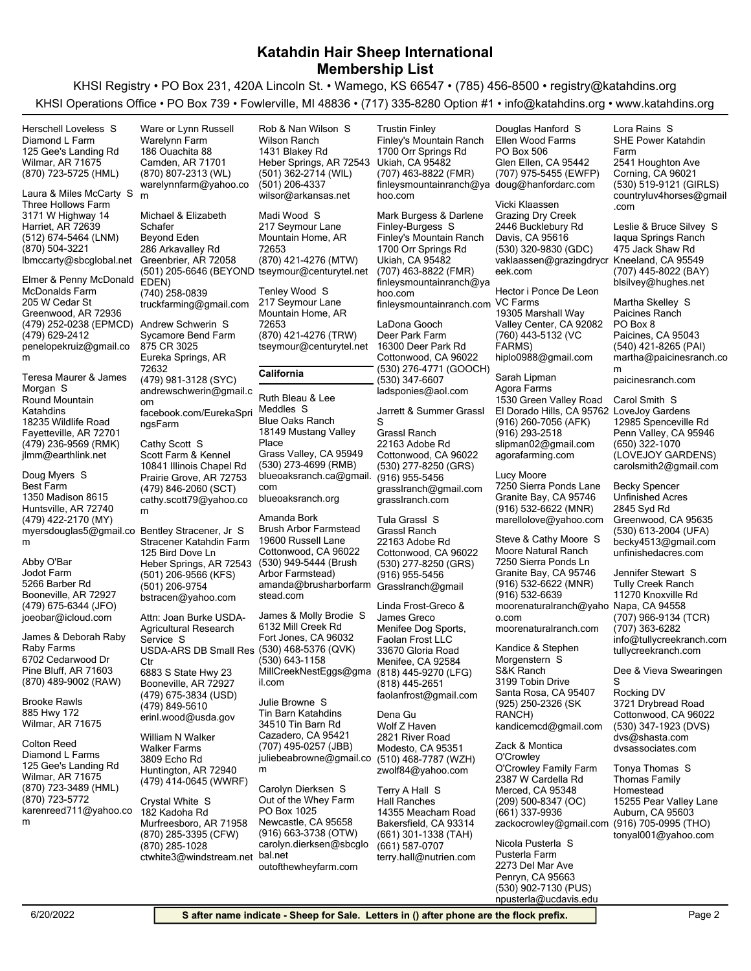KHSI Registry • PO Box 231, 420A Lincoln St. • Wamego, KS 66547 • (785) 456-8500 • registry@katahdins.org KHSI Operations Office • PO Box 739 • Fowlerville, MI 48836 • (717) 335-8280 Option #1 • info@katahdins.org • www.katahdins.org

(870) 723-5725 (HML) Wilmar, AR 71675 125 Gee's Landing Rd Diamond L Farm Herschell Loveless S (512) 674-5464 (LNM) Harriet, AR 72639 3171 W Highway 14 Three Hollows Farm lbmccarty@sbcglobal.net (870) 504-3221 Laura & Miles McCarty S (479) 252-0238 (EPMCD) Greenwood, AR 72936 205 W Cedar St McDonalds Farm penelopekruiz@gmail.co m (479) 629-2412 Elmer & Penny McDonald (479) 236-9569 (RMK) Fayetteville, AR 72701 18235 Wildlife Road Round Mountain Katahdins jlmm@earthlink.net Teresa Maurer & James Morgan S (479) 422-2170 (MY) Huntsville, AR 72740 1350 Madison 8615 Best Farm myersdouglas5@gmail.co Bentley Stracener, Jr S m Doug Myers S (479) 675-6344 (JFO) Booneville, AR 72927 5266 Barber Rd Jodot Farm joeobar@icloud.com Abby O'Bar (870) 489-9002 (RAW) Pine Bluff, AR 71603 6702 Cedarwood Dr Raby Farms James & Deborah Raby Wilmar, AR 71675 885 Hwy 172 Brooke Rawls (870) 723-3489 (HML) Wilmar, AR 71675 125 Gee's Landing Rd Diamond L Farms karenreed711@yahoo.co m (870) 723-5772 Colton Reed (870) 807-2313 (WL) Camden, AR 71701 186 Ouachita 88 Warelynn Farm warelynnfarm@yahoo.co m Ware or Lynn Russell (501) 205-6646 (BEYOND tseymour@centurytel.net EDEN) Greenbrier, AR 72058 286 Arkavalley Rd Beyond Eden truckfarming@gmail.com (740) 258-0839 Michael & Elizabeth **Schafer** (479) 981-3128 (SYC) Eureka Springs, AR 72632 875 CR 3025 Sycamore Bend Farm andrewschwerin@gmail.c om facebook.com/EurekaSpri ngsFarm Andrew Schwerin S (479) 846-2060 (SCT) Prairie Grove, AR 72753 10841 Illinois Chapel Rd Scott Farm & Kennel cathy.scott79@yahoo.co m Cathy Scott S (501) 206-9566 (KFS) Heber Springs, AR 72543 125 Bird Dove Ln Stracener Katahdin Farm bstracen@yahoo.com (501) 206-9754 (479) 675-3834 (USD) Booneville, AR 72927 6883 S State Hwy 23 USDA-ARS DB Small Res C<sub>tr</sub> erinl.wood@usda.gov (479) 849-5610 Attn: Joan Burke USDA-Agricultural Research Service S (479) 414-0645 (WWRF) Huntington, AR 72940 3809 Echo Rd Walker Farms William N Walker (870) 285-3395 (CFW) Murfreesboro, AR 71958 182 Kadoha Rd ctwhite3@windstream.net (870) 285-1028 Crystal White S (501) 362-2714 (WIL) Heber Springs, AR 72543 1431 Blakey Rd Wilson Ranch wilsor@arkansas.net (501) 206-4337 Rob & Nan Wilson S (870) 421-4276 (MTW) Mountain Home, AR 72653 217 Seymour Lane Madi Wood S (870) 421-4276 (TRW) Mountain Home, AR 72653 217 Seymour Lane tseymour@centurytel.net Tenley Wood S **California** (530) 273-4699 (RMB) Grass Valley, CA 95949 18149 Mustang Valley Place Blue Oaks Ranch blueoaksranch.ca@gmail. com blueoaksranch.org Ruth Bleau & Lee Meddles S (530) 949-5444 (Brush Arbor Farmstead) Cottonwood, CA 96022 19600 Russell Lane Brush Arbor Farmstead amanda@brusharborfarm Grasslranch@gmail stead.com Amanda Bork (530) 468-5376 (QVK) Fort Jones, CA 96032 6132 Mill Creek Rd MillCreekNestEggs@gma il.com (530) 643-1158 James & Molly Brodie S (707) 495-0257 (JBB) Cazadero, CA 95421 34510 Tin Barn Rd Tin Barn Katahdins juliebeabrowne@gmail.co m Julie Browne S (916) 663-3738 (OTW) Newcastle, CA 95658 PO Box 1025 Out of the Whey Farm carolyn.dierksen@sbcglo bal.net outofthewheyfarm.com Carolyn Dierksen S (707) 463-8822 (FMR) Ukiah, CA 95482 1700 Orr Springs Rd Finley's Mountain Ranch finleysmountainranch@ya doug@hanfordarc.com hoo.com Trustin Finley (707) 463-8822 (FMR) Ukiah, CA 95482 1700 Orr Springs Rd Finley's Mountain Ranch finleysmountainranch@ya hoo.com finleysmountainranch.com VC Farms Mark Burgess & Darlene Finley-Burgess S (530) 276-4771 (GOOCH) Cottonwood, CA 96022 16300 Deer Park Rd Deer Park Farm ladsponies@aol.com (530) 347-6607 LaDona Gooch (530) 277-8250 (GRS) Cottonwood, CA 96022 22163 Adobe Rd Grassl Ranch grasslranch@gmail.com (916) 955-5456 grasslranch.com Jarrett & Summer Grassl S (530) 277-8250 (GRS) Cottonwood, CA 96022 22163 Adobe Rd Grassl Ranch (916) 955-5456 Tula Grassl S (818) 445-9270 (LFG) Menifee, CA 92584 33670 Gloria Road Menifee Dog Sports, Faolan Frost LLC faolanfrost@gmail.com (818) 445-2651 Linda Frost-Greco & James Greco (510) 468-7787 (WZH) Modesto, CA 95351 2821 River Road Wolf Z Haven zwolf84@yahoo.com Dena Gu (661) 301-1338 (TAH) Bakersfield, CA 93314 14355 Meacham Road Hall Ranches terry.hall@nutrien.com (661) 587-0707 Terry A Hall S (707) 975-5455 (EWFP) Glen Ellen, CA 95442 PO Box 506 Ellen Wood Farms Douglas Hanford S (530) 320-9830 (GDC) Davis, CA 95616 2446 Bucklebury Rd Grazing Dry Creek vaklaassen@grazingdrycr Kneeland, CA 95549 eek.com Vicki Klaassen (760) 443-5132 (VC FARMS) Valley Center, CA 92082 19305 Marshall Way hiplo0988@gmail.com Hector i Ponce De Leon (916) 260-7056 (AFK) El Dorado Hills, CA 95762 LoveJoy Gardens 1530 Green Valley Road Agora Farms slipman02@gmail.com (916) 293-2518 agorafarming.com Sarah Lipman (916) 532-6622 (MNR) Granite Bay, CA 95746 7250 Sierra Ponds Lane marellolove@yahoo.com Lucy Moore (916) 532-6622 (MNR) Granite Bay, CA 95746 7250 Sierra Ponds Ln Moore Natural Ranch moorenaturalranch@yaho Napa, CA 94558 o.com (916) 532-6639 moorenaturalranch.com Steve & Cathy Moore S (925) 250-2326 (SK RANCH) Santa Rosa, CA 95407 3199 Tobin Drive S&K Ranch kandicemcd@gmail.com Kandice & Stephen Morgenstern S (209) 500-8347 (OC) Merced, CA 95348 2387 W Cardella Rd O'Crowley Family Farm zackocrowley@gmail.com (916) 705-0995 (THO) (661) 337-9936 Zack & Montica O'Crowley 2273 Del Mar Ave Pusterla Farm Nicola Pusterla S (530) 519-9121 (GIRLS) Corning, CA 96021 2541 Houghton Ave SHE Power Katahdin Farm countryluv4horses@gmail .com Lora Rains S (707) 445-8022 (BAY) 475 Jack Shaw Rd Iaqua Springs Ranch blsilvey@hughes.net Leslie & Bruce Silvey S (540) 421-8265 (PAI) Paicines, CA 95043 PO Box 8 Paicines Ranch martha@paicinesranch.co m paicinesranch.com Martha Skelley S (650) 322-1070 (LOVEJOY GARDENS) Penn Valley, CA 95946 12985 Spenceville Rd carolsmith2@gmail.com Carol Smith S (530) 613-2004 (UFA) Greenwood, CA 95635 2845 Syd Rd Unfinished Acres becky4513@gmail.com unfinishedacres.com Becky Spencer (707) 966-9134 (TCR) 11270 Knoxville Rd Tully Creek Ranch info@tullycreekranch.com (707) 363-6282 tullycreekranch.com Jennifer Stewart S (530) 347-1923 (DVS) Cottonwood, CA 96022 3721 Drybread Road Rocking DV dvs@shasta.com dvsassociates.com Dee & Vieva Swearingen S Auburn, CA 95603 15255 Pear Valley Lane Thomas Family Homestead tonyal001@yahoo.com Tonya Thomas S

(530) 902-7130 (PUS) Penryn, CA 95663

npusterla@ucdavis.edu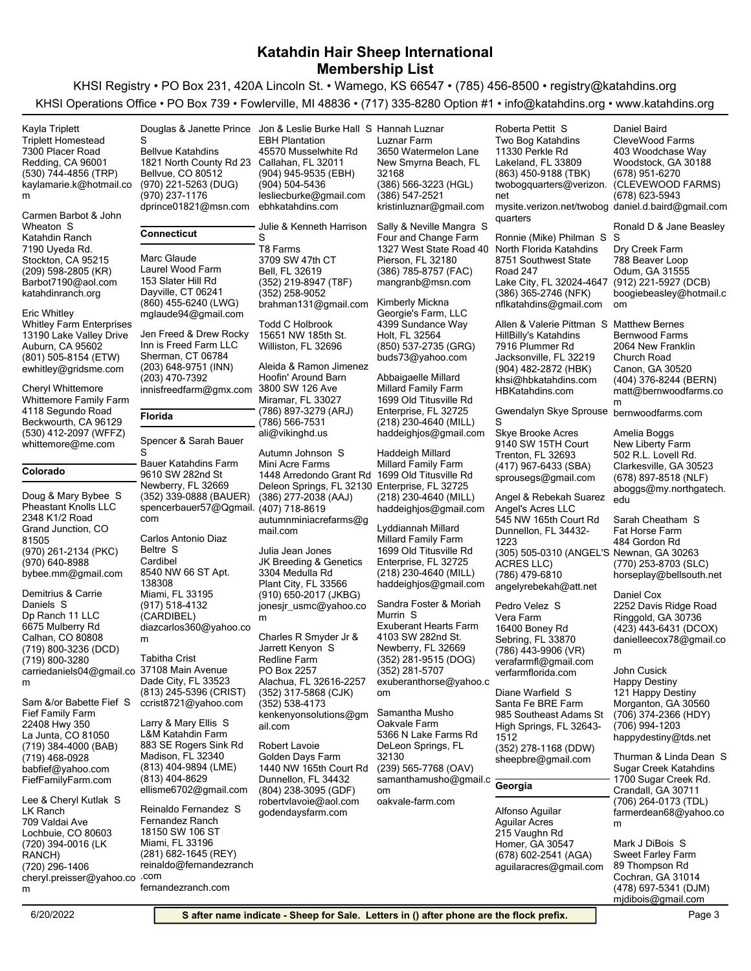| Kayla Triplett                                  | Douglas & Janette Prince                        | Jon & Leslie Burke Hall S Hannah Luznar        |                                                 | Roberta Pettit S                                   | Daniel Baird                                  |
|-------------------------------------------------|-------------------------------------------------|------------------------------------------------|-------------------------------------------------|----------------------------------------------------|-----------------------------------------------|
| <b>Triplett Homestead</b>                       | S                                               | <b>EBH Plantation</b>                          | Luznar Farm                                     | Two Bog Katahdins                                  | CleveWood Farms                               |
| 7300 Placer Road                                | <b>Bellvue Katahdins</b>                        | 45570 Musselwhite Rd                           | 3650 Watermelon Lane                            | 11330 Perkle Rd                                    | 403 Woodchase Way                             |
| Redding, CA 96001                               | 1821 North County Rd 23 Callahan, FL 32011      |                                                | New Smyrna Beach, FL                            | Lakeland, FL 33809                                 | Woodstock, GA 30188                           |
| (530) 744-4856 (TRP)<br>kaylamarie.k@hotmail.co | Bellvue, CO 80512<br>(970) 221-5263 (DUG)       | (904) 945-9535 (EBH)<br>(904) 504-5436         | 32168<br>(386) 566-3223 (HGL)                   | (863) 450-9188 (TBK)<br>twobogquarters@verizon.    | (678) 951-6270<br>(CLEVEWOOD FARMS)           |
| m                                               | (970) 237-1176                                  | lesliecburke@gmail.com                         | (386) 547-2521                                  | net                                                | (678) 623-5943                                |
|                                                 | dprince01821@msn.com                            | ebhkatahdins.com                               | kristinluznar@gmail.com                         | mysite.verizon.net/twobog_daniel.d.baird@gmail.com |                                               |
| Carmen Barbot & John                            |                                                 |                                                |                                                 | quarters                                           |                                               |
| Wheaton S                                       | <b>Connecticut</b>                              | Julie & Kenneth Harrison                       | Sally & Neville Mangra S                        |                                                    | Ronald D & Jane Beasley                       |
| Katahdin Ranch<br>7190 Uyeda Rd.                |                                                 | S<br>T8 Farms                                  | Four and Change Farm<br>1327 West State Road 40 | Ronnie (Mike) Philman S<br>North Florida Katahdins | -S<br>Dry Creek Farm                          |
| Stockton, CA 95215                              | Marc Glaude                                     | 3709 SW 47th CT                                | Pierson, FL 32180                               | 8751 Southwest State                               | 788 Beaver Loop                               |
| (209) 598-2805 (KR)                             | Laurel Wood Farm                                | Bell, FL 32619                                 | (386) 785-8757 (FAC)                            | Road 247                                           | Odum, GA 31555                                |
| Barbot7190@aol.com                              | 153 Slater Hill Rd                              | (352) 219-8947 (T8F)                           | mangranb@msn.com                                | Lake City, FL 32024-4647                           | (912) 221-5927 (DCB)                          |
| katahdinranch.org                               | Dayville, CT 06241                              | (352) 258-9052                                 |                                                 | (386) 365-2746 (NFK)                               | boogiebeasley@hotmail.c                       |
| <b>Eric Whitley</b>                             | (860) 455-6240 (LWG)                            | brahman131@gmail.com                           | Kimberly Mickna<br>Georgie's Farm, LLC          | nflkatahdins@gmail.com                             | om                                            |
| <b>Whitley Farm Enterprises</b>                 | mglaude94@gmail.com                             | Todd C Holbrook                                | 4399 Sundance Way                               | Allen & Valerie Pittman S                          | <b>Matthew Bernes</b>                         |
| 13190 Lake Valley Drive                         | Jen Freed & Drew Rocky                          | 15651 NW 185th St.                             | Holt, FL 32564                                  | HillBilly's Katahdins                              | Bernwood Farms                                |
| Auburn, CA 95602                                | Inn is Freed Farm LLC                           | Williston, FL 32696                            | (850) 537-2735 (GRG)                            | 7916 Plummer Rd                                    | 2064 New Franklin                             |
| (801) 505-8154 (ETW)                            | Sherman, CT 06784                               |                                                | buds73@yahoo.com                                | Jacksonville, FL 32219                             | Church Road                                   |
| ewhitley@gridsme.com                            | (203) 648-9751 (INN)                            | Aleida & Ramon Jimenez<br>Hoofin' Around Barn  |                                                 | (904) 482-2872 (HBK)                               | Canon, GA 30520                               |
| Cheryl Whittemore                               | (203) 470-7392<br>innisfreedfarm@gmx.com        | 3800 SW 126 Ave                                | Abbaigaelle Millard<br>Millard Family Farm      | khsi@hbkatahdins.com                               | (404) 376-8244 (BERN)                         |
| <b>Whittemore Family Farm</b>                   |                                                 | Miramar, FL 33027                              | 1699 Old Titusville Rd                          | HBKatahdins.com                                    | matt@bernwoodfarms.co<br>m                    |
| 4118 Segundo Road                               | Florida                                         | (786) 897-3279 (ARJ)                           | Enterprise, FL 32725                            | Gwendalyn Skye Sprouse                             | bernwoodfarms.com                             |
| Beckwourth, CA 96129                            |                                                 | (786) 566-7531                                 | (218) 230-4640 (MILL)                           | S                                                  |                                               |
| (530) 412-2097 (WFFZ)                           | Spencer & Sarah Bauer                           | ali@vikinghd.us                                | haddeighjos@gmail.com                           | Skye Brooke Acres                                  | Amelia Boggs                                  |
| whittemore@me.com                               | S                                               | Autumn Johnson S                               | Haddeigh Millard                                | 9140 SW 15TH Court                                 | New Liberty Farm                              |
|                                                 | Bauer Katahdins Farm                            | Mini Acre Farms                                | Millard Family Farm                             | Trenton, FL 32693<br>(417) 967-6433 (SBA)          | 502 R.L. Lovell Rd.<br>Clarkesville, GA 30523 |
| Colorado                                        | 9610 SW 282nd St                                | 1448 Arredondo Grant Rd 1699 Old Titusville Rd |                                                 | sprousegs@gmail.com                                | (678) 897-8518 (NLF)                          |
|                                                 | Newberry, FL 32669                              | Deleon Springs, FL 32130 Enterprise, FL 32725  |                                                 |                                                    | aboggs@my.northgatech.                        |
| Doug & Mary Bybee S                             | (352) 339-0888 (BAUER)                          | (386) 277-2038 (AAJ)                           | (218) 230-4640 (MILL)                           | Angel & Rebekah Suarez                             | edu                                           |
| <b>Pheastant Knolls LLC</b><br>2348 K1/2 Road   | spencerbauer57@Qgmail. (407) 718-8619           |                                                | haddeighjos@gmail.com                           | Angel's Acres LLC                                  |                                               |
| Grand Junction, CO                              | com                                             | autumnminiacrefarms@g<br>mail.com              | Lyddiannah Millard                              | 545 NW 165th Court Rd<br>Dunnellon, FL 34432-      | Sarah Cheatham S<br>Fat Horse Farm            |
| 81505                                           | Carlos Antonio Diaz                             |                                                | Millard Family Farm                             | 1223                                               | 484 Gordon Rd                                 |
| (970) 261-2134 (PKC)                            | Beltre S                                        | Julia Jean Jones                               | 1699 Old Titusville Rd                          | (305) 505-0310 (ANGEL'S Newnan, GA 30263           |                                               |
| (970) 640-8988                                  | Cardibel                                        | JK Breeding & Genetics                         | Enterprise, FL 32725                            | <b>ACRES LLC)</b>                                  | (770) 253-8703 (SLC)                          |
| bybee.mm@gmail.com                              | 8540 NW 66 ST Apt.                              | 3304 Medulla Rd                                | (218) 230-4640 (MILL)                           | (786) 479-6810                                     | horseplay@bellsouth.net                       |
| Demitrius & Carrie                              | 138308<br>Miami, FL 33195                       | Plant City, FL 33566<br>(910) 650-2017 (JKBG)  | haddeighjos@gmail.com                           | angelyrebekah@att.net                              | Daniel Cox                                    |
| Daniels S                                       | (917) 518-4132                                  | jonesjr usmc@yahoo.co                          | Sandra Foster & Moriah                          | Pedro Velez S                                      | 2252 Davis Ridge Road                         |
| Dp Ranch 11 LLC                                 | (CARDIBEL)                                      | m                                              | Murrin S                                        | Vera Farm                                          | Ringgold, GA 30736                            |
| 6675 Mulberry Rd                                | diazcarlos360@yahoo.co                          |                                                | <b>Exuberant Hearts Farm</b>                    | 16400 Boney Rd                                     | (423) 443-6431 (DCOX)                         |
| Calhan, CO 80808                                | m                                               | Charles R Smyder Jr &                          | 4103 SW 282nd St.                               | Sebring, FL 33870                                  | danielleecox78@gmail.co                       |
| (719) 800-3236 (DCD)<br>(719) 800-3280          | <b>Tabitha Crist</b>                            | Jarrett Kenyon S<br>Redline Farm               | Newberry, FL 32669<br>(352) 281-9515 (DOG)      | (786) 443-9906 (VR)                                | m                                             |
| carriedaniels04@gmail.co 37108 Main Avenue      |                                                 | PO Box 2257                                    | (352) 281-5707                                  | verafarmfl@gmail.com<br>verfarmflorida.com         | John Cusick                                   |
| m                                               | Dade City, FL 33523                             | Alachua, FL 32616-2257                         | exuberanthorse@yahoo.c                          |                                                    | <b>Happy Destiny</b>                          |
|                                                 | (813) 245-5396 (CRIST)                          | (352) 317-5868 (CJK)                           | om                                              | Diane Warfield S                                   | 121 Happy Destiny                             |
| Sam &/or Babette Fief S                         | ccrist8721@yahoo.com                            | (352) 538-4173                                 |                                                 | Santa Fe BRE Farm                                  | Morganton, GA 30560                           |
| Fief Family Farm                                | Larry & Mary Ellis S                            | kenkenyonsolutions@gm                          | Samantha Musho<br>Oakvale Farm                  | 985 Southeast Adams St                             | (706) 374-2366 (HDY)                          |
| 22408 Hwy 350<br>La Junta, CO 81050             | L&M Katahdin Farm                               | ail.com                                        | 5366 N Lake Farms Rd                            | High Springs, FL 32643-<br>1512                    | (706) 994-1203                                |
| (719) 384-4000 (BAB)                            | 883 SE Rogers Sink Rd                           | Robert Lavoie                                  | DeLeon Springs, FL                              | (352) 278-1168 (DDW)                               | happydestiny@tds.net                          |
| (719) 468-0928                                  | Madison, FL 32340                               | Golden Days Farm                               | 32130                                           | sheepbre@gmail.com                                 | Thurman & Linda Dean S                        |
| babfief@yahoo.com                               | (813) 404-9894 (LME)                            | 1440 NW 165th Court Rd                         | (239) 565-7768 (OAV)                            |                                                    | Sugar Creek Katahdins                         |
| FiefFamilyFarm.com                              | (813) 404-8629                                  | Dunnellon, FL 34432                            | samanthamusho@gmail.c                           | Georgia                                            | 1700 Sugar Creek Rd.                          |
| Lee & Cheryl Kutlak S                           | ellisme6702@gmail.com                           | (804) 238-3095 (GDF)                           | om                                              |                                                    | Crandall, GA 30711                            |
| LK Ranch                                        | Reinaldo Fernandez S                            | robertvlavoie@aol.com<br>godendaysfarm.com     | oakvale-farm.com                                | Alfonso Aguilar                                    | (706) 264-0173 (TDL)<br>farmerdean68@yahoo.co |
| 709 Valdai Ave                                  | Fernandez Ranch                                 |                                                |                                                 | <b>Aguilar Acres</b>                               | m                                             |
| Lochbuie, CO 80603                              | 18150 SW 106 ST                                 |                                                |                                                 | 215 Vaughn Rd                                      |                                               |
| (720) 394-0016 (LK                              | Miami, FL 33196                                 |                                                |                                                 | Homer, GA 30547                                    | Mark J DiBois S                               |
| RANCH)                                          | (281) 682-1645 (REY)<br>reinaldo@fernandezranch |                                                |                                                 | (678) 602-2541 (AGA)                               | Sweet Farley Farm                             |
| (720) 296-1406<br>cheryl.preisser@yahoo.co      | .com                                            |                                                |                                                 | aguilaracres@gmail.com                             | 89 Thompson Rd<br>Cochran, GA 31014           |
| m                                               | fernandezranch.com                              |                                                |                                                 |                                                    | (478) 697-5341 (DJM)                          |
|                                                 |                                                 |                                                |                                                 |                                                    | mjdibois@gmail.com                            |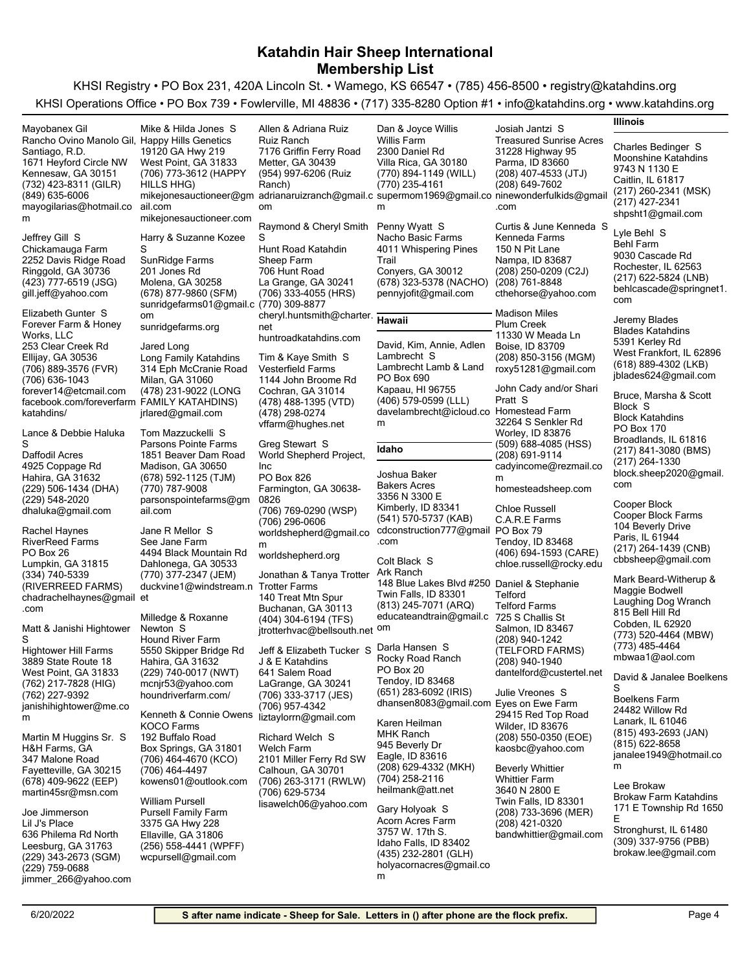| Mayobanex Gil                                 | Mike & Hilda Jones S                      | Allen & Adriana Ruiz                     | Dan & Joyce Willis                                                                            | Josiah Jantzi S                       | Illinois                             |
|-----------------------------------------------|-------------------------------------------|------------------------------------------|-----------------------------------------------------------------------------------------------|---------------------------------------|--------------------------------------|
| Rancho Ovino Manolo Gil, Happy Hills Genetics |                                           | <b>Ruiz Ranch</b>                        | Willis Farm                                                                                   | <b>Treasured Sunrise Acres</b>        |                                      |
| Santiago, R.D.                                | 19120 GA Hwy 219                          | 7176 Griffin Ferry Road                  | 2300 Daniel Rd                                                                                | 31228 Highway 95                      | Charles Bedinger S                   |
| 1671 Heyford Circle NW                        | West Point, GA 31833                      | Metter, GA 30439                         | Villa Rica, GA 30180                                                                          | Parma, ID 83660                       | Moonshine Katahdins                  |
| Kennesaw, GA 30151                            | (706) 773-3612 (HAPPY                     | (954) 997-6206 (Ruiz                     | (770) 894-1149 (WILL)                                                                         | $(208)$ 407-4533 (JTJ)                | 9743 N 1130 E                        |
| (732) 423-8311 (GILR)                         | HILLS HHG)                                | Ranch)                                   | (770) 235-4161                                                                                | (208) 649-7602                        | Caitlin, IL 61817                    |
| $(849)$ 635-6006                              |                                           |                                          | mikejonesauctioneer@gm adrianaruizranch@gmail.c supermom1969@gmail.co ninewonderfulkids@gmail |                                       | (217) 260-2341 (MSK)                 |
| mayogilarias@hotmail.co                       | ail.com                                   | om                                       | m                                                                                             | .com                                  | (217) 427-2341                       |
| m                                             | mikejonesauctioneer.com                   |                                          |                                                                                               |                                       | shpsht1@gmail.com                    |
|                                               |                                           | Raymond & Cheryl Smith                   | Penny Wyatt S                                                                                 | Curtis & June Kenneda S               | Lyle Behl S                          |
| Jeffrey Gill S                                | Harry & Suzanne Kozee                     | S                                        | Nacho Basic Farms                                                                             | Kenneda Farms                         | <b>Behl Farm</b>                     |
| Chickamauga Farm                              | S                                         | Hunt Road Katahdin                       | 4011 Whispering Pines                                                                         | 150 N Pit Lane                        | 9030 Cascade Rd                      |
| 2252 Davis Ridge Road                         | SunRidge Farms                            | Sheep Farm                               | Trail                                                                                         | Nampa, ID 83687                       | Rochester, IL 62563                  |
| Ringgold, GA 30736                            | 201 Jones Rd                              | 706 Hunt Road                            | Conyers, GA 30012                                                                             | (208) 250-0209 (C2J)                  | (217) 622-5824 (LNB)                 |
| (423) 777-6519 (JSG)                          | Molena, GA 30258                          | La Grange, GA 30241                      | (678) 323-5378 (NACHO)                                                                        | (208) 761-8848                        | behicascade@springnet1.              |
| gill.jeff@yahoo.com                           | (678) 877-9860 (SFM)                      | (706) 333-4055 (HRS)                     | pennyjofit@gmail.com                                                                          | cthehorse@yahoo.com                   | com                                  |
| Elizabeth Gunter S                            | sunridgefarms01@gmail.c (770) 309-8877    |                                          |                                                                                               | <b>Madison Miles</b>                  |                                      |
| Forever Farm & Honey                          | om                                        | cheryl.huntsmith@charter.                | <b>Hawaii</b>                                                                                 | <b>Plum Creek</b>                     | Jeremy Blades                        |
| Works, LLC                                    | sunridgefarms.org                         | net                                      |                                                                                               | 11330 W Meada Ln                      | <b>Blades Katahdins</b>              |
| 253 Clear Creek Rd                            | Jared Long                                | huntroadkatahdins.com                    | David, Kim, Annie, Adlen                                                                      | Boise, ID 83709                       | 5391 Kerley Rd                       |
| Ellijay, GA 30536                             | Long Family Katahdins                     | Tim & Kaye Smith S                       | Lambrecht S                                                                                   | (208) 850-3156 (MGM)                  | West Frankfort, IL 62896             |
| (706) 889-3576 (FVR)                          | 314 Eph McCranie Road                     | <b>Vesterfield Farms</b>                 | Lambrecht Lamb & Land                                                                         | roxy51281@gmail.com                   | (618) 889-4302 (LKB)                 |
| (706) 636-1043                                | Milan, GA 31060                           | 1144 John Broome Rd                      | PO Box 690                                                                                    |                                       | jblades624@gmail.com                 |
| forever14@etcmail.com                         | (478) 231-9022 (LONG                      | Cochran, GA 31014                        | Kapaau, HI 96755                                                                              | John Cady and/or Shari                |                                      |
| facebook.com/foreverfarm FAMILY KATAHDINS)    |                                           | (478) 488-1395 (VTD)                     | (406) 579-0599 (LLL)                                                                          | Pratt S                               | Bruce, Marsha & Scott                |
| katahdins/                                    | jrlared@gmail.com                         | (478) 298-0274                           | davelambrecht@icloud.co                                                                       | <b>Homestead Farm</b>                 | Block S<br><b>Block Katahdins</b>    |
|                                               |                                           | vffarm@hughes.net                        | m                                                                                             | 32264 S Senkler Rd                    | PO Box 170                           |
| Lance & Debbie Haluka                         | Tom Mazzuckelli S                         |                                          |                                                                                               | Worley, ID 83876                      | Broadlands, IL 61816                 |
| S                                             | Parsons Pointe Farms                      | Greg Stewart S                           | Idaho                                                                                         | (509) 688-4085 (HSS)                  | (217) 841-3080 (BMS)                 |
| Daffodil Acres                                | 1851 Beaver Dam Road                      | World Shepherd Project,                  |                                                                                               | (208) 691-9114                        | (217) 264-1330                       |
| 4925 Coppage Rd<br>Hahira, GA 31632           | Madison, GA 30650<br>(678) 592-1125 (TJM) | Inc<br>PO Box 826                        | Joshua Baker                                                                                  | cadyincome@rezmail.co                 | block.sheep2020@gmail.               |
| (229) 506-1434 (DHA)                          | (770) 787-9008                            | Farmington, GA 30638-                    | <b>Bakers Acres</b>                                                                           | m<br>homesteadsheep.com               | com                                  |
| (229) 548-2020                                | parsonspointefarms@gm                     | 0826                                     | 3356 N 3300 E                                                                                 |                                       |                                      |
| dhaluka@gmail.com                             | ail.com                                   | (706) 769-0290 (WSP)                     | Kimberly, ID 83341                                                                            | <b>Chloe Russell</b>                  | Cooper Block                         |
|                                               |                                           | (706) 296-0606                           | (541) 570-5737 (KAB)                                                                          | C.A.R.E Farms                         | Cooper Block Farms                   |
| Rachel Haynes                                 | Jane R Mellor S                           | worldshepherd@gmail.co                   | cdconstruction777@gmail PO Box 79                                                             |                                       | 104 Beverly Drive<br>Paris, IL 61944 |
| <b>RiverReed Farms</b>                        | See Jane Farm                             | m                                        | .com                                                                                          | Tendoy, ID 83468                      | (217) 264-1439 (CNB)                 |
| PO Box 26                                     | 4494 Black Mountain Rd                    | worldshepherd.org                        | Colt Black S                                                                                  | (406) 694-1593 (CARE)                 | cbbsheep@gmail.com                   |
| Lumpkin, GA 31815                             | Dahlonega, GA 30533                       |                                          | Ark Ranch                                                                                     | chloe.russell@rocky.edu               |                                      |
| (334) 740-5339                                | (770) 377-2347 (JEM)                      | Jonathan & Tanya Trotter                 | 148 Blue Lakes Blvd #250 Daniel & Stephanie                                                   |                                       | Mark Beard-Witherup &                |
| (RIVERREED FARMS)                             | duckvine1@windstream.n Trotter Farms      | 140 Treat Mtn Spur                       | Twin Falls, ID 83301                                                                          | Telford                               | Maggie Bodwell                       |
| chadrachelhaynes@gmail et<br>.com             |                                           | Buchanan, GA 30113                       | (813) 245-7071 (ARQ)                                                                          | <b>Telford Farms</b>                  | Laughing Dog Wranch                  |
|                                               | Milledge & Roxanne                        | (404) 304-6194 (TFS)                     | educateandtrain@gmail.c                                                                       | 725 S Challis St                      | 815 Bell Hill Rd                     |
| Matt & Janishi Hightower                      | Newton S                                  | jtrotterhvac@bellsouth.net om            |                                                                                               | Salmon, ID 83467                      | Cobden, IL 62920                     |
| S                                             | Hound River Farm                          |                                          |                                                                                               | (208) 940-1242                        | (773) 520-4464 (MBW)                 |
| <b>Hightower Hill Farms</b>                   | 5550 Skipper Bridge Rd                    | Jeff & Elizabeth Tucker S Darla Hansen S |                                                                                               | (TELFORD FARMS)                       | (773) 485-4464<br>mbwaa1@aol.com     |
| 3889 State Route 18                           | Hahira, GA 31632                          | J & E Katahdins                          | Rocky Road Ranch<br>PO Box 20                                                                 | (208) 940-1940                        |                                      |
| West Point, GA 31833                          | (229) 740-0017 (NWT)                      | 641 Salem Road                           | Tendoy, ID 83468                                                                              | dantelford@custertel.net              | David & Janalee Boelkens             |
| (762) 217-7828 (HIG)                          | mcnir53@yahoo.com                         | LaGrange, GA 30241                       | (651) 283-6092 (IRIS)                                                                         | Julie Vreones S                       | S                                    |
| (762) 227-9392<br>janishihightower@me.co      | houndriverfarm.com/                       | (706) 333-3717 (JES)<br>(706) 957-4342   | dhansen8083@gmail.com Eyes on Ewe Farm                                                        |                                       | Boelkens Farm                        |
| m                                             | Kenneth & Connie Owens                    | liztaylorrn@gmail.com                    |                                                                                               | 29415 Red Top Road                    | 24482 Willow Rd                      |
|                                               | KOCO Farms                                |                                          | Karen Heilman                                                                                 | Wilder, ID 83676                      | Lanark, IL 61046                     |
| Martin M Huggins Sr. S                        | 192 Buffalo Road                          | Richard Welch S                          | <b>MHK Ranch</b>                                                                              | (208) 550-0350 (EOE)                  | (815) 493-2693 (JAN)                 |
| H&H Farms, GA                                 | Box Springs, GA 31801                     | Welch Farm                               | 945 Beverly Dr                                                                                | kaosbc@yahoo.com                      | (815) 622-8658                       |
| 347 Malone Road                               | (706) 464-4670 (KCO)                      | 2101 Miller Ferry Rd SW                  | Eagle, ID 83616                                                                               |                                       | janalee1949@hotmail.co<br>m          |
| Fayetteville, GA 30215                        | (706) 464-4497                            | Calhoun, GA 30701                        | (208) 629-4332 (MKH)<br>(704) 258-2116                                                        | <b>Beverly Whittier</b>               |                                      |
| (678) 409-9622 (EEP)                          | kowens01@outlook.com                      | (706) 263-3171 (RWLW)                    | heilmank@att.net                                                                              | <b>Whittier Farm</b><br>3640 N 2800 E | Lee Brokaw                           |
| martin45sr@msn.com                            | William Pursell                           | (706) 629-5734                           |                                                                                               | Twin Falls, ID 83301                  | <b>Brokaw Farm Katahdins</b>         |
| Joe Jimmerson                                 | <b>Pursell Family Farm</b>                | lisawelch06@yahoo.com                    | Gary Holyoak S                                                                                | (208) 733-3696 (MER)                  | 171 E Township Rd 1650               |
| Lil J's Place                                 | 3375 GA Hwy 228                           |                                          | Acorn Acres Farm                                                                              | (208) 421-0320                        | E                                    |
| 636 Philema Rd North                          | Ellaville, GA 31806                       |                                          | 3757 W. 17th S.                                                                               | bandwhittier@gmail.com                | Stronghurst, IL 61480                |
| Leesburg, GA 31763                            | (256) 558-4441 (WPFF)                     |                                          | Idaho Falls, ID 83402                                                                         |                                       | (309) 337-9756 (PBB)                 |
| (229) 343-2673 (SGM)                          | wcpursell@gmail.com                       |                                          | (435) 232-2801 (GLH)                                                                          |                                       | brokaw.lee@gmail.com                 |
| (229) 759-0688                                |                                           |                                          | holyacornacres@gmail.co                                                                       |                                       |                                      |
| jimmer_266@yahoo.com                          |                                           |                                          | m                                                                                             |                                       |                                      |
|                                               |                                           |                                          |                                                                                               |                                       |                                      |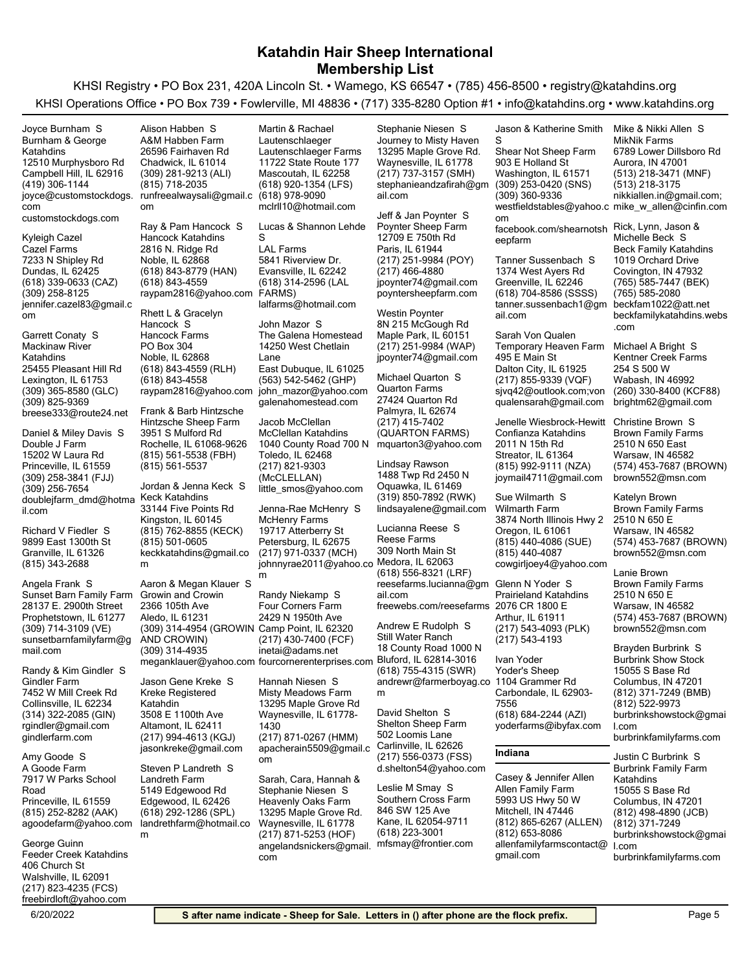|                                                   |                                             | $\ldots$                                        | $(1, 1)$ coo coo option $\pi$ .                   |                                                   |                                                 |
|---------------------------------------------------|---------------------------------------------|-------------------------------------------------|---------------------------------------------------|---------------------------------------------------|-------------------------------------------------|
| Joyce Burnham S                                   | Alison Habben S                             | Martin & Rachael                                | Stephanie Niesen S                                | Jason & Katherine Smith                           | Mike & Nikki Allen S                            |
| Burnham & George                                  | A&M Habben Farm                             | Lautenschlaeger                                 | Journey to Misty Haven                            | S                                                 | <b>MikNik Farms</b>                             |
| Katahdins                                         | 26596 Fairhaven Rd                          | Lautenschlaeger Farms                           | 13295 Maple Grove Rd.                             | Shear Not Sheep Farm                              | 6789 Lower Dillsboro Rd                         |
| 12510 Murphysboro Rd                              | Chadwick, IL 61014                          | 11722 State Route 177                           | Waynesville, IL 61778                             | 903 E Holland St                                  | Aurora, IN 47001                                |
| Campbell Hill, IL 62916                           | (309) 281-9213 (ALI)                        | Mascoutah, IL 62258                             | (217) 737-3157 (SMH)                              | Washington, IL 61571                              | (513) 218-3471 (MNF)                            |
| (419) 306-1144                                    | (815) 718-2035                              | (618) 920-1354 (LFS)                            | stephanieandzafirah@qm                            | (309) 253-0420 (SNS)<br>(309) 360-9336            | (513) 218-3175                                  |
| joyce@customstockdogs.                            | runfreealwaysali@gmail.c<br><b>om</b>       | (618) 978-9090<br>mclrll10@hotmail.com          | ail.com                                           | westfieldstables@yahoo.c mike_w_allen@cinfin.com  | nikkiallen.in@gmail.com;                        |
| com<br>customstockdogs.com                        |                                             |                                                 | Jeff & Jan Poynter S                              | om                                                |                                                 |
|                                                   | Ray & Pam Hancock S                         | Lucas & Shannon Lehde                           | Poynter Sheep Farm                                | facebook.com/shearnotsh                           | Rick, Lynn, Jason &                             |
| Kyleigh Cazel                                     | <b>Hancock Katahdins</b>                    | S                                               | 12709 E 750th Rd                                  | eepfarm                                           | Michelle Beck S                                 |
| Cazel Farms                                       | 2816 N. Ridge Rd                            | <b>LAL Farms</b>                                | Paris, IL 61944                                   |                                                   | <b>Beck Family Katahdins</b>                    |
| 7233 N Shipley Rd                                 | Noble, IL 62868                             | 5841 Riverview Dr.                              | (217) 251-9984 (POY)                              | Tanner Sussenbach S                               | 1019 Orchard Drive                              |
| Dundas, IL 62425                                  | (618) 843-8779 (HAN)                        | Evansville, IL 62242                            | (217) 466-4880                                    | 1374 West Ayers Rd                                | Covington, IN 47932                             |
| (618) 339-0633 (CAZ)                              | (618) 843-4559                              | (618) 314-2596 (LAL                             | jpoynter74@gmail.com                              | Greenville, IL 62246                              | (765) 585-7447 (BEK)                            |
| (309) 258-8125                                    | raypam2816@yahoo.com FARMS)                 |                                                 | poyntersheepfarm.com                              | (618) 704-8586 (SSSS)                             | (765) 585-2080                                  |
| jennifer.cazel83@gmail.c<br>om                    | Rhett L & Gracelyn                          | lalfarms@hotmail.com                            | Westin Poynter                                    | tanner.sussenbach1@gm<br>ail.com                  | beckfam1022@att.net<br>beckfamilykatahdins.webs |
|                                                   | Hancock S                                   | John Mazor S                                    | 8N 215 McGough Rd                                 |                                                   | .com                                            |
| Garrett Conaty S                                  | Hancock Farms                               | The Galena Homestead                            | Maple Park, IL 60151                              | Sarah Von Qualen                                  |                                                 |
| Mackinaw River                                    | PO Box 304                                  | 14250 West Chetlain                             | (217) 251-9984 (WAP)                              | Temporary Heaven Farm                             | Michael A Bright S                              |
| Katahdins                                         | Noble, IL 62868                             | Lane                                            | jpoynter74@gmail.com                              | 495 E Main St                                     | Kentner Creek Farms                             |
| 25455 Pleasant Hill Rd                            | (618) 843-4559 (RLH)                        | East Dubuque, IL 61025                          |                                                   | Dalton City, IL 61925                             | 254 S 500 W                                     |
| Lexington, IL 61753                               | (618) 843-4558                              | (563) 542-5462 (GHP)                            | Michael Quarton S                                 | (217) 855-9339 (VQF)                              | Wabash, IN 46992                                |
| $(309)$ 365-8580 (GLC)                            | raypam2816@yahoo.com john_mazor@yahoo.com   |                                                 | <b>Quarton Farms</b><br>27424 Quarton Rd          | sjvq42@outlook.com;von                            | (260) 330-8400 (KCF88)                          |
| (309) 825-9369                                    | Frank & Barb Hintzsche                      | galenahomestead.com                             | Palmyra, IL 62674                                 | qualensarah@gmail.com                             | brightm62@gmail.com                             |
| breese333@route24.net                             | Hintzsche Sheep Farm                        | Jacob McClellan                                 | (217) 415-7402                                    | Jenelle Wiesbrock-Hewitt                          | Christine Brown S                               |
| Daniel & Miley Davis S                            | 3951 S Mulford Rd                           | <b>McClellan Katahdins</b>                      | (QUARTON FARMS)                                   | Confianza Katahdins                               | <b>Brown Family Farms</b>                       |
| Double J Farm                                     | Rochelle, IL 61068-9626                     | 1040 County Road 700 N                          | mquarton3@yahoo.com                               | 2011 N 15th Rd                                    | 2510 N 650 East                                 |
| 15202 W Laura Rd                                  | (815) 561-5538 (FBH)                        | Toledo, IL 62468                                |                                                   | Streator, IL 61364                                | Warsaw, IN 46582                                |
| Princeville, IL 61559                             | (815) 561-5537                              | (217) 821-9303                                  | Lindsay Rawson                                    | (815) 992-9111 (NZA)                              | (574) 453-7687 (BROWN)                          |
| (309) 258-3841 (FJJ)                              |                                             | (McCLELLAN)                                     | 1488 Twp Rd 2450 N                                | joymail4711@gmail.com                             | brown552@msn.com                                |
| (309) 256-7654                                    | Jordan & Jenna Keck S                       | little_smos@yahoo.com                           | Oquawka, IL 61469                                 |                                                   |                                                 |
| doublejfarm dmd@hotma                             | Keck Katahdins<br>33144 Five Points Rd      | Jenna-Rae McHenry S                             | (319) 850-7892 (RWK)<br>lindsayalene@gmail.com    | Sue Wilmarth S<br><b>Wilmarth Farm</b>            | Katelyn Brown<br><b>Brown Family Farms</b>      |
| il.com                                            | Kingston, IL 60145                          | <b>McHenry Farms</b>                            |                                                   | 3874 North Illinois Hwy 2                         | 2510 N 650 E                                    |
| Richard V Fiedler S                               | (815) 762-8855 (KECK)                       | 19717 Atterberry St                             | Lucianna Reese S                                  | Oregon, IL 61061                                  | Warsaw, IN 46582                                |
| 9899 East 1300th St                               | (815) 501-0605                              | Petersburg, IL 62675                            | Reese Farms                                       | (815) 440-4086 (SUE)                              | (574) 453-7687 (BROWN)                          |
| Granville, IL 61326                               | keckkatahdins@gmail.co                      | (217) 971-0337 (MCH)                            | 309 North Main St                                 | (815) 440-4087                                    | brown552@msn.com                                |
| (815) 343-2688                                    | m                                           | johnnyrae2011@yahoo.co                          | Medora, IL 62063                                  | cowgirljoey4@yahoo.com                            |                                                 |
|                                                   |                                             | m                                               | (618) 556-8321 (LRF)                              |                                                   | Lanie Brown                                     |
| Angela Frank S                                    | Aaron & Megan Klauer S                      |                                                 | reesefarms.lucianna@gm Glenn N Yoder S            |                                                   | <b>Brown Family Farms</b>                       |
| Sunset Barn Family Farm<br>28137 E. 2900th Street | <b>Growin and Crowin</b><br>2366 105th Ave  | Randy Niekamp S<br>Four Corners Farm            | ail.com<br>freewebs.com/reesefarms 2076 CR 1800 E | <b>Prairieland Katahdins</b>                      | 2510 N 650 E<br>Warsaw, IN 46582                |
| Prophetstown, IL 61277                            | Aledo, IL 61231                             | 2429 N 1950th Ave                               |                                                   | Arthur, IL 61911                                  | (574) 453-7687 (BROWN)                          |
| (309) 714-3109 (VE)                               | (309) 314-4954 (GROWIN Camp Point, IL 62320 |                                                 | Andrew E Rudolph S                                | (217) 543-4093 (PLK)                              | brown552@msn.com                                |
| sunsetbarnfamilyfarm@q                            | AND CROWIN)                                 | (217) 430-7400 (FCF)                            | Still Water Ranch                                 | (217) 543-4193                                    |                                                 |
| mail.com                                          | (309) 314-4935                              | inetai@adams.net                                | 18 County Road 1000 N                             |                                                   | Brayden Burbrink S                              |
|                                                   |                                             | meganklauer@yahoo.com fourcornerenterprises.com | Blutord, IL 62814-3016                            | Ivan Yoder                                        | <b>Burbrink Show Stock</b>                      |
| Randy & Kim Gindler S                             |                                             |                                                 | (618) 755-4315 (SWR)                              | Yoder's Sheep                                     | 15055 S Base Rd                                 |
| <b>Gindler Farm</b>                               | Jason Gene Kreke S                          | Hannah Niesen S                                 | andrewr@farmerboyag.co 1104 Grammer Rd            |                                                   | Columbus, IN 47201                              |
| 7452 W Mill Creek Rd                              | Kreke Registered                            | Misty Meadows Farm                              | m                                                 | Carbondale, IL 62903-                             | (812) 371-7249 (BMB)                            |
| Collinsville, IL 62234                            | Katahdin                                    | 13295 Maple Grove Rd<br>Waynesville, IL 61778-  | David Shelton S                                   | 7556                                              | (812) 522-9973                                  |
| (314) 322-2085 (GIN)<br>rgindler@gmail.com        | 3508 E 1100th Ave<br>Altamont, IL 62411     | 1430                                            | Shelton Sheep Farm                                | $(618) 684 - 2244 (AZI)$<br>yoderfarms@ibyfax.com | burbrinkshowstock@gmai<br>I.com                 |
| gindlerfarm.com                                   | (217) 994-4613 (KGJ)                        | (217) 871-0267 (HMM)                            | 502 Loomis Lane                                   |                                                   | burbrinkfamilyfarms.com                         |
|                                                   | jasonkreke@gmail.com                        | apacherain5509@gmail.c                          | Carlinville, IL 62626                             |                                                   |                                                 |
| Amy Goode S                                       |                                             | om                                              | (217) 556-0373 (FSS)                              | Indiana                                           | Justin C Burbrink S                             |
| A Goode Farm                                      | Steven P Landreth S                         |                                                 | d.shelton54@yahoo.com                             |                                                   | <b>Burbrink Family Farm</b>                     |
| 7917 W Parks School                               | Landreth Farm                               | Sarah, Cara, Hannah &                           |                                                   | Casey & Jennifer Allen                            | Katahdins                                       |
| Road                                              | 5149 Edgewood Rd                            | Stephanie Niesen S                              | Leslie M Smay S                                   | Allen Family Farm                                 | 15055 S Base Rd                                 |
| Princeville, IL 61559                             | Edgewood, IL 62426                          | Heavenly Oaks Farm                              | Southern Cross Farm<br>846 SW 125 Ave             | 5993 US Hwy 50 W                                  | Columbus, IN 47201                              |
| (815) 252-8282 (AAK)                              | (618) 292-1286 (SPL)                        | 13295 Maple Grove Rd.<br>Waynesville, IL 61778  | Kane, IL 62054-9711                               | Mitchell, IN 47446<br>(812) 865-6267 (ALLEN)      | (812) 498-4890 (JCB)<br>(812) 371-7249          |
| agoodefarm@yahoo.com                              | landrethfarm@hotmail.co<br>m                | (217) 871-5253 (HOF)                            | $(618)$ 223-3001                                  | (812) 653-8086                                    | burbrinkshowstock@gmai                          |
| George Guinn                                      |                                             | angelandsnickers@gmail.                         | mfsmay@frontier.com                               | allenfamilyfarmscontact@                          | I.com                                           |
| Feeder Creek Katahdins                            |                                             | com                                             |                                                   | gmail.com                                         | burbrinkfamilyfarms.com                         |
| 406 Church St                                     |                                             |                                                 |                                                   |                                                   |                                                 |
| Walshville, IL 62091                              |                                             |                                                 |                                                   |                                                   |                                                 |
| (217) 823-4235 (FCS)                              |                                             |                                                 |                                                   |                                                   |                                                 |
| freebirdloft@yahoo.com                            |                                             |                                                 |                                                   |                                                   |                                                 |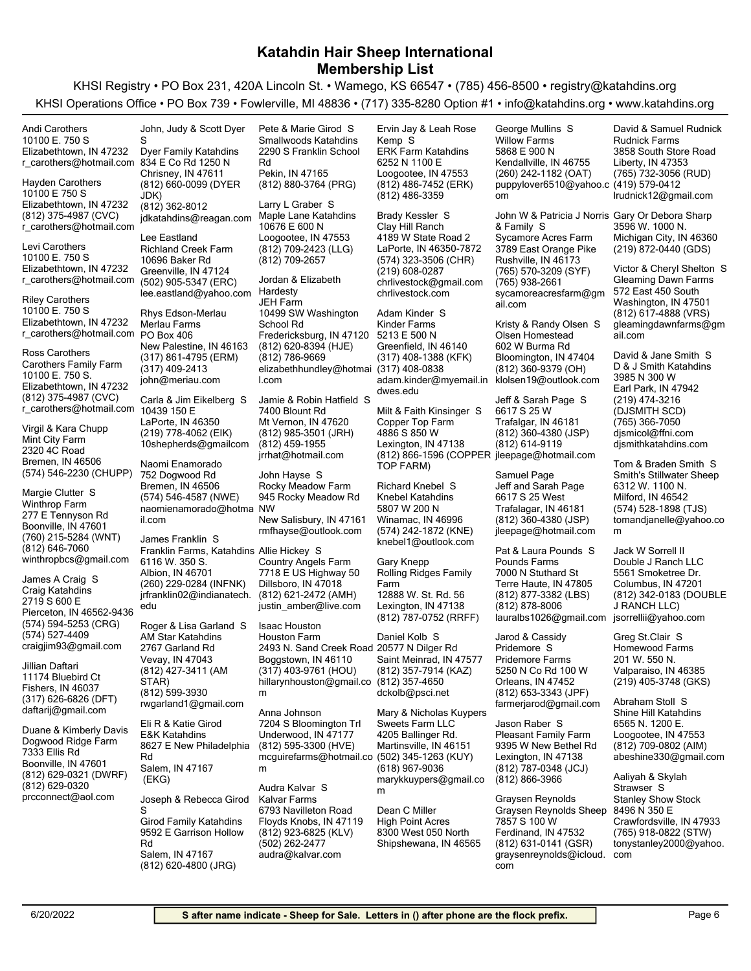KHSI Registry • PO Box 231, 420A Lincoln St. • Wamego, KS 66547 • (785) 456-8500 • registry@katahdins.org KHSI Operations Office • PO Box 739 • Fowlerville, MI 48836 • (717) 335-8280 Option #1 • info@katahdins.org • www.katahdins.org

Elizabethtown, IN 47232 10100 E. 750 S r\_carothers@hotmail.com 834 E Co Rd 1250 N Andi Carothers (812) 375-4987 (CVC) Elizabethtown, IN 47232 10100 E 750 S r\_carothers@hotmail.com Hayden Carothers Elizabethtown, IN 47232 10100 E. 750 S r\_carothers@hotmail.com Levi Carothers Elizabethtown, IN 47232 10100 E. 750 S r\_carothers@hotmail.com Riley Carothers (812) 375-4987 (CVC) Elizabethtown, IN 47232 10100 E. 750 S. Carothers Family Farm r\_carothers@hotmail.com 10439 150 E Ross Carothers (574) 546-2230 (CHUPP) Bremen, IN 46506 2320 4C Road Mint City Farm Virgil & Kara Chupp (760) 215-5284 (WNT) Boonville, IN 47601 277 E Tennyson Rd Winthrop Farm winthropbcs@gmail.com (812) 646-7060 Margie Clutter S (574) 594-5253 (CRG) Pierceton, IN 46562-9436 2719 S 600 E Craig Katahdins craigjim93@gmail.com (574) 527-4409 James A Craig S 11174 Bluebird Ct Jillian Daftari (812) 660-0099 (DYER JDK) Chrisney, IN 47611 Dyer Family Katahdins jdkatahdins@reagan.com (812) 362-8012 John, Judy & Scott Dyer S (502) 905-5347 (ERC) Greenville, IN 47124 10696 Baker Rd Richland Creek Farm lee.eastland@yahoo.com Lee Eastland (317) 861-4795 (ERM) New Palestine, IN 46163 PO Box 406 Merlau Farms john@meriau.com (317) 409-2413 Rhys Edson-Merlau (219) 778-4062 (EIK) LaPorte, IN 46350 10shepherds@gmailcom Carla & Jim Eikelberg S (574) 546-4587 (NWE) Bremen, IN 46506 752 Dogwood Rd naomienamorado@hotma NW il.com Naomi Enamorado (260) 229-0284 (INFNK) Albion, IN 46701 6116 W. 350 S. Franklin Farms, Katahdins Allie Hickey S jrfranklin02@indianatech. edu James Franklin S (812) 427-3411 (AM Vevay, IN 47043 2767 Garland Rd AM Star Katahdins Roger & Lisa Garland S (812) 880-3764 (PRG) Pekin, IN 47165 2290 S Franklin School Rd Smallwoods Katahdins Pete & Marie Girod S (812) 709-2423 (LLG) Loogootee, IN 47553 10676 E 600 N Maple Lane Katahdins (812) 709-2657 Larry L Graber S (812) 620-8394 (HJE) Fredericksburg, IN 47120 10499 SW Washington School Rd JEH Farm elizabethhundley@hotmai (317) 408-0838 l.com (812) 786-9669 Jordan & Elizabeth Hardesty (812) 985-3501 (JRH) Mt Vernon, IN 47620 7400 Blount Rd jrrhat@hotmail.com (812) 459-1955 Jamie & Robin Hatfield S New Salisbury, IN 47161 945 Rocky Meadow Rd Rocky Meadow Farm rmfhayse@outlook.com John Hayse S (812) 621-2472 (AMH) Dillsboro, IN 47018 7718 E US Highway 50 Country Angels Farm justin\_amber@live.com (317) 403-9761 (HOU) Boggstown, IN 46110 2493 N. Sand Creek Road 20577 N Dilger Rd Houston Farm Isaac Houston (812) 486-7452 (ERK) Loogootee, IN 47553 6252 N 1100 E ERK Farm Katahdins (812) 486-3359 Ervin Jay & Leah Rose Kemp S (574) 323-3506 (CHR) LaPorte, IN 46350-7872 4189 W State Road 2 Clay Hill Ranch chrlivestock@gmail.com (219) 608-0287 chrlivestock.com Brady Kessler S (317) 408-1388 (KFK) Greenfield, IN 46140 5213 E 500 N Kinder Farms adam.kinder@myemail.in klolsen19@outlook.com dwes.edu Adam Kinder S (812) 866-1596 (COPPER jleepage@hotmail.com TOP FARM) Lexington, IN 47138 4886 S 850 W Copper Top Farm Milt & Faith Kinsinger S (574) 242-1872 (KNE) Winamac, IN 46996 5807 W 200 N Knebel Katahdins knebel1@outlook.com Richard Knebel S (812) 787-0752 (RRFF) Lexington, IN 47138 12888 W. St. Rd. 56 Rolling Ridges Family Farm Gary Knepp (812) 357-7914 (KAZ) Saint Meinrad, IN 47577 Daniel Kolb S (260) 242-1182 (OAT) Kendallville, IN 46755 5868 E 900 N Willow Farms puppylover6510@yahoo.c (419) 579-0412 om George Mullins S (765) 570-3209 (SYF) Rushville, IN 46173 3789 East Orange Pike Sycamore Acres Farm sycamoreacresfarm@gm ail.com (765) 938-2661 John W & Patricia J Norris Gary Or Debora Sharp & Family S (812) 360-9379 (OH) Bloomington, IN 47404 602 W Burma Rd Olsen Homestead Kristy & Randy Olsen S (812) 360-4380 (JSP) Trafalgar, IN 46181 6617 S 25 W (812) 614-9119 Jeff & Sarah Page S (812) 360-4380 (JSP) Trafalagar, IN 46181 6617 S 25 West Jeff and Sarah Page jleepage@hotmail.com Samuel Page (812) 877-3382 (LBS) Terre Haute, IN 47805 7000 N Stuthard St Pounds Farms lauralbs1026@gmail.com jsorrellii@yahoo.com (812) 878-8006 Pat & Laura Pounds S 5250 N Co Rd 100 W Pridemore Farms Jarod & Cassidy Pridemore S (765) 732-3056 (RUD) Liberty, IN 47353 3858 South Store Road Rudnick Farms lrudnick12@gmail.com David & Samuel Rudnick (219) 872-0440 (GDS) Michigan City, IN 46360 3596 W. 1000 N. (812) 617-4888 (VRS) Washington, IN 47501 572 East 450 South Gleaming Dawn Farms gleamingdawnfarms@gm ail.com Victor & Cheryl Shelton S (219) 474-3216 (DJSMITH SCD) Earl Park, IN 47942 3985 N 300 W D & J Smith Katahdins djsmicol@ffni.com (765) 366-7050 djsmithkatahdins.com David & Jane Smith S (574) 528-1898 (TJS) Milford, IN 46542 6312 W. 1100 N. Smith's Stillwater Sheep tomandjanelle@yahoo.co m Tom & Braden Smith S (812) 342-0183 (DOUBLE J RANCH LLC) Columbus, IN 47201 5561 Smoketree Dr. Double J Ranch LLC Jack W Sorrell II (219) 405-3748 (GKS) Valparaiso, IN 46385 201 W. 550 N. Homewood Farms Greg St.Clair S

> (812) 709-0802 (AIM) Loogootee, IN 47553 6565 N. 1200 E. Shine Hill Katahdins abeshine330@gmail.com Abraham Stoll S

> (765) 918-0822 (STW) Crawfordsville, IN 47933 8496 N 350 E Stanley Show Stock tonystanley2000@yahoo. com Aaliyah & Skylah Strawser S

STAR) rwgarland1@gmail.com (812) 599-3930

 (EKG) Salem, IN 47167 8627 E New Philadelphia Rd E&K Katahdins Eli R & Katie Girod (812) 620-4800 (JRG) Salem, IN 47167 9592 E Garrison Hollow Rd Girod Family Katahdins Joseph & Rebecca Girod S

hillarynhouston@gmail.co m

(812) 595-3300 (HVE) Underwood, IN 47177 7204 S Bloomington Trl mcguirefarms@hotmail.co (502) 345-1263 (KUY) m Anna Johnson

(812) 923-6825 (KLV) Floyds Knobs, IN 47119 6793 Navilleton Road Kalvar Farms audra@kalvar.com (502) 262-2477 Audra Kalvar S

dckolb@psci.net (812) 357-4650

Martinsville, IN 46151 4205 Ballinger Rd. Sweets Farm LLC marykkuypers@gmail.co m (618) 967-9036 Mary & Nicholas Kuypers

Shipshewana, IN 46565 8300 West 050 North High Point Acres Dean C Miller

(812) 653-3343 (JPF) Orleans, IN 47452 farmerjarod@gmail.com

(812) 787-0348 (JCJ) Lexington, IN 47138 9395 W New Bethel Rd Pleasant Family Farm (812) 866-3966 Jason Raber S

(812) 631-0141 (GSR) Ferdinand, IN 47532 7857 S 100 W Graysen Reynolds Sheep graysenreynolds@icloud. com Graysen Reynolds

(317) 626-6826 (DFT) Fishers, IN 46037

(812) 629-0321 (DWRF) Boonville, IN 47601 7333 Ellis Rd Dogwood Ridge Farm

Duane & Kimberly Davis

prcconnect@aol.com (812) 629-0320

daftarij@gmail.com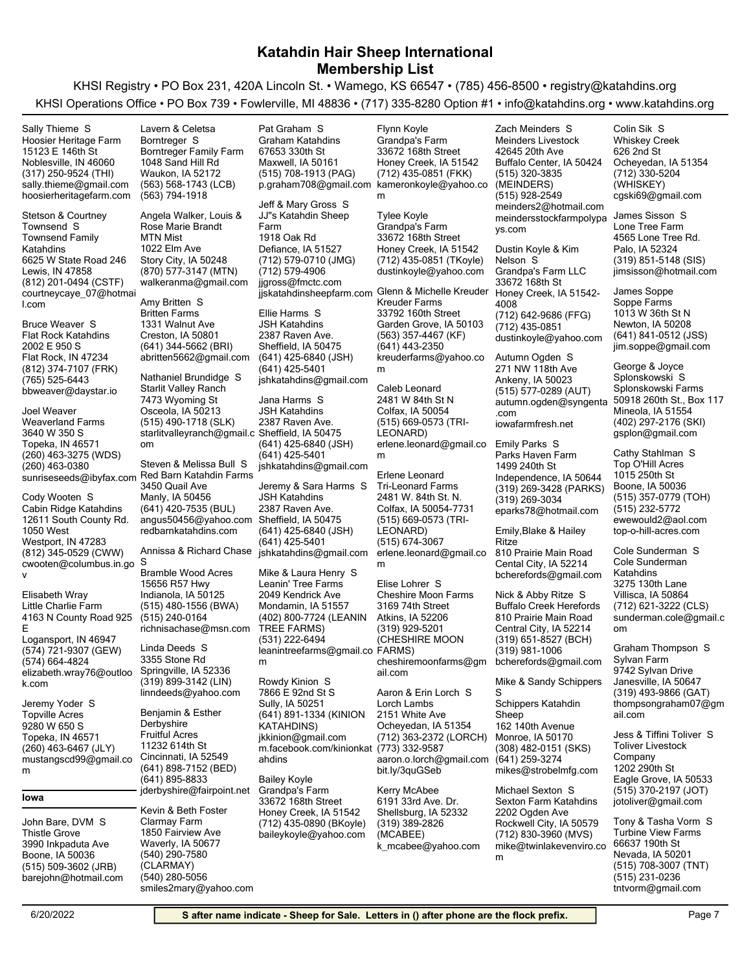KHSI Registry • PO Box 231, 420A Lincoln St. • Wamego, KS 66547 • (785) 456-8500 • registry@katahdins.org KHSI Operations Office • PO Box 739 • Fowlerville, MI 48836 • (717) 335-8280 Option #1 • info@katahdins.org • www.katahdins.org

(317) 250-9524 (THI) Noblesville, IN 46060 15123 E 146th St Hoosier Heritage Farm sally.thieme@gmail.com hoosierheritagefarm.com Sally Thieme S

(812) 201-0494 (CSTF) Lewis, IN 47858 6625 W State Road 246 Townsend Family Katahdins courtneycaye\_07@hotmai l.com Stetson & Courtney Townsend S

(812) 374-7107 (FRK) Flat Rock, IN 47234 2002 E 950 S Flat Rock Katahdins bbweaver@daystar.io (765) 525-6443 Bruce Weaver S

(260) 463-3275 (WDS) Topeka, IN 46571 3640 W 350 S Weaverland Farms (260) 463-0380 Joel Weaver

(812) 345-0529 (CWW) Westport, IN 47283 12611 South County Rd. 1050 West Cabin Ridge Katahdins cwooten@columbus.in.go S v Cody Wooten S

(574) 721-9307 (GEW) Logansport, IN 46947 4163 N County Road 925 E Little Charlie Farm elizabeth.wray76@outloo k.com (574) 664-4824 Elisabeth Wray

(260) 463-6467 (JLY) Topeka, IN 46571 9280 W 650 S Topville Acres mustangscd99@gmail.co m Jeremy Yoder S

#### **Iowa**

(515) 509-3602 (JRB) Boone, IA 50036 3990 Inkpaduta Ave Thistle Grove barejohn@hotmail.com John Bare, DVM S

(563) 568-1743 (LCB) Waukon, IA 52172 1048 Sand Hill Rd Borntreger Family Farm (563) 794-1918 Lavern & Celetsa Borntreger S

(870) 577-3147 (MTN) Story City, IA 50248 1022 Elm Ave MTN Mist walkeranma@gmail.com Angela Walker, Louis & Rose Marie Brandt

(641) 344-5662 (BRI) Creston, IA 50801 1331 Walnut Ave Britten Farms abritten5662@gmail.com Amy Britten S

(515) 490-1718 (SLK) Osceola, IA 50213 7473 Wyoming St Starlit Valley Ranch starlitvalleyranch@gmail.c Sheffield, IA 50475 om Nathaniel Brundidge S

sunriseseeds@ibyfax.com Red Barn Katahdin Farms (641) 420-7535 (BUL) Manly, IA 50456 3450 Quail Ave angus50456@yahoo.com redbarnkatahdins.com Steven & Melissa Bull S

> Bramble Wood Acres Annissa & Richard Chase

(515) 480-1556 (BWA) Indianola, IA 50125 15656 R57 Hwy richnisachase@msn.com (515) 240-0164

(319) 899-3142 (LIN) Springville, IA 52336 3355 Stone Rd linndeeds@yahoo.com Linda Deeds S

(641) 898-7152 (BED) Cincinnati, IA 52549 11232 614th St Fruitful Acres jderbyshire@fairpoint.net (641) 895-8833 Benjamin & Esther Derbyshire

(540) 290-7580  $(CI$  ARMAY) Waverly, IA 50677 1850 Fairview Ave Clarmay Farm smiles2mary@yahoo.com (540) 280-5056 Kevin & Beth Foster

(515) 708-1913 (PAG) Maxwell, IA 50161 67653 330th St Graham Katahdins p.graham708@gmail.com Pat Graham S

(712) 579-0710 (JMG) Defiance, IA 51527 1918 Oak Rd JJ"s Katahdin Sheep Farm jjgross@fmctc.com (712) 579-4906 jjskatahdinsheepfarm.com Jeff & Mary Gross S

(641) 425-6840 (JSH) Sheffield, IA 50475 2387 Raven Ave. JSH Katahdins jshkatahdins@gmail.com (641) 425-5401 Ellie Harms S

(641) 425-6840 (JSH) 2387 Raven Ave. JSH Katahdins jshkatahdins@gmail.com (641) 425-5401 Jana Harms S (641) 425-6840 (JSH) Sheffield, IA 50475 2387 Raven Ave. JSH Katahdins jshkatahdins@gmail.com (641) 425-5401 Jeremy & Sara Harms S Mike & Laura Henry S

(402) 800-7724 (LEANIN TREE FARMS) Mondamin, IA 51557 2049 Kendrick Ave Leanin' Tree Farms leanintreefarms@gmail.co FARMS) m (531) 222-6494

(641) 891-1334 (KINION KATAHDINS) Sully, IA 50251 7866 E 92nd St S jkkinion@gmail.com m.facebook.com/kinionkat (773) 332-9587 ahdins Rowdy Kinion S

(712) 435-0890 (BKoyle) Honey Creek, IA 51542 33672 168th Street Grandpa's Farm baileykoyle@yahoo.com Bailey Koyle

(712) 435-0851 (FKK) Honey Creek, IA 51542 33672 168th Street Grandpa's Farm kameronkoyle@yahoo.co m Flynn Koyle

(712) 435-0851 (TKoyle) Honey Creek, IA 51542 33672 168th Street Grandpa's Farm dustinkoyle@yahoo.com Tylee Koyle

(563) 357-4467 (KF) Garden Grove, IA 50103 33792 160th Street Kreuder Farms kreuderfarms@yahoo.co m (641) 443-2350 Glenn & Michelle Kreuder

(515) 669-0573 (TRI-LEONARD) Colfax, IA 50054 2481 W 84th St N erlene.leonard@gmail.co Emily Parks S m Caleb Leonard

(515) 669-0573 (TRI-LEONARD) Colfax, IA 50054-7731 2481 W. 84th St. N. Tri-Leonard Farms erlene.leonard@gmail.co m (515) 674-3067 Erlene Leonard

(319) 929-5201 (CHESHIRE MOON Atkins, IA 52206 3169 74th Street Cheshire Moon Farms cheshiremoonfarms@gm ail.com Elise Lohrer S

(712) 363-2372 (LORCH) Ocheyedan, IA 51354 2151 White Ave Lorch Lambs aaron.o.lorch@gmail.com bit.ly/3quGSeb Aaron & Erin Lorch S

(319) 389-2826 (MCABEE) Shellsburg, IA 52332 6191 33rd Ave. Dr. k\_mcabee@yahoo.com Kerry McAbee

(515) 320-3835 (MEINDERS) Buffalo Center, IA 50424 42645 20th Ave Meinders Livestock meinders2@hotmail.com (515) 928-2549 meindersstockfarmpolypa ys.com Zach Meinders S

(712) 642-9686 (FFG) Honey Creek, IA 51542- 4008 33672 168th St Grandpa's Farm LLC dustinkoyle@yahoo.com (712) 435-0851 Dustin Koyle & Kim Nelson S

(515) 577-0289 (AUT) Ankeny, IA 50023 271 NW 118th Ave autumn.ogden@syngenta .com iowafarmfresh.net Autumn Ogden S

(319) 269-3428 (PARKS) Independence, IA 50644 1499 240th St Parks Haven Farm eparks78@hotmail.com (319) 269-3034

Emily,Blake & Hailey Ritze

Cental City, IA 52214 810 Prairie Main Road bcherefords@gmail.com

(319) 651-8527 (BCH) Central City, IA 52214 810 Prairie Main Road Buffalo Creek Herefords bcherefords@gmail.com (319) 981-1006 Nick & Abby Ritze S

(308) 482-0151 (SKS) Monroe, IA 50170 162 140th Avenue Schippers Katahdin Sheep (641) 259-3274 Mike & Sandy Schippers S

(712) 830-3960 (MVS) Rockwell City, IA 50579 2202 Ogden Ave Sexton Farm Katahdins mike@twinlakevenviro.co m Michael Sexton S

mikes@strobelmfg.com

(712) 330-5204 (WHISKEY) Ocheyedan, IA 51354 626 2nd St Whiskey Creek cgski69@gmail.com Colin Sik S

(319) 851-5148 (SIS) Palo, IA 52324 4565 Lone Tree Rd. Lone Tree Farm jimsisson@hotmail.com James Sisson S

(641) 841-0512 (JSS) Newton, IA 50208 1013 W 36th St N Soppe Farms jim.soppe@gmail.com James Soppe

(402) 297-2176 (SKI) Mineola, IA 51554 50918 260th St., Box 117 Splonskowski Farms gsplon@gmail.com George & Joyce Splonskowski S

(515) 357-0779 (TOH) Boone, IA 50036 1015 250th St Top O'Hill Acres ewewould2@aol.com (515) 232-5772 top-o-hill-acres.com Cathy Stahlman S

(712) 621-3222 (CLS) Villisca, IA 50864 3275 130th Lane Cole Sunderman Katahdins sunderman.cole@gmail.c om Cole Sunderman S

(319) 493-9866 (GAT) Janesville, IA 50647 9742 Sylvan Drive Sylvan Farm thompsongraham07@gm ail.com Graham Thompson S

(515) 370-2197 (JOT) Eagle Grove, IA 50533 1202 290th St Toliver Livestock Company jotoliver@gmail.com Jess & Tiffini Toliver S

(515) 708-3007 (TNT) Nevada, IA 50201 66637 190th St Turbine View Farms tntvorm@gmail.com (515) 231-0236 Tony & Tasha Vorm S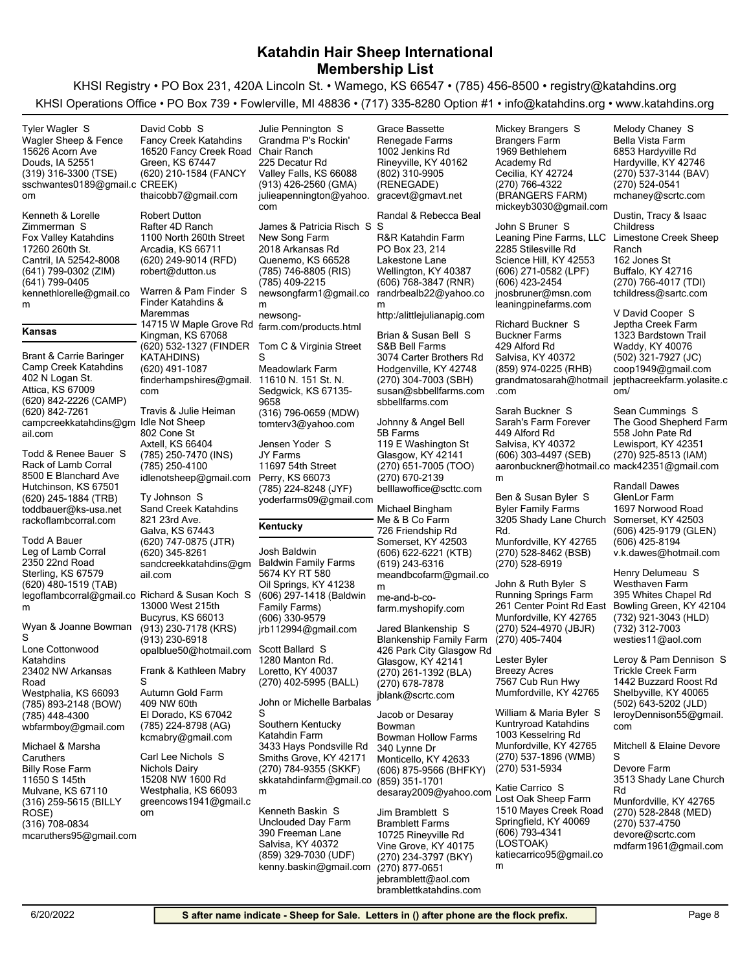KHSI Registry • PO Box 231, 420A Lincoln St. • Wamego, KS 66547 • (785) 456-8500 • registry@katahdins.org KHSI Operations Office • PO Box 739 • Fowlerville, MI 48836 • (717) 335-8280 Option #1 • info@katahdins.org • www.katahdins.org

(319) 316-3300 (TSE) Douds, IA 52551 15626 Acorn Ave Wagler Sheep & Fence sschwantes0189@gmail.c CREEK) om Tyler Wagler S (641) 799-0302 (ZIM) Cantril, IA 52542-8008 17260 260th St. Fox Valley Katahdins kennethlorelle@gmail.co m (641) 799-0405 Kenneth & Lorelle Zimmerman S **Kansas** (620) 842-2226 (CAMP) Attica, KS 67009 402 N Logan St. Camp Creek Katahdins campcreekkatahdins@gm ail.com (620) 842-7261 Brant & Carrie Baringer (620) 245-1884 (TRB) Hutchinson, KS 67501 8500 E Blanchard Ave Rack of Lamb Corral toddbauer@ks-usa.net rackoflambcorral.com Todd & Renee Bauer S (620) 480-1519 (TAB) Sterling, KS 67579 2350 22nd Road Leg of Lamb Corral legoflambcorral@gmail.co Richard & Susan Koch S m Todd A Bauer (785) 893-2148 (BOW) Westphalia, KS 66093 23402 NW Arkansas Road Lone Cottonwood Katahdins wbfarmboy@gmail.com (785) 448-4300 Wyan & Joanne Bowman S (316) 259-5615 (BILLY ROSE) Mulvane, KS 67110 11650 S 145th Billy Rose Farm mcaruthers95@gmail.com (316) 708-0834 Michael & Marsha **Caruthers** (620) 210-1584 (FANCY Green, KS 67447 16520 Fancy Creek Road Fancy Creek Katahdins thaicobb7@gmail.com David Cobb S (620) 249-9014 (RFD) Arcadia, KS 66711 1100 North 260th Street Rafter 4D Ranch robert@dutton.us Robert Dutton (620) 532-1327 (FINDER KATAHDINS) Kingman, KS 67068 14715 W Maple Grove Rd farm.com/products.html Finder Katahdins & Maremmas finderhampshires@gmail. com (620) 491-1087 Warren & Pam Finder S (785) 250-7470 (INS) Axtell, KS 66404 802 Cone St Idle Not Sheep idlenotsheep@gmail.com (785) 250-4100 Travis & Julie Heiman (620) 747-0875 (JTR) Galva, KS 67443 821 23rd Ave. Sand Creek Katahdins sandcreekkatahdins@gm ail.com (620) 345-8261 Ty Johnson S (913) 230-7178 (KRS) Bucyrus, KS 66013 13000 West 215th opalblue50@hotmail.com (913) 230-6918 (785) 224-8798 (AG) El Dorado, KS 67042 409 NW 60th Autumn Gold Farm kcmabry@gmail.com Frank & Kathleen Mabry S Westphalia, KS 66093 15208 NW 1600 Rd Nichols Dairy greencows1941@gmail.c om Carl Lee Nichols S (913) 426-2560 (GMA) Valley Falls, KS 66088 225 Decatur Rd Grandma P's Rockin' Chair Ranch julieapennington@yahoo. com Julie Pennington S (785) 746-8805 (RIS) Quenemo, KS 66528 2018 Arkansas Rd New Song Farm newsongfarm1@gmail.co m (785) 409-2215 newsong-James & Patricia Risch S S (316) 796-0659 (MDW) Sedgwick, KS 67135- 9658 11610 N. 151 St. N. Meadowlark Farm tomterv3@yahoo.com Tom C & Virginia Street S (785) 224-8248 (JYF) Perry, KS 66073 11697 54th Street JY Farms yoderfarms09@gmail.com Jensen Yoder S **Kentucky** (606) 297-1418 (Baldwin Family Farms) Oil Springs, KY 41238 5674 KY RT 580 Baldwin Family Farms jrb112994@gmail.com (606) 330-9579 Josh Baldwin (270) 402-5995 (BALL) Loretto, KY 40037 1280 Manton Rd. Scott Ballard S (270) 784-9355 (SKKF) Smiths Grove, KY 42171 3433 Hays Pondsville Rd Southern Kentucky Katahdin Farm skkatahdinfarm@gmail.co m John or Michelle Barbalas S Salvisa, KY 40372 390 Freeman Lane Unclouded Day Farm Kenneth Baskin S (802) 310-9905 (RENEGADE) Rineyville, KY 40162 1002 Jenkins Rd Renegade Farms gracevt@gmavt.net Grace Bassette (606) 768-3847 (RNR) Wellington, KY 40387 PO Box 23, 214 Lakestone Lane R&R Katahdin Farm randrbealb22@yahoo.co m http:/alittlejulianapig.com Randal & Rebecca Beal (270) 304-7003 (SBH) Hodgenville, KY 42748 3074 Carter Brothers Rd S&B Bell Farms susan@sbbellfarms.com sbbellfarms.com Brian & Susan Bell S (270) 651-7005 (TOO) Glasgow, KY 42141 119 E Washington St 5B Farms belllawoffice@scttc.com (270) 670-2139 Johnny & Angel Bell (606) 622-6221 (KTB) Somerset, KY 42503 726 Friendship Rd Me & B Co Farm meandbcofarm@gmail.co m (619) 243-6316 me-and-b-cofarm.myshopify.com Michael Bingham (270) 261-1392 (BLA) Glasgow, KY 42141 426 Park City Glasgow Rd Blankenship Family Farm jblank@scrtc.com (270) 678-7878 Jared Blankenship S (606) 875-9566 (BHFKY) Monticello, KY 42633 340 Lynne Dr Bowman Hollow Farms desaray2009@yahoo.com Katie Carrico S (859) 351-1701 Jacob or Desaray Bowman Vine Grove, KY 40175 10725 Rineyville Rd Bramblett Farms Jim Bramblett S (270) 766-4322 (BRANGERS FARM) Cecilia, KY 42724 1969 Bethlehem Academy Rd Brangers Farm mickeyb3030@gmail.com Mickey Brangers S (606) 271-0582 (LPF) Science Hill, KY 42553 2285 Stilesville Rd Leaning Pine Farms, LLC Limestone Creek Sheep jnosbruner@msn.com (606) 423-2454 leaningpinefarms.com John S Bruner S (859) 974-0225 (RHB) Salvisa, KY 40372 429 Alford Rd Buckner Farms grandmatosarah@hotmail jepthacreekfarm.yolasite.c .com Richard Buckner S (606) 303-4497 (SEB) Salvisa, KY 40372 449 Alford Rd Sarah's Farm Forever aaronbuckner@hotmail.co mack42351@gmail.com m Sarah Buckner S (270) 528-8462 (BSB) Munfordville, KY 42765 3205 Shady Lane Church Rd. Byler Family Farms (270) 528-6919 Ben & Susan Byler S (270) 524-4970 (JBJR) Munfordville, KY 42765 261 Center Point Rd East Running Springs Farm (270) 405-7404 John & Ruth Byler S Mumfordville, KY 42765 7567 Cub Run Hwy Breezy Acres Lester Byler (270) 537-1896 (WMB) Munfordville, KY 42765 1003 Kesselring Rd Kuntryroad Katahdins (270) 531-5934 William & Maria Byler S (606) 793-4341 (LOSTOAK) Springfield, KY 40069 1510 Mayes Creek Road Lost Oak Sheep Farm (270) 537-3144 (BAV) Hardyville, KY 42746 6853 Hardyville Rd Bella Vista Farm mchaney@scrtc.com (270) 524-0541 Melody Chaney S (270) 766-4017 (TDI) Buffalo, KY 42716 162 Jones St Ranch tchildress@sartc.com Dustin, Tracy & Isaac Childress (502) 321-7927 (JC) Waddy, KY 40076 1323 Bardstown Trail Jeptha Creek Farm coop1949@gmail.com om/ V David Cooper S (270) 925-8513 (IAM) Lewisport, KY 42351 558 John Pate Rd The Good Shepherd Farm Sean Cummings S (606) 425-9179 (GLEN) Somerset, KY 42503 1697 Norwood Road GlenLor Farm v.k.dawes@hotmail.com (606) 425-8194 Randall Dawes (732) 921-3043 (HLD) Bowling Green, KY 42104 395 Whites Chapel Rd Westhaven Farm westies11@aol.com (732) 312-7003 Henry Delumeau S (502) 643-5202 (JLD) Shelbyville, KY 40065 1442 Buzzard Roost Rd Trickle Creek Farm leroyDennison55@gmail. com Leroy & Pam Dennison S (270) 528-2848 (MED) Munfordville, KY 42765 3513 Shady Lane Church Rd Devore Farm devore@scrtc.com mdfarm1961@gmail.com (270) 537-4750 Mitchell & Elaine Devore S

(270) 234-3797 (BKY)

katiecarrico95@gmail.co

m

jebramblett@aol.com (270) 877-0651

bramblettkatahdins.com

(859) 329-7030 (UDF)

kenny.baskin@gmail.com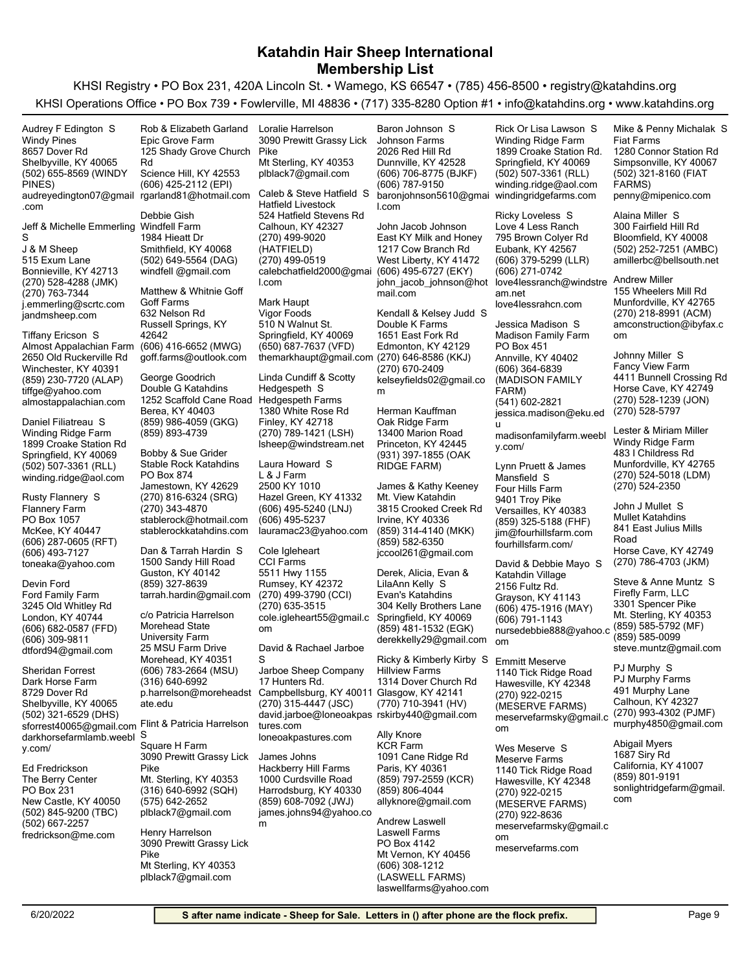KHSI Registry • PO Box 231, 420A Lincoln St. • Wamego, KS 66547 • (785) 456-8500 • registry@katahdins.org KHSI Operations Office • PO Box 739 • Fowlerville, MI 48836 • (717) 335-8280 Option #1 • info@katahdins.org • www.katahdins.org

(502) 655-8569 (WINDY PINES) Shelbyville, KY 40065 8657 Dover Rd Windy Pines audreyedington07@gmail .com Audrey F Edington S

Jeff & Michelle Emmerling Windfell Farm S

(270) 528-4288 (JMK) Bonnieville, KY 42713 515 Exum Lane J & M Sheep j.emmerling@scrtc.com (270) 763-7344 jandmsheep.com

(859) 230-7720 (ALAP) Winchester, KY 40391 2650 Old Ruckerville Rd Almost Appalachian Farm tiffge@yahoo.com almostappalachian.com Tiffany Ericson S

(502) 507-3361 (RLL) Springfield, KY 40069 1899 Croake Station Rd Winding Ridge Farm winding.ridge@aol.com Daniel Filiatreau S

(606) 287-0605 (RFT) McKee, KY 40447 PO Box 1057 Flannery Farm toneaka@yahoo.com (606) 493-7127 Rusty Flannery S

(606) 682-0587 (FFD) London, KY 40744 3245 Old Whitley Rd Ford Family Farm dtford94@gmail.com (606) 309-9811 Devin Ford

(502) 321-6529 (DHS) Shelbyville, KY 40065 8729 Dover Rd Dark Horse Farm sforrest40065@gmail.com Flint & Patricia Harrelson darkhorsefarmlamb.weebl S y.com/ Sheridan Forrest

(502) 845-9200 (TBC) New Castle, KY 40050 PO Box 231 The Berry Center fredrickson@me.com (502) 667-2257 Ed Fredrickson

(606) 425-2112 (EPI) Science Hill, KY 42553 125 Shady Grove Church Rd Epic Grove Farm rgarland81@hotmail.com

Rob & Elizabeth Garland

(502) 649-5564 (DAG) Smithfield, KY 40068 1984 Hieatt Dr windfell @gmail.com Debbie Gish

(606) 416-6652 (MWG) Russell Springs, KY 42642 632 Nelson Rd Goff Farms goff.farms@outlook.com Matthew & Whitnie Goff

(859) 986-4059 (GKG) Berea, KY 40403 1252 Scaffold Cane Road Double G Katahdins (859) 893-4739 George Goodrich

(270) 816-6324 (SRG) Jamestown, KY 42629 PO Box 874 Stable Rock Katahdins stablerock@hotmail.com (270) 343-4870 stablerockkatahdins.com Bobby & Sue Grider

Guston, KY 40142 1500 Sandy Hill Road tarrah.hardin@gmail.com (859) 327-8639 Dan & Tarrah Hardin S

(606) 783-2664 (MSU) Morehead, KY 40351 25 MSU Farm Drive Morehead State University Farm p.harrelson@moreheadst ate.edu (316) 640-6992 c/o Patricia Harrelson

(316) 640-6992 (SQH) Mt. Sterling, KY 40353 3090 Prewitt Grassy Lick Pike Square H Farm plblack7@gmail.com (575) 642-2652

Mt Sterling, KY 40353 3090 Prewitt Grassy Lick Pike plblack7@gmail.com Henry Harrelson

Mt Sterling, KY 40353 3090 Prewitt Grassy Lick Pike plblack7@gmail.com Loralie Harrelson

(270) 499-9020 (HATFIELD) Calhoun, KY 42327 524 Hatfield Stevens Rd Hatfield Livestock calebchatfield2000@gmai l.com (270) 499-0519 Caleb & Steve Hatfield S

(650) 687-7637 (VFD) Springfield, KY 40069 510 N Walnut St. Vigor Foods themarkhaupt@gmail.com (270) 646-8586 (KKJ) Mark Haupt

(270) 789-1421 (LSH) Finley, KY 42718 1380 White Rose Rd Hedgespeth Farms lsheep@windstream.net Linda Cundiff & Scotty Hedgespeth S

(606) 495-5240 (LNJ) Hazel Green, KY 41332 2500 KY 1010 L & J Farm lauramac23@yahoo.com (606) 495-5237 Laura Howard S

(270) 499-3790 (CCI) Rumsey, KY 42372 5511 Hwy 1155 CCI Farms cole.igleheart55@gmail.c om (270) 635-3515 Cole Igleheart

David & Rachael Jarboe S

(270) 315-4447 (JSC) Campbellsburg, KY 40011 17 Hunters Rd. Jarboe Sheep Company david.jarboe@loneoakpas rskirby440@gmail.com tures.com loneoakpastures.com

(859) 608-7092 (JWJ) Harrodsburg, KY 40330 1000 Curdsville Road Hackberry Hill Farms james.johns94@yahoo.co James Johns

m

(606) 706-8775 (BJKF) Dunnville, KY 42528 2026 Red Hill Rd Johnson Farms baronjohnson5610@gmai windingridgefarms.com l.com (606) 787-9150 Baron Johnson S

(606) 495-6727 (EKY) West Liberty, KY 41472 1217 Cow Branch Rd East KY Milk and Honey mail.com John Jacob Johnson

Edmonton, KY 42129 1651 East Fork Rd Double K Farms kelseyfields02@gmail.co m (270) 670-2409 Kendall & Kelsey Judd S

(931) 397-1855 (OAK RIDGE FARM) Princeton, KY 42445 13400 Marion Road Oak Ridge Farm Herman Kauffman

(859) 314-4140 (MKK) Irvine, KY 40336 3815 Crooked Creek Rd Mt. View Katahdin jccool261@gmail.com (859) 582-6350 James & Kathy Keeney

(859) 481-1532 (EGK) Springfield, KY 40069 304 Kelly Brothers Lane Evan's Katahdins derekkelly29@gmail.com Derek, Alicia, Evan & LilaAnn Kelly S

(770) 710-3941 (HV) Glasgow, KY 42141 1314 Dover Church Rd Hillview Farms Ricky & Kimberly Kirby S

(859) 797-2559 (KCR) Paris, KY 40361 1091 Cane Ridge Rd KCR Farm allyknore@gmail.com (859) 806-4044 Ally Knore

(606) 308-1212 (LASWELL FARMS) Mt Vernon, KY 40456 PO Box 4142 Laswell Farms laswellfarms@yahoo.com Andrew Laswell

(502) 507-3361 (RLL) Springfield, KY 40069 1899 Croake Station Rd. Winding Ridge Farm winding.ridge@aol.com Rick Or Lisa Lawson S

john\_jacob\_johnson@hot love4lessranch@windstre (606) 379-5299 (LLR) Eubank, KY 42567 795 Brown Colyer Rd Love 4 Less Ranch am.net (606) 271-0742 love4lessrahcn.com Ricky Loveless S

> (606) 364-6839 (MADISON FAMILY FARM) Annville, KY 40402 PO Box 451 Madison Family Farm jessica.madison@eku.ed u (541) 602-2821 Jessica Madison S

madisonfamilyfarm.weebl y.com/

(859) 325-5188 (FHF) Versailles, KY 40383 9401 Troy Pike Four Hills Farm jim@fourhillsfarm.com fourhillsfarm.com/ Lynn Pruett & James Mansfield S

(606) 475-1916 (MAY) Grayson, KY 41143 2156 Fultz Rd. Katahdin Village nursedebbie888@yahoo.c om (606) 791-1143 David & Debbie Mayo S

(270) 922-0215 (MESERVE FARMS) Hawesville, KY 42348 1140 Tick Ridge Road meservefarmsky@gmail.c om Emmitt Meserve

(270) 922-0215 (MESERVE FARMS) Hawesville, KY 42348 1140 Tick Ridge Road Meserve Farms meservefarmsky@gmail.c om (270) 922-8636 Wes Meserve S

meservefarms.com

(502) 321-8160 (FIAT FARMS) Simpsonville, KY 40067 1280 Connor Station Rd Fiat Farms penny@mipenico.com Mike & Penny Michalak S

(502) 252-7251 (AMBC) Bloomfield, KY 40008 300 Fairfield Hill Rd amillerbc@bellsouth.net Alaina Miller S

(270) 218-8991 (ACM) Munfordville, KY 42765 155 Wheelers Mill Rd amconstruction@ibyfax.c om Andrew Miller

(270) 528-1239 (JON) Horse Cave, KY 42749 4411 Bunnell Crossing Rd Fancy View Farm (270) 528-5797 Johnny Miller S

(270) 524-5018 (LDM) Munfordville, KY 42765 483 I Childress Rd Windy Ridge Farm (270) 524-2350 Lester & Miriam Miller

(270) 786-4703 (JKM) Horse Cave, KY 42749 841 East Julius Mills Road Mullet Katahdins John J Mullet S

(859) 585-5792 (MF) Mt. Sterling, KY 40353 3301 Spencer Pike Firefly Farm, LLC steve.muntz@gmail.com (859) 585-0099 Steve & Anne Muntz S

(270) 993-4302 (PJMF) Calhoun, KY 42327 491 Murphy Lane PJ Murphy Farms murphy4850@gmail.com PJ Murphy S

California, KY 41007 1687 Siry Rd sonlightridgefarm@gmail. com (859) 801-9191 Abigail Myers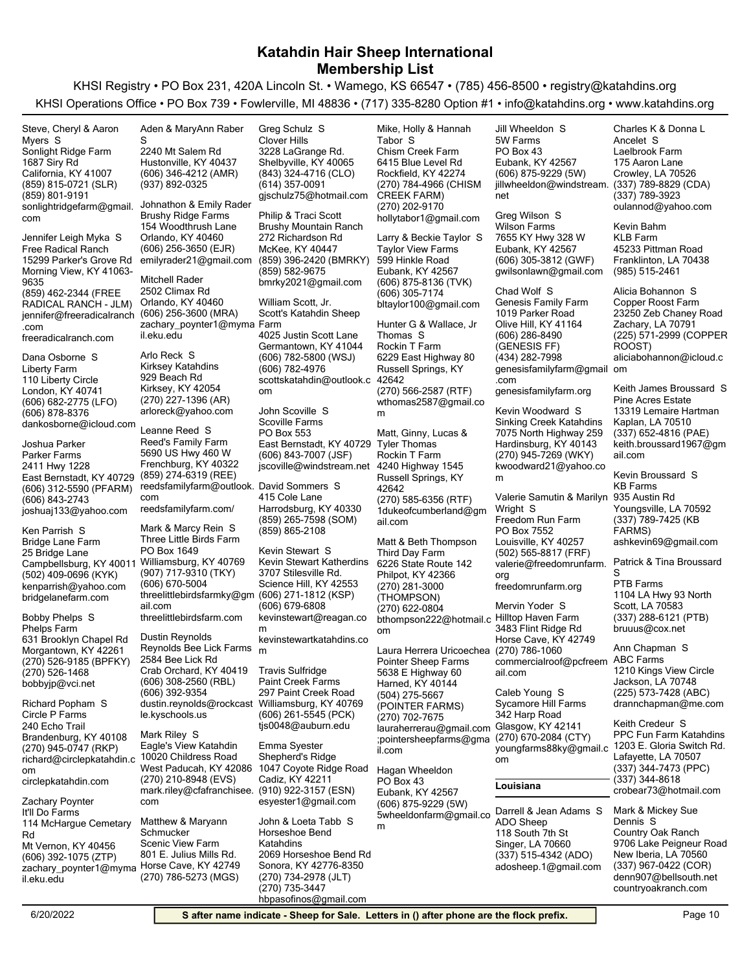KHSI Registry • PO Box 231, 420A Lincoln St. • Wamego, KS 66547 • (785) 456-8500 • registry@katahdins.org KHSI Operations Office • PO Box 739 • Fowlerville, MI 48836 • (717) 335-8280 Option #1 • info@katahdins.org • www.katahdins.org

(859) 815-0721 (SLR) California, KY 41007 1687 Siry Rd Sonlight Ridge Farm sonlightridgefarm@gmail. com (859) 801-9191 Steve, Cheryl & Aaron Myers S

(859) 462-2344 (FREE RADICAL RANCH - JLM) Morning View, KY 41063- 9635 15299 Parker's Grove Rd Free Radical Ranch jennifer@freeradicalranch (606) 256-3600 (MRA) .com freeradicalranch.com Jennifer Leigh Myka S

(606) 682-2775 (LFO) London, KY 40741 110 Liberty Circle Liberty Farm dankosborne@icloud.com (606) 878-8376 Dana Osborne S

(606) 312-5590 (PFARM) East Bernstadt, KY 40729 2411 Hwy 1228 Parker Farms joshuaj133@yahoo.com (606) 843-2743 Joshua Parker

(502) 409-0696 (KYK) Campbellsburg, KY 40011 Williamsburg, KY 40769 25 Bridge Lane Bridge Lane Farm kenparrish@yahoo.com bridgelanefarm.com Ken Parrish S

(270) 526-9185 (BPFKY) Morgantown, KY 42261 631 Brooklyn Chapel Rd Phelps Farm bobbyjp@vci.net (270) 526-1468 Bobby Phelps S

(270) 945-0747 (RKP) Brandenburg, KY 40108 240 Echo Trail Circle P Farms richard@circlepkatahdin.c om circlepkatahdin.com Richard Popham S

(606) 392-1075 (ZTP) Mt Vernon, KY 40456 114 McHargue Cemetary Rd It'll Do Farms zachary\_poynter1@myma Horse Cave, KY 42749 il.eku.edu Zachary Poynter

(606) 346-4212 (AMR) Hustonville, KY 40437 2240 Mt Salem Rd (937) 892-0325 Aden & MaryAnn Raber S

(606) 256-3650 (EJR) Orlando, KY 40460 154 Woodthrush Lane Brushy Ridge Farms emilyrader21@gmail.com Johnathon & Emily Rader

Orlando, KY 40460 2502 Climax Rd zachary\_poynter1@myma Farm il.eku.edu Mitchell Rader

(270) 227-1396 (AR) Kirksey, KY 42054 929 Beach Rd Kirksey Katahdins arloreck@yahoo.com Arlo Reck S

(859) 274-6319 (REE) Frenchburg, KY 40322 5690 US Hwy 460 W Reed's Family Farm reedsfamilyfarm@outlook. David Sommers S com reedsfamilyfarm.com/ Leanne Reed S

(907) 717-9310 (TKY) PO Box 1649 Three Little Birds Farm threelittlebirdsfarmky@gm ail.com (606) 670-5004 threelittlebirdsfarm.com Mark & Marcy Rein S

(606) 308-2560 (RBL) Crab Orchard, KY 40419 2584 Bee Lick Rd Reynolds Bee Lick Farms <sub>\_m</sub> dustin.reynolds@rockcast Williamsburg, KY 40769 le.kyschools.us (606) 392-9354 Dustin Reynolds

(270) 210-8948 (EVS) West Paducah, KY 42086 10020 Childress Road Eagle's View Katahdin mark.riley@cfafranchisee. com Mark Riley S

(270) 786-5273 (MGS) 801 E. Julius Mills Rd. Scenic View Farm Matthew & Maryann **Schmucker** 

(843) 324-4716 (CLO) Shelbyville, KY 40065 3228 LaGrange Rd. Clover Hills gjschulz75@hotmail.com (614) 357-0091 Greg Schulz S

(859) 396-2420 (BMRKY) McKee, KY 40447 272 Richardson Rd Brushy Mountain Ranch bmrky2021@gmail.com (859) 582-9675 Philip & Traci Scott

(606) 782-5800 (WSJ) Germantown, KY 41044 4025 Justin Scott Lane Scott's Katahdin Sheep scottskatahdin@outlook.c 42642 om (606) 782-4976 William Scott, Jr.

(606) 843-7007 (JSF) East Bernstadt, KY 40729 PO Box 553 Scoville Farms jscoville@windstream.net John Scoville S

(859) 265-7598 (SOM) Harrodsburg, KY 40330 415 Cole Lane (859) 865-2108

(606) 271-1812 (KSP) Science Hill, KY 42553 3707 Stilesville Rd. Kevin Stewart Katherdins kevinstewart@reagan.co m (606) 679-6808 kevinstewartkatahdins.co Kevin Stewart S

(606) 261-5545 (PCK) 297 Paint Creek Road Paint Creek Farms tjs0048@auburn.edu Travis Sulfridge

(910) 922-3157 (ESN) Cadiz, KY 42211 1047 Coyote Ridge Road Shepherd's Ridge esyester1@gmail.com Emma Syester

(270) 734-2978 (JLT) Sonora, KY 42776-8350 2069 Horseshoe Bend Rd Horseshoe Bend Katahdins hbpasofinos@gmail.com (270) 735-3447 John & Loeta Tabb S

(270) 784-4966 (CHISM CREEK FARM) Rockfield, KY 42274 6415 Blue Level Rd Chism Creek Farm hollytabor1@gmail.com (270) 202-9170 Mike, Holly & Hannah Tabor S

(606) 875-8136 (TVK) Eubank, KY 42567 599 Hinkle Road Taylor View Farms bltaylor100@gmail.com (606) 305-7174 Larry & Beckie Taylor S

(270) 566-2587 (RTF) Russell Springs, KY 6229 East Highway 80 Rockin T Farm wthomas2587@gmail.co m Hunter G & Wallace, Jr Thomas S (270) 585-6356 (RTF) Russell Springs, KY 42642 4240 Highway 1545 Rockin T Farm 1dukeofcumberland@gm ail.com Matt, Ginny, Lucas & Tyler Thomas

(270) 281-3000 (THOMPSON) Philpot, KY 42366 6226 State Route 142 Third Day Farm bthompson222@hotmail.c Hilltop Haven Farm om (270) 622-0804 Matt & Beth Thompson

(504) 275-5667 (POINTER FARMS) Harned, KY 40144 5638 E Highway 60 Pointer Sheep Farms lauraherrerau@gmail.com Glasgow, KY 42141 ;pointersheepfarms@gma il.com (270) 702-7675 Laura Herrera Uricoechea (270) 786-1060

(606) 875-9229 (5W) Eubank, KY 42567 PO Box 43 m Hagan Wheeldon

(606) 875-9229 (5W) Eubank, KY 42567 PO Box 43 5W Farms jillwheeldon@windstream. (337) 789-8829 (CDA) net Jill Wheeldon S Greg Wilson S

(606) 305-3812 (GWF) Eubank, KY 42567 7655 KY Hwy 328 W Wilson Farms gwilsonlawn@gmail.com

(606) 286-8490 (GENESIS FF) Olive Hill, KY 41164 1019 Parker Road Genesis Family Farm genesisfamilyfarm@gmail om .com (434) 282-7998 Chad Wolf S

genesisfamilyfarm.org

(270) 945-7269 (WKY) Hardinsburg, KY 40143 7075 North Highway 259 Sinking Creek Katahdins kwoodward21@yahoo.co m Kevin Woodward S

(502) 565-8817 (FRF) Louisville, KY 40257 PO Box 7552 Freedom Run Farm valerie@freedomrunfarm. org freedomrunfarm.org Valerie Samutin & Marilyn 935 Austin Rd Wright S

Horse Cave, KY 42749 3483 Flint Ridge Rd commercialroof@pcfreem ABC Farms ail.com Mervin Yoder S

(270) 670-2084 (CTY) 342 Harp Road Sycamore Hill Farms om Caleb Young S

### **Louisiana**

5wheeldonfarm@gmail.co Darrell & Jean Adams S (337) 515-4342 (ADO) Singer, LA 70660 118 South 7th St ADO Sheep adosheep.1@gmail.com Crowley, LA 70526 175 Aaron Lane Laelbrook Farm oulannod@yahoo.com (337) 789-3923 Ancelet S

Charles K & Donna L

Franklinton, LA 70438 45233 Pittman Road KI B Farm (985) 515-2461 Kevin Bahm

(225) 571-2999 (COPPER ROOST) Zachary, LA 70791 23250 Zeb Chaney Road Copper Roost Farm aliciabohannon@icloud.c Alicia Bohannon S

(337) 652-4816 (PAE) Kaplan, LA 70510 13319 Lemaire Hartman Pine Acres Estate keith.broussard1967@gm ail.com Keith James Broussard S

(337) 789-7425 (KB FARMS) Youngsville, LA 70592 KB Farms ashkevin69@gmail.com Kevin Broussard S

Patrick & Tina Broussard S

(337) 288-6121 (PTB) Scott, LA 70583 1104 LA Hwy 93 North PTB Farms bruuus@cox.net

(225) 573-7428 (ABC) Jackson, LA 70748 1210 Kings View Circle drannchapman@me.com Ann Chapman S

youngfarms88ky@gmail.c 1203 E. Gloria Switch Rd. (337) 344-7473 (PPC) Lafayette, LA 70507 PPC Fun Farm Katahdins crobear73@hotmail.com (337) 344-8618 Keith Credeur S

> (337) 967-0422 (COR) New Iberia, LA 70560 9706 Lake Peigneur Road Country Oak Ranch denn907@bellsouth.net countryoakranch.com Mark & Mickey Sue Dennis S

6/20/2022 **S after name indicate - Sheep for Sale. Letters in () after phone are the flock prefix.** Page 10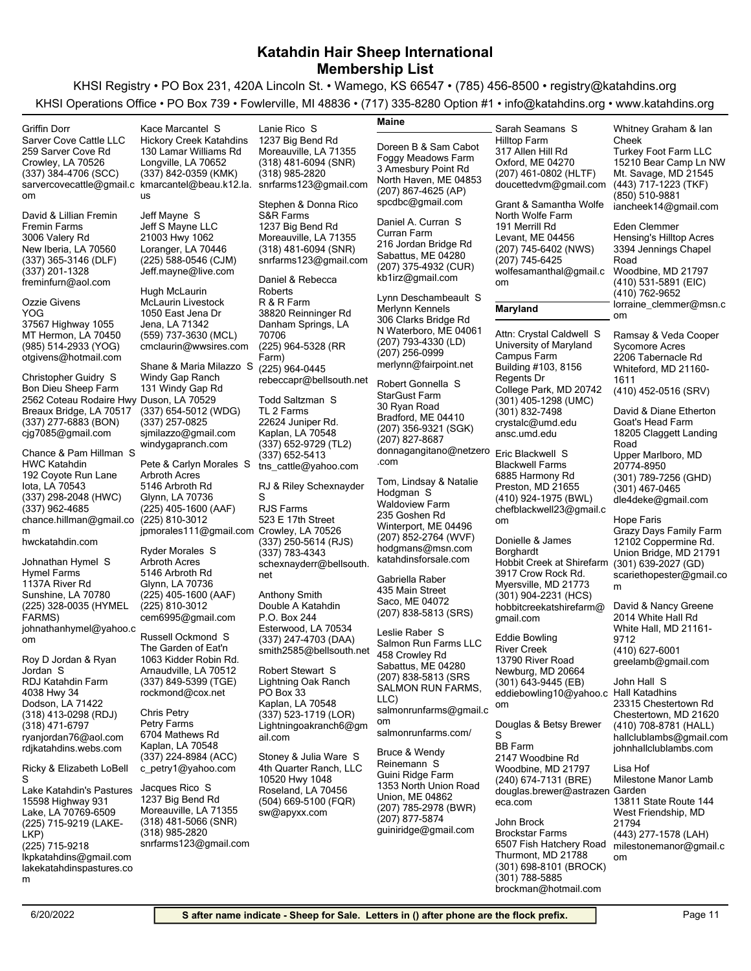| Griffin Dorr                                  | Kace Marcantel S                                 | Lanie Rico S                                    | Maine                                        | Sarah Seamans S                                 | Whitney Graham & lan                                   |
|-----------------------------------------------|--------------------------------------------------|-------------------------------------------------|----------------------------------------------|-------------------------------------------------|--------------------------------------------------------|
| Sarver Cove Cattle LLC                        | <b>Hickory Creek Katahdins</b>                   | 1237 Big Bend Rd                                |                                              | <b>Hilltop Farm</b>                             | Cheek                                                  |
| 259 Sarver Cove Rd                            | 130 Lamar Williams Rd                            | Moreauville, LA 71355                           | Doreen B & Sam Cabot                         | 317 Allen Hill Rd                               | <b>Turkey Foot Farm LLC</b>                            |
| Crowley, LA 70526                             | Longville, LA 70652                              | $(318)$ 481-6094 (SNR)                          | Foggy Meadows Farm                           | Oxford, ME 04270                                | 15210 Bear Camp Ln NW                                  |
| (337) 384-4706 (SCC)                          | (337) 842-0359 (KMK)                             | (318) 985-2820                                  | 3 Amesbury Point Rd                          | (207) 461-0802 (HLTF)                           | Mt. Savage, MD 21545                                   |
|                                               | sarvercovecattle@gmail.c kmarcantel@beau.k12.la. | snrfarms123@gmail.com                           | North Haven, ME 04853                        | doucettedvm@gmail.com                           | (443) 717-1223 (TKF)                                   |
| om                                            | <b>us</b>                                        |                                                 | (207) 867-4625 (AP)                          |                                                 | (850) 510-9881                                         |
|                                               |                                                  | Stephen & Donna Rico                            | spcdbc@gmail.com                             | Grant & Samantha Wolfe                          | iancheek14@gmail.com                                   |
| David & Lillian Fremin                        | Jeff Mayne S                                     | S&R Farms                                       | Daniel A. Curran S                           | North Wolfe Farm                                |                                                        |
| <b>Fremin Farms</b>                           | Jeff S Mayne LLC                                 | 1237 Big Bend Rd                                | Curran Farm                                  | 191 Merrill Rd                                  | Eden Clemmer                                           |
| 3006 Valery Rd<br>New Iberia, LA 70560        | 21003 Hwy 1062<br>Loranger, LA 70446             | Moreauville, LA 71355<br>$(318)$ 481-6094 (SNR) | 216 Jordan Bridge Rd                         | Levant, ME 04456<br>(207) 745-6402 (NWS)        | <b>Hensing's Hilltop Acres</b><br>3394 Jennings Chapel |
| (337) 365-3146 (DLF)                          | (225) 588-0546 (CJM)                             | snrfarms123@gmail.com                           | Sabattus, ME 04280                           | (207) 745-6425                                  | Road                                                   |
| (337) 201-1328                                | Jeff.mayne@live.com                              |                                                 | (207) 375-4932 (CUR)                         | wolfesamanthal@gmail.c                          | Woodbine, MD 21797                                     |
| freminfurn@aol.com                            |                                                  | Daniel & Rebecca                                | kb1irz@gmail.com                             | om                                              | (410) 531-5891 (EIC)                                   |
|                                               | Hugh McLaurin                                    | Roberts                                         |                                              |                                                 | (410) 762-9652                                         |
| Ozzie Givens                                  | <b>McLaurin Livestock</b>                        | R & R Farm                                      | Lynn Deschambeault S<br>Merlynn Kennels      |                                                 | lorraine_clemmer@msn.c                                 |
| YOG                                           | 1050 East Jena Dr                                | 38820 Reinninger Rd                             | 306 Clarks Bridge Rd                         | Maryland                                        | om                                                     |
| 37567 Highway 1055                            | Jena, LA 71342                                   | Danham Springs, LA                              | N Waterboro, ME 04061                        |                                                 |                                                        |
| MT Hermon, LA 70450                           | (559) 737-3630 (MCL)                             | 70706                                           | (207) 793-4330 (LD)                          | Attn: Crystal Caldwell S                        | Ramsay & Veda Cooper                                   |
| (985) 514-2933 (YOG)                          | cmclaurin@wwsires.com                            | (225) 964-5328 (RR                              | (207) 256-0999                               | University of Maryland<br>Campus Farm           | Sycomore Acres                                         |
| otgivens@hotmail.com                          | Shane & Maria Milazzo S                          | Farm)<br>(225) 964-0445                         | merlynn@fairpoint.net                        | Building #103, 8156                             | 2206 Tabernacle Rd                                     |
| Christopher Guidry S                          | Windy Gap Ranch                                  | rebeccapr@bellsouth.net                         |                                              | Regents Dr                                      | Whiteford, MD 21160-<br>1611                           |
| Bon Dieu Sheep Farm                           | 131 Windy Gap Rd                                 |                                                 | Robert Gonnella S                            | College Park, MD 20742                          | (410) 452-0516 (SRV)                                   |
| 2562 Coteau Rodaire Hwy Duson, LA 70529       |                                                  | Todd Saltzman S                                 | StarGust Farm                                | (301) 405-1298 (UMC)                            |                                                        |
| Breaux Bridge, LA 70517                       | (337) 654-5012 (WDG)                             | TL 2 Farms                                      | 30 Ryan Road                                 | (301) 832-7498                                  | David & Diane Etherton                                 |
| (337) 277-6883 (BON)                          | (337) 257-0825                                   | 22624 Juniper Rd.                               | Bradford, ME 04410                           | crystalc@umd.edu                                | Goat's Head Farm                                       |
| cjg7085@gmail.com                             | similazzo@gmail.com                              | Kaplan, LA 70548                                | (207) 356-9321 (SGK)<br>(207) 827-8687       | ansc.umd.edu                                    | 18205 Claggett Landing                                 |
|                                               | windygapranch.com                                | (337) 652-9729 (TL2)                            | donnagangitano@netzero                       |                                                 | Road                                                   |
| Chance & Pam Hillman S<br><b>HWC Katahdin</b> | Pete & Carlyn Morales S                          | (337) 652-5413                                  | .com                                         | Eric Blackwell S                                | Upper Marlboro, MD                                     |
| 192 Coyote Run Lane                           | <b>Arbroth Acres</b>                             | tns cattle@yahoo.com                            |                                              | <b>Blackwell Farms</b><br>6885 Harmony Rd       | 20774-8950                                             |
| lota, LA 70543                                | 5146 Arbroth Rd                                  | RJ & Riley Schexnayder                          | Tom, Lindsay & Natalie                       | Preston, MD 21655                               | (301) 789-7256 (GHD)<br>(301) 467-0465                 |
| (337) 298-2048 (HWC)                          | Glynn, LA 70736                                  | S                                               | Hodgman S                                    | (410) 924-1975 (BWL)                            | dle4deke@gmail.com                                     |
| (337) 962-4685                                | (225) 405-1600 (AAF)                             | <b>RJS Farms</b>                                | <b>Waldoview Farm</b>                        | chefblackwell23@gmail.c                         |                                                        |
| chance.hillman@gmail.co                       | (225) 810-3012                                   | 523 E 17th Street                               | 235 Goshen Rd                                | om                                              | Hope Faris                                             |
| m                                             | jpmorales111@gmail.com Crowley, LA 70526         |                                                 | Winterport, ME 04496<br>(207) 852-2764 (WVF) |                                                 | Grazy Days Family Farm                                 |
| hwckatahdin.com                               |                                                  | (337) 250-5614 (RJS)                            | hodgmans@msn.com                             | Donielle & James                                | 12102 Coppermine Rd.                                   |
|                                               | <b>Ryder Morales S</b>                           | (337) 783-4343                                  | katahdinsforsale.com                         | Borghardt                                       | Union Bridge, MD 21791                                 |
| Johnathan Hymel S<br><b>Hymel Farms</b>       | <b>Arbroth Acres</b><br>5146 Arbroth Rd          | schexnayderr@bellsouth.                         |                                              | Hobbit Creek at Shirefarm<br>3917 Crow Rock Rd. | (301) 639-2027 (GD)                                    |
| 1137A River Rd                                | Glynn, LA 70736                                  | net                                             | Gabriella Raber                              | Myersville, MD 21773                            | scariethopester@gmail.co                               |
| Sunshine, LA 70780                            | (225) 405-1600 (AAF)                             | <b>Anthony Smith</b>                            | 435 Main Street                              | (301) 904-2231 (HCS)                            | m                                                      |
| (225) 328-0035 (HYMEL                         | (225) 810-3012                                   | Double A Katahdin                               | Saco, ME 04072                               | hobbitcreekatshirefarm@                         | David & Nancy Greene                                   |
| FARMS)                                        | cem6995@gmail.com                                | P.O. Box 244                                    | (207) 838-5813 (SRS)                         | gmail.com                                       | 2014 White Hall Rd                                     |
| johnathanhymel@yahoo.c                        |                                                  | Esterwood, LA 70534                             | Leslie Raber S                               |                                                 | White Hall, MD 21161-                                  |
| om                                            | Russell Ockmond S                                | (337) 247-4703 (DAA)                            | Salmon Run Farms LLC                         | Eddie Bowling                                   | 9712                                                   |
|                                               | The Garden of Eat'n                              | smith2585@bellsouth.net                         | 458 Crowley Rd                               | <b>River Creek</b>                              | (410) 627-6001                                         |
| Roy D Jordan & Ryan                           | 1063 Kidder Robin Rd.<br>Arnaudville, LA 70512   | Robert Stewart S                                | Sabattus, ME 04280                           | 13790 River Road                                | greelamb@gmail.com                                     |
| Jordan S<br>RDJ Katahdin Farm                 | (337) 849-5399 (TGE)                             | Lightning Oak Ranch                             | (207) 838-5813 (SRS                          | Newburg, MD 20664<br>(301) 643-9445 (EB)        | John Hall S                                            |
| 4038 Hwy 34                                   | rockmond@cox.net                                 | PO Box 33                                       | SALMON RUN FARMS,                            | eddiebowling10@yahoo.c                          | Hall Katadhins                                         |
| Dodson, LA 71422                              |                                                  | Kaplan, LA 70548                                | LLC)                                         | om                                              | 23315 Chestertown Rd                                   |
| (318) 413-0298 (RDJ)                          | Chris Petry                                      | (337) 523-1719 (LOR)                            | salmonrunfarms@gmail.c                       |                                                 | Chestertown, MD 21620                                  |
| (318) 471-6797                                | Petry Farms                                      | Lightningoakranch6@gm                           | om                                           | Douglas & Betsy Brewer                          | (410) 708-8781 (HALL)                                  |
| ryanjordan76@aol.com                          | 6704 Mathews Rd                                  | ail.com                                         | salmonrunfarms.com/                          | S                                               | hallclublambs@gmail.com                                |
| rdjkatahdins.webs.com                         | Kaplan, LA 70548                                 |                                                 | Bruce & Wendy                                | <b>BB</b> Farm                                  | johnhallclublambs.com                                  |
|                                               | (337) 224-8984 (ACC)                             | Stoney & Julia Ware S                           | Reinemann S                                  | 2147 Woodbine Rd                                |                                                        |
| Ricky & Elizabeth LoBell                      | c petry1@yahoo.com                               | 4th Quarter Ranch, LLC                          | Guini Ridge Farm                             | Woodbine, MD 21797                              | Lisa Hof                                               |
| S                                             | Jacques Rico S                                   | 10520 Hwy 1048<br>Roseland, LA 70456            | 1353 North Union Road                        | (240) 674-7131 (BRE)                            | Milestone Manor Lamb                                   |
| Lake Katahdin's Pastures<br>15598 Highway 931 | 1237 Big Bend Rd                                 | (504) 669-5100 (FQR)                            | Union, ME 04862                              | douglas.brewer@astrazen Garden                  | 13811 State Route 144                                  |
| Lake, LA 70769-6509                           | Moreauville, LA 71355                            | sw@apyxx.com                                    | (207) 785-2978 (BWR)                         | eca.com                                         | West Friendship, MD                                    |
| (225) 715-9219 (LAKE-                         | (318) 481-5066 (SNR)                             |                                                 | (207) 877-5874                               | John Brock                                      | 21794                                                  |
| LKP)                                          | (318) 985-2820                                   |                                                 | guiniridge@gmail.com                         | <b>Brockstar Farms</b>                          | (443) 277-1578 (LAH)                                   |
| (225) 715-9218                                | snrfarms123@gmail.com                            |                                                 |                                              | 6507 Fish Hatchery Road                         | milestonemanor@gmail.c                                 |
| lkpkatahdins@gmail.com                        |                                                  |                                                 |                                              | Thurmont, MD 21788                              | om                                                     |
| lakekatahdinspastures.co                      |                                                  |                                                 |                                              | (301) 698-8101 (BROCK)                          |                                                        |
| m                                             |                                                  |                                                 |                                              | (301) 788-5885                                  |                                                        |
|                                               |                                                  |                                                 |                                              | brockman@hotmail.com                            |                                                        |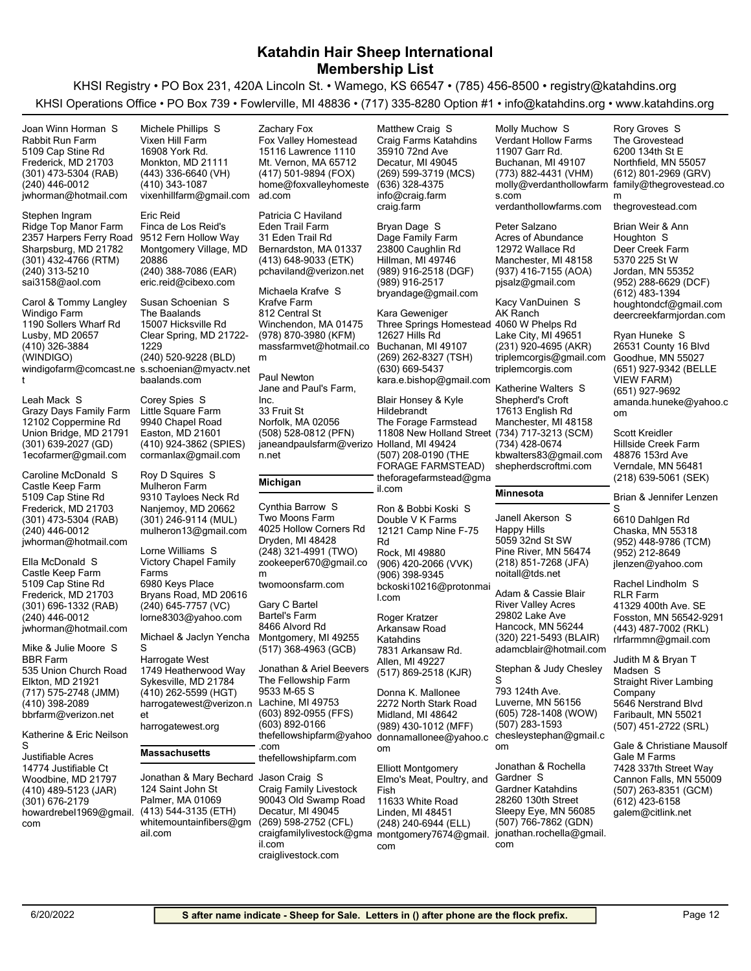KHSI Registry • PO Box 231, 420A Lincoln St. • Wamego, KS 66547 • (785) 456-8500 • registry@katahdins.org KHSI Operations Office • PO Box 739 • Fowlerville, MI 48836 • (717) 335-8280 Option #1 • info@katahdins.org • www.katahdins.org

| Joan Winn Horman S<br>Rabbit Run Farm<br>5109 Cap Stine Rd<br>Frederick, MD 21703<br>(301) 473-5304 (RAB)<br>(240) 446-0012<br>jwhorman@hotmail.com<br>Stephen Ingram<br>Ridge Top Manor Farm                                                                                                                                                                                                                                                                                                        | Michele Phillips S<br>Vixen Hill Farm<br>16908 York Rd.<br>Monkton, MD 21111<br>(443) 336-6640 (VH)<br>(410) 343-1087<br>vixenhillfarm@gmail.com<br><b>Eric Reid</b><br>Finca de Los Reid's                                                                                                                                                                                                                                                                                                                            | Zachary Fox<br>Fox Valley Homestead<br>15116 Lawrence 1110<br>Mt. Vernon, MA 65712<br>(417) 501-9894 (FOX)<br>home@foxvalleyhomeste<br>ad.com<br>Patricia C Haviland<br>Eden Trail Farm                                                                                                                                                                                                                                          | Matthew Craig S<br>Craig Farms Katahdins<br>35910 72nd Ave<br>Decatur, MI 49045<br>(269) 599-3719 (MCS)<br>(636) 328-4375<br>info@craig.farm<br>craig.farm<br>Bryan Dage S                                                                                                                                                                                                                                                                        | Molly Muchow S<br><b>Verdant Hollow Farms</b><br>11907 Garr Rd.<br>Buchanan, MI 49107<br>(773) 882-4431 (VHM)<br>molly@verdanthollowfarm<br>s.com<br>verdanthollowfarms.com<br>Peter Salzano<br>Acres of Abundance                                                                                                                                                                                                                | Rory Groves S<br>The Grovestead<br>6200 134th St E<br>Northfield, MN 55057<br>(612) 801-2969 (GRV)<br>family@thegrovestead.co<br>m<br>thegrovestead.com<br>Brian Weir & Ann                                                                                                                                                                                                                                                                                                         |
|------------------------------------------------------------------------------------------------------------------------------------------------------------------------------------------------------------------------------------------------------------------------------------------------------------------------------------------------------------------------------------------------------------------------------------------------------------------------------------------------------|------------------------------------------------------------------------------------------------------------------------------------------------------------------------------------------------------------------------------------------------------------------------------------------------------------------------------------------------------------------------------------------------------------------------------------------------------------------------------------------------------------------------|----------------------------------------------------------------------------------------------------------------------------------------------------------------------------------------------------------------------------------------------------------------------------------------------------------------------------------------------------------------------------------------------------------------------------------|---------------------------------------------------------------------------------------------------------------------------------------------------------------------------------------------------------------------------------------------------------------------------------------------------------------------------------------------------------------------------------------------------------------------------------------------------|-----------------------------------------------------------------------------------------------------------------------------------------------------------------------------------------------------------------------------------------------------------------------------------------------------------------------------------------------------------------------------------------------------------------------------------|-------------------------------------------------------------------------------------------------------------------------------------------------------------------------------------------------------------------------------------------------------------------------------------------------------------------------------------------------------------------------------------------------------------------------------------------------------------------------------------|
| 2357 Harpers Ferry Road<br>Sharpsburg, MD 21782<br>(301) 432-4766 (RTM)<br>(240) 313-5210<br>sai3158@aol.com                                                                                                                                                                                                                                                                                                                                                                                         | 9512 Fern Hollow Way<br>Montgomery Village, MD<br>20886<br>(240) 388-7086 (EAR)<br>eric.reid@cibexo.com                                                                                                                                                                                                                                                                                                                                                                                                                | 31 Eden Trail Rd<br>Bernardston, MA 01337<br>(413) 648-9033 (ETK)<br>pchaviland@verizon.net<br>Michaela Krafve S                                                                                                                                                                                                                                                                                                                 | Dage Family Farm<br>23800 Caughlin Rd<br>Hillman, MI 49746<br>(989) 916-2518 (DGF)<br>(989) 916-2517<br>bryandage@gmail.com                                                                                                                                                                                                                                                                                                                       | 12972 Wallace Rd<br>Manchester, MI 48158<br>(937) 416-7155 (AOA)<br>pisalz@gmail.com                                                                                                                                                                                                                                                                                                                                              | Houghton S<br>Deer Creek Farm<br>5370 225 St W<br>Jordan, MN 55352<br>(952) 288-6629 (DCF)<br>(612) 483-1394                                                                                                                                                                                                                                                                                                                                                                        |
| Carol & Tommy Langley<br>Windigo Farm<br>1190 Sollers Wharf Rd<br>Lusby, MD 20657<br>(410) 326-3884<br>(WINDIGO)                                                                                                                                                                                                                                                                                                                                                                                     | Susan Schoenian S<br>The Baalands<br>15007 Hicksville Rd<br>Clear Spring, MD 21722-<br>1229<br>(240) 520-9228 (BLD)<br>windigofarm@comcast.ne s.schoenian@myactv.net<br>baalands.com                                                                                                                                                                                                                                                                                                                                   | Krafve Farm<br>812 Central St<br>Winchendon, MA 01475<br>(978) 870-3980 (KFM)<br>massfarmvet@hotmail.co<br>m<br>Paul Newton                                                                                                                                                                                                                                                                                                      | Kara Geweniger<br>Three Springs Homestead 4060 W Phelps Rd<br>12627 Hills Rd<br>Buchanan, MI 49107<br>(269) 262-8327 (TSH)<br>(630) 669-5437<br>kara.e.bishop@gmail.com                                                                                                                                                                                                                                                                           | Kacy VanDuinen S<br>AK Ranch<br>Lake City, MI 49651<br>(231) 920-4695 (AKR)<br>triplemcorgis@gmail.com<br>triplemcorgis.com<br>Katherine Walters S                                                                                                                                                                                                                                                                                | houghtondcf@gmail.com<br>deercreekfarmjordan.com<br>Ryan Huneke S<br>26531 County 16 Blvd<br>Goodhue, MN 55027<br>(651) 927-9342 (BELLE<br><b>VIEW FARM)</b>                                                                                                                                                                                                                                                                                                                        |
| Leah Mack S<br>Grazy Days Family Farm<br>12102 Coppermine Rd<br>Union Bridge, MD 21791<br>(301) 639-2027 (GD)<br>1ecofarmer@gmail.com                                                                                                                                                                                                                                                                                                                                                                | Corey Spies S<br>Little Square Farm<br>9940 Chapel Road<br>Easton, MD 21601<br>(410) 924-3862 (SPIES)<br>cormanlax@gmail.com                                                                                                                                                                                                                                                                                                                                                                                           | Jane and Paul's Farm,<br>Inc.<br>33 Fruit St<br>Norfolk, MA 02056<br>(508) 528-0812 (PFN)<br>janeandpaulsfarm@verizo Holland, MI 49424<br>n.net                                                                                                                                                                                                                                                                                  | Blair Honsey & Kyle<br>Hildebrandt<br>The Forage Farmstead<br>11808 New Holland Street (734) 717-3213 (SCM)<br>(507) 208-0190 (THE<br>FORAGE FARMSTEAD)                                                                                                                                                                                                                                                                                           | Shepherd's Croft<br>17613 English Rd<br>Manchester, MI 48158<br>(734) 428-0674<br>kbwalters83@gmail.com<br>shepherdscroftmi.com                                                                                                                                                                                                                                                                                                   | (651) 927-9692<br>amanda.huneke@yahoo.c<br>om<br>Scott Kreidler<br>Hillside Creek Farm<br>48876 153rd Ave<br>Verndale, MN 56481                                                                                                                                                                                                                                                                                                                                                     |
| Caroline McDonald S<br>Castle Keep Farm<br>5109 Cap Stine Rd<br>Frederick, MD 21703<br>(301) 473-5304 (RAB)<br>(240) 446-0012<br>jwhorman@hotmail.com<br>Ella McDonald S<br>Castle Keep Farm<br>5109 Cap Stine Rd<br>Frederick, MD 21703<br>(301) 696-1332 (RAB)<br>(240) 446-0012<br>jwhorman@hotmail.com<br>Mike & Julie Moore S<br><b>BBR Farm</b><br>535 Union Church Road<br>Elkton, MD 21921<br>(717) 575-2748 (JMM)<br>(410) 398-2089<br>bbrfarm@verizon.net<br>Katherine & Eric Neilson<br>S | Roy D Squires S<br><b>Mulheron Farm</b><br>9310 Tayloes Neck Rd<br>Nanjemoy, MD 20662<br>(301) 246-9114 (MUL)<br>mulheron13@gmail.com<br>Lorne Williams S<br><b>Victory Chapel Family</b><br>Farms<br>6980 Keys Place<br>Bryans Road, MD 20616<br>(240) 645-7757 (VC)<br>lorne8303@yahoo.com<br>Michael & Jaclyn Yencha<br>S<br>Harrogate West<br>1749 Heatherwood Way<br>Sykesville, MD 21784<br>(410) 262-5599 (HGT)<br>harrogatewest@verizon.n Lachine, MI 49753<br>et<br>harrogatewest.org<br><b>Massachusetts</b> | Michigan<br>Cynthia Barrow S<br>Two Moons Farm<br>4025 Hollow Corners Rd<br>Dryden, MI 48428<br>(248) 321-4991 (TWO)<br>zookeeper670@gmail.co<br>m<br>twomoonsfarm.com<br>Gary C Bartel<br><b>Bartel's Farm</b><br>8466 Alvord Rd<br>Montgomery, MI 49255<br>(517) 368-4963 (GCB)<br>Jonathan & Ariel Beevers<br>The Fellowship Farm<br>9533 M-65 S<br>(603) 892-0955 (FFS)<br>(603) 892-0166<br>thefellowshipfarm@yahoo<br>.com | theforagefarmstead@gma<br>il.com<br>Ron & Bobbi Koski S<br>Double V K Farms<br>12121 Camp Nine F-75<br>Rd<br>Rock, MI 49880<br>(906) 420-2066 (VVK)<br>(906) 398-9345<br>bckoski10216@protonmai<br>l.com<br>Roger Kratzer<br>Arkansaw Road<br>Katahdins<br>7831 Arkansaw Rd.<br>Allen, MI 49227<br>(517) 869-2518 (KJR)<br>Donna K. Mallonee<br>2272 North Stark Road<br>Midland, MI 48642<br>(989) 430-1012 (MFF)<br>donnamallonee@yahoo.c<br>om | Minnesota<br>Janell Akerson S<br>Happy Hills<br>5059 32nd St SW<br>Pine River, MN 56474<br>(218) 851-7268 (JFA)<br>noitall@tds.net<br>Adam & Cassie Blair<br><b>River Valley Acres</b><br>29802 Lake Ave<br>Hancock, MN 56244<br>(320) 221-5493 (BLAIR)<br>adamcblair@hotmail.com<br>Stephan & Judy Chesley<br>S<br>793 124th Ave.<br>Luverne, MN 56156<br>(605) 728-1408 (WOW)<br>(507) 283-1593<br>chesleystephan@gmail.c<br>om | (218) 639-5061 (SEK)<br>Brian & Jennifer Lenzen<br>S<br>6610 Dahlgen Rd<br>Chaska, MN 55318<br>(952) 448-9786 (TCM)<br>(952) 212-8649<br>jlenzen@yahoo.com<br>Rachel Lindholm S<br><b>RLR Farm</b><br>41329 400th Ave. SE<br>Fosston, MN 56542-9291<br>(443) 487-7002 (RKL)<br>rlrfarmmn@gmail.com<br>Judith M & Bryan T<br>Madsen S<br><b>Straight River Lambing</b><br>Company<br>5646 Nerstrand Blvd<br>Faribault, MN 55021<br>(507) 451-2722 (SRL)<br>Gale & Christiane Mausolf |
| Justifiable Acres<br>14774 Justifiable Ct<br>Woodbine, MD 21797<br>(410) 489-5123 (JAR)<br>(301) 676-2179<br>howardrebel1969@gmail.<br>com                                                                                                                                                                                                                                                                                                                                                           | Jonathan & Mary Bechard Jason Craig S<br>124 Saint John St<br>Palmer, MA 01069<br>(413) 544-3135 (ETH)<br>whitemountainfibers@gm<br>ail.com                                                                                                                                                                                                                                                                                                                                                                            | thefellowshipfarm.com<br>Craig Family Livestock<br>90043 Old Swamp Road<br>Decatur, MI 49045<br>(269) 598-2752 (CFL)<br>craigfamilylivestock@gma<br>il.com                                                                                                                                                                                                                                                                       | <b>Elliott Montgomery</b><br>Elmo's Meat, Poultry, and<br>Fish<br>11633 White Road<br>Linden, MI 48451<br>(248) 240-6944 (ELL)<br>montgomery7674@gmail.<br>com                                                                                                                                                                                                                                                                                    | Jonathan & Rochella<br>Gardner S<br>Gardner Katahdins<br>28260 130th Street<br>Sleepy Eye, MN 56085<br>(507) 766-7862 (GDN)<br>jonathan.rochella@gmail.<br>com                                                                                                                                                                                                                                                                    | Gale M Farms<br>7428 337th Street Way<br>Cannon Falls, MN 55009<br>(507) 263-8351 (GCM)<br>(612) 423-6158<br>galem@citlink.net                                                                                                                                                                                                                                                                                                                                                      |

craiglivestock.com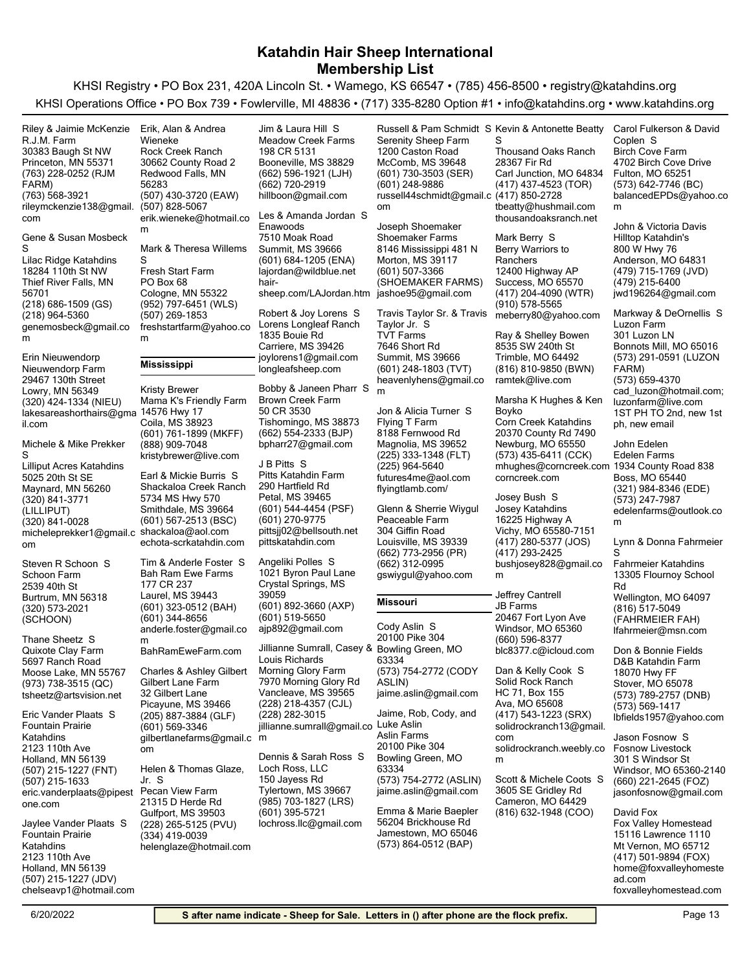KHSI Registry • PO Box 231, 420A Lincoln St. • Wamego, KS 66547 • (785) 456-8500 • registry@katahdins.org KHSI Operations Office • PO Box 739 • Fowlerville, MI 48836 • (717) 335-8280 Option #1 • info@katahdins.org • www.katahdins.org

(763) 228-0252 (RJM FARM) Princeton, MN 55371 30383 Baugh St NW R.J.M. Farm rileymckenzie138@gmail. com (763) 568-3921 Riley & Jaimie McKenzie (218) 686-1509 (GS) Thief River Falls, MN 56701 18284 110th St NW Lilac Ridge Katahdins genemosbeck@gmail.co m (218) 964-5360 Gene & Susan Mosbeck S (320) 424-1334 (NIEU) Lowry, MN 56349 29467 130th Street Nieuwendorp Farm lakesareashorthairs@gma 14576 Hwy 17 il.com Erin Nieuwendorp (320) 841-3771 (LILLIPUT) Maynard, MN 56260 5025 20th St SE Lilliput Acres Katahdins micheleprekker1@gmail.c shackaloa@aol.com om (320) 841-0028 Michele & Mike Prekker S (320) 573-2021 (SCHOON) Burtrum, MN 56318 2539 40th St Schoon Farm Steven R Schoon S (973) 738-3515 (QC) Moose Lake, MN 55767 5697 Ranch Road Quixote Clay Farm tsheetz@artsvision.net Thane Sheetz S (507) 215-1227 (FNT) Holland, MN 56139 2123 110th Ave Fountain Prairie Katahdins eric.vanderplaats@pipest one.com (507) 215-1633 Eric Vander Plaats S (507) 215-1227 (JDV) Holland, MN 56139 2123 110th Ave Fountain Prairie Katahdins chelseavp1@hotmail.com Jaylee Vander Plaats S (507) 430-3720 (EAW) Redwood Falls, MN 56283 30662 County Road 2 Rock Creek Ranch erik.wieneke@hotmail.co m (507) 828-5067 Erik, Alan & Andrea Wieneke (952) 797-6451 (WLS) Cologne, MN 55322 PO Box 68 Fresh Start Farm freshstartfarm@yahoo.co m (507) 269-1853 Mark & Theresa Willems S **Mississippi** (601) 761-1899 (MKFF) Coila, MS 38923 Mama K's Friendly Farm kristybrewer@live.com (888) 909-7048 Kristy Brewer (601) 567-2513 (BSC) Smithdale, MS 39664 5734 MS Hwy 570 Shackaloa Creek Ranch echota-scrkatahdin.com Earl & Mickie Burris S (601) 323-0512 (BAH) Laurel, MS 39443 177 CR 237 Bah Ram Ewe Farms anderle.foster@gmail.co m (601) 344-8656 BahRamEweFarm.com Tim & Anderle Foster S (205) 887-3884 (GLF) Picayune, MS 39466 32 Gilbert Lane Gilbert Lane Farm gilbertlanefarms@gmail.c m om (601) 569-3346 Charles & Ashley Gilbert (228) 265-5125 (PVU) Gulfport, MS 39503 21315 D Herde Rd Pecan View Farm helenglaze@hotmail.com (334) 419-0039 Helen & Thomas Glaze, Jr. S (662) 596-1921 (LJH) Booneville, MS 38829 198 CR 5131 Meadow Creek Farms hillboon@gmail.com (662) 720-2919 Jim & Laura Hill S (601) 684-1205 (ENA) Summit, MS 39666 7510 Moak Road Enawoods lajordan@wildblue.net hairsheep.com/LAJordan.htm jashoe95@gmail.com Les & Amanda Jordan S Carriere, MS 39426 1835 Bouie Rd Lorens Longleaf Ranch joylorens1@gmail.com longleafsheep.com Robert & Joy Lorens S (662) 554-2333 (BJP) Tishomingo, MS 38873 50 CR 3530 Brown Creek Farm bpharr27@gmail.com Bobby & Janeen Pharr S (601) 544-4454 (PSF) Petal, MS 39465 290 Hartfield Rd Pitts Katahdin Farm pittsjj02@bellsouth.net (601) 270-9775 pittskatahdin.com J B Pitts S (601) 892-3660 (AXP) Crystal Springs, MS 39059 1021 Byron Paul Lane ajp892@gmail.com (601) 519-5650 Angeliki Polles S (228) 218-4357 (CJL) Vancleave, MS 39565 7970 Morning Glory Rd Morning Glory Farm jillianne.sumrall@gmail.co Luke Aslin (228) 282-3015 Jillianne Sumrall, Casey & Bowling Green, MO Louis Richards (985) 703-1827 (LRS) Tylertown, MS 39667 150 Jayess Rd Loch Ross, LLC lochross.llc@gmail.com (601) 395-5721 Dennis & Sarah Ross S (601) 730-3503 (SER) McComb, MS 39648 1200 Caston Road Serenity Sheep Farm russell44schmidt@gmail.c (417) 850-2728 om (601) 248-9886 Russell & Pam Schmidt S Kevin & Antonette Beatty (601) 507-3366 (SHOEMAKER FARMS) Morton, MS 39117 8146 Mississippi 481 N Shoemaker Farms Joseph Shoemaker (601) 248-1803 (TVT) Summit, MS 39666 7646 Short Rd TVT Farms heavenlyhens@gmail.co m Travis Taylor Sr. & Travis meberry80@yahoo.com Taylor Jr. S (225) 333-1348 (FLT) Magnolia, MS 39652 8188 Fernwood Rd Flying T Farm futures4me@aol.com (225) 964-5640 flyingtlamb.com/ Jon & Alicia Turner S (662) 773-2956 (PR) Louisville, MS 39339 304 Giffin Road Peaceable Farm gswiygul@yahoo.com (662) 312-0995 Glenn & Sherrie Wiygul **Missouri** (573) 754-2772 (CODY ASLIN) 63334 20100 Pike 304 jaime.aslin@gmail.com Cody Aslin S (573) 754-2772 (ASLIN) Bowling Green, MO 63334 20100 Pike 304 Aslin Farms jaime.aslin@gmail.com Jaime, Rob, Cody, and (573) 864-0512 (BAP) Jamestown, MO 65046 56204 Brickhouse Rd Emma & Marie Baepler (417) 437-4523 (TOR) Carl Junction, MO 64834 28367 Fir Rd Thousand Oaks Ranch tbeatty@hushmail.com thousandoaksranch.net S (417) 204-4090 (WTR) Success, MO 65570 12400 Highway AP Berry Warriors to **Ranchers** (910) 578-5565 Mark Berry S (816) 810-9850 (BWN) Trimble, MO 64492 8535 SW 240th St ramtek@live.com Ray & Shelley Bowen (573) 435-6411 (CCK) Newburg, MO 65550 20370 County Rd 7490 Corn Creek Katahdins mhughes@corncreek.com 1934 County Road 838 corncreek.com Marsha K Hughes & Ken Boyko (417) 280-5377 (JOS) Vichy, MO 65580-7151 16225 Highway A Josey Katahdins bushjosey828@gmail.co m (417) 293-2425 Josey Bush S Windsor, MO 65360 20467 Fort Lyon Ave JB Farms blc8377.c@icloud.com (660) 596-8377 Jeffrey Cantrell (417) 543-1223 (SRX) Ava, MO 65608 HC 71, Box 155 Solid Rock Ranch solidrockranch13@gmail. com solidrockranch.weebly.co m Dan & Kelly Cook S (816) 632-1948 (COO) Cameron, MO 64429 3605 SE Gridley Rd Scott & Michele Coots S (573) 642-7746 (BC) Fulton, MO 65251 4702 Birch Cove Drive Birch Cove Farm balancedEPDs@yahoo.co m Carol Fulkerson & David Coplen S (479) 715-1769 (JVD) Anderson, MO 64831 800 W Hwy 76 Hilltop Katahdin's jwd196264@gmail.com (479) 215-6400 John & Victoria Davis (573) 291-0591 (LUZON FARM) Bonnots Mill, MO 65016 301 Luzon LN Luzon Farm cad\_luzon@hotmail.com; luzonfarm@live.com (573) 659-4370 1ST PH TO 2nd, new 1st ph, new email Markway & DeOrnellis S (321) 984-8346 (EDE) Boss, MO 65440 Edelen Farms edelenfarms@outlook.co m (573) 247-7987 John Edelen (816) 517-5049 (FAHRMEIER FAH) Wellington, MO 64097 13305 Flournoy School Rd Fahrmeier Katahdins lfahrmeier@msn.com Lynn & Donna Fahrmeier S (573) 789-2757 (DNB) Stover, MO 65078 18070 Hwy FF D&B Katahdin Farm lbfields1957@yahoo.com (573) 569-1417 Don & Bonnie Fields (660) 221-2645 (FOZ) Windsor, MO 65360-2140 301 S Windsor St Fosnow Livestock jasonfosnow@gmail.com Jason Fosnow S (417) 501-9894 (FOX) Mt Vernon, MO 65712 15116 Lawrence 1110 Fox Valley Homestead home@foxvalleyhomeste ad.com foxvalleyhomestead.com David Fox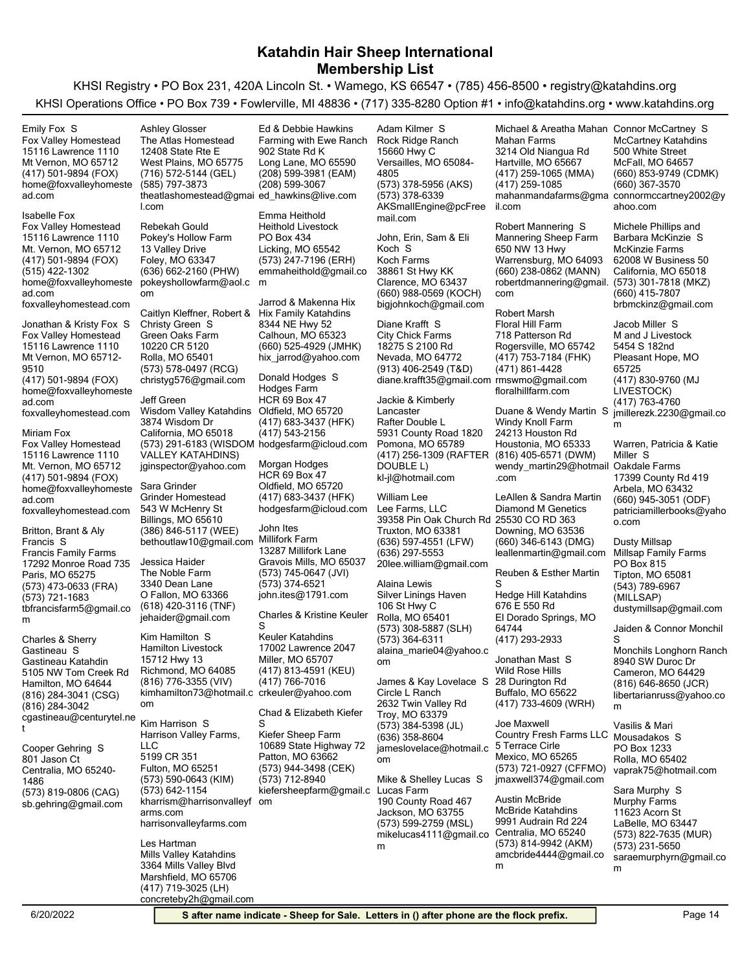KHSI Registry • PO Box 231, 420A Lincoln St. • Wamego, KS 66547 • (785) 456-8500 • registry@katahdins.org KHSI Operations Office • PO Box 739 • Fowlerville, MI 48836 • (717) 335-8280 Option #1 • info@katahdins.org • www.katahdins.org

(417) 501-9894 (FOX) Mt Vernon, MO 65712 15116 Lawrence 1110 Fox Valley Homestead home@foxvalleyhomeste ad.com Emily Fox S (417) 501-9894 (FOX) Mt. Vernon, MO 65712 15116 Lawrence 1110 Fox Valley Homestead home@foxvalleyhomeste ad.com (515) 422-1302 foxvalleyhomestead.com Isabelle Fox (417) 501-9894 (FOX) Mt Vernon, MO 65712- 9510 15116 Lawrence 1110 Fox Valley Homestead home@foxvalleyhomeste ad.com foxvalleyhomestead.com Jonathan & Kristy Fox S (417) 501-9894 (FOX) Mt. Vernon, MO 65712 15116 Lawrence 1110 Fox Valley Homestead home@foxvalleyhomeste ad.com foxvalleyhomestead.com Miriam Fox (573) 473-0633 (FRA) Paris, MO 65275 17292 Monroe Road 735 Francis Family Farms tbfrancisfarm5@gmail.co m (573) 721-1683 Britton, Brant & Aly Francis S (816) 284-3041 (CSG) Hamilton, MO 64644 5105 NW Tom Creek Rd Gastineau Katahdin cgastineau@centurytel.ne t (816) 284-3042 Charles & Sherry Gastineau S (573) 819-0806 (CAG) Centralia, MO 65240- 1486 801 Jason Ct sb.gehring@gmail.com Cooper Gehring S (716) 572-5144 (GEL) West Plains, MO 65775 12408 State Rte E The Atlas Homestead theatlashomestead@gmai ed\_hawkins@live.com l.com (585) 797-3873 Ashley Glosser (636) 662-2160 (PHW) Foley, MO 63347 13 Valley Drive Pokey's Hollow Farm pokeyshollowfarm@aol.c m om Rebekah Gould (573) 578-0497 (RCG) Rolla, MO 65401 10220 CR 5120 Green Oaks Farm christyg576@gmail.com Caitlyn Kleffner, Robert & Hix Family Katahdins Christy Green S (573) 291-6183 (WISDOM hodgesfarm@icloud.com VALLEY KATAHDINS) California, MO 65018 3874 Wisdom Dr Wisdom Valley Katahdins jginspector@yahoo.com Jeff Green (386) 846-5117 (WEE) Billings, MO 65610 543 W McHenry St Grinder Homestead bethoutlaw10@gmail.com Sara Grinder (618) 420-3116 (TNF) O Fallon, MO 63366 3340 Dean Lane The Noble Farm jehaider@gmail.com Jessica Haider (816) 776-3355 (VIV) Richmond, MO 64085 15712 Hwy 13 Hamilton Livestock kimhamilton73@hotmail.c crkeuler@yahoo.com om Kim Hamilton S (573) 590-0643 (KIM) Fulton, MO 65251 5199 CR 351 Harrison Valley Farms,  $\sqcup$  C kharrism@harrisonvalleyf om arms.com (573) 642-1154 harrisonvalleyfarms.com Kim Harrison S (417) 719-3025 (LH) Marshfield, MO 65706 3364 Mills Valley Blvd Mills Valley Katahdins concreteby2h@gmail.com Les Hartman (208) 599-3981 (EAM) Long Lane, MO 65590 902 State Rd K Farming with Ewe Ranch (208) 599-3067 Ed & Debbie Hawkins (573) 247-7196 (ERH) Licking, MO 65542 PO Box 434 Heithold Livestock emmaheithold@gmail.co Emma Heithold (660) 525-4929 (JMHK) Calhoun, MO 65323 8344 NE Hwy 52 hix\_jarrod@yahoo.com Jarrod & Makenna Hix (417) 683-3437 (HFK) Oldfield, MO 65720 HCR 69 Box 47 Hodges Farm (417) 543-2156 Donald Hodges S (417) 683-3437 (HFK) Oldfield, MO 65720 HCR 69 Box 47 hodgesfarm@icloud.com Morgan Hodges (573) 745-0647 (JVI) Gravois Mills, MO 65037 13287 Millifork Lane Millifork Farm john.ites@1791.com (573) 374-6521 John Ites (417) 813-4591 (KEU) Miller, MO 65707 17002 Lawrence 2047 Keuler Katahdins (417) 766-7016 Charles & Kristine Keuler S (573) 944-3498 (CEK) Patton, MO 63662 10689 State Highway 72 Kiefer Sheep Farm kiefersheepfarm@gmail.c (573) 712-8940 Chad & Elizabeth Kiefer S (573) 378-5956 (AKS) Versailles, MO 65084- 4805 15660 Hwy C Rock Ridge Ranch AKSmallEngine@pcFree mail.com (573) 378-6339 Adam Kilmer S (660) 988-0569 (KOCH) Clarence, MO 63437 38861 St Hwy KK Koch Farms bigjohnkoch@gmail.com John, Erin, Sam & Eli Koch S (913) 406-2549 (T&D) Nevada, MO 64772 18275 S 2100 Rd City Chick Farms diane.krafft35@gmail.com rmswmo@gmail.com Diane Krafft S (417) 256-1309 (RAFTER DOUBLE L) Pomona, MO 65789 5931 County Road 1820 Rafter Double L kl-jl@hotmail.com Jackie & Kimberly Lancaster (636) 597-4551 (LFW) Truxton, MO 63381 39358 Pin Oak Church Rd 25530 CO RD 363 Lee Farms, LLC 20lee.william@gmail.com (636) 297-5553 William Lee (573) 308-5887 (SLH) Rolla, MO 65401 106 St Hwy C Silver Linings Haven alaina marie04@yahoo.c om (573) 364-6311 Alaina Lewis (573) 384-5398 (JL) Troy, MO 63379 2632 Twin Valley Rd Circle L Ranch jameslovelace@hotmail.c om (636) 358-8604 James & Kay Lovelace S (573) 599-2759 (MSL) Jackson, MO 63755 190 County Road 467 Lucas Farm mikelucas4111@gmail.co m Mike & Shelley Lucas S (417) 259-1065 (MMA) Hartville, MO 65667 3214 Old Niangua Rd Mahan Farms mahanmandafarms@gma connormccartney2002@y il.com (417) 259-1085 Michael & Areatha Mahan Connor McCartney S (660) 238-0862 (MANN) Warrensburg, MO 64093 650 NW 13 Hwy Mannering Sheep Farm robertdmannering@gmail. com Robert Mannering S (417) 753-7184 (FHK) Rogersville, MO 65742 718 Patterson Rd Floral Hill Farm (471) 861-4428 floralhillfarm.com Robert Marsh (816) 405-6571 (DWM) Houstonia, MO 65333 24213 Houston Rd Windy Knoll Farm wendy\_martin29@hotmail Oakdale Farms .com Duane & Wendy Martin S (660) 346-6143 (DMG) Downing, MO 63536 Diamond M Genetics leallenmartin@gmail.com LeAllen & Sandra Martin El Dorado Springs, MO 64744 676 E 550 Rd Hedge Hill Katahdins (417) 293-2933 Reuben & Esther Martin S (417) 733-4609 (WRH) Buffalo, MO 65622 28 Durington Rd Wild Rose Hills Jonathan Mast S (573) 721-0927 (CFFMO) Mexico, MO 65265 5 Terrace Cirle Country Fresh Farms LLC Mousadakos S jmaxwell374@gmail.com Joe Maxwell (573) 814-9942 (AKM) Centralia, MO 65240 9991 Audrain Rd 224 McBride Katahdins amcbride4444@gmail.co m Austin McBride (660) 853-9749 (CDMK) McFall, MO 64657 500 White Street McCartney Katahdins ahoo.com (660) 367-3570 (573) 301-7818 (MKZ) California, MO 65018 62008 W Business 50 McKinzie Farms brbmckinz@gmail.com (660) 415-7807 Michele Phillips and Barbara McKinzie S (417) 830-9760 (MJ LIVESTOCK) Pleasant Hope, MO 65725 5454 S 182nd M and J Livestock jmillerezk.2230@gmail.co m (417) 763-4760 Jacob Miller S (660) 945-3051 (ODF) Arbela, MO 63432 17399 County Rd 419 patriciamillerbooks@yaho o.com Warren, Patricia & Katie Miller S (543) 789-6967 (MILLSAP) Tipton, MO 65081 PO Box 815 Millsap Family Farms dustymillsap@gmail.com Dusty Millsap (816) 646-8650 (JCR) Cameron, MO 64429 8940 SW Duroc Dr Monchils Longhorn Ranch libertarianruss@yahoo.co m Jaiden & Connor Monchil S Rolla, MO 65402 PO Box 1233 vaprak75@hotmail.com Vasilis & Mari (573) 822-7635 (MUR) LaBelle, MO 63447 11623 Acorn St Murphy Farms saraemurphyrn@gmail.co m (573) 231-5650 Sara Murphy S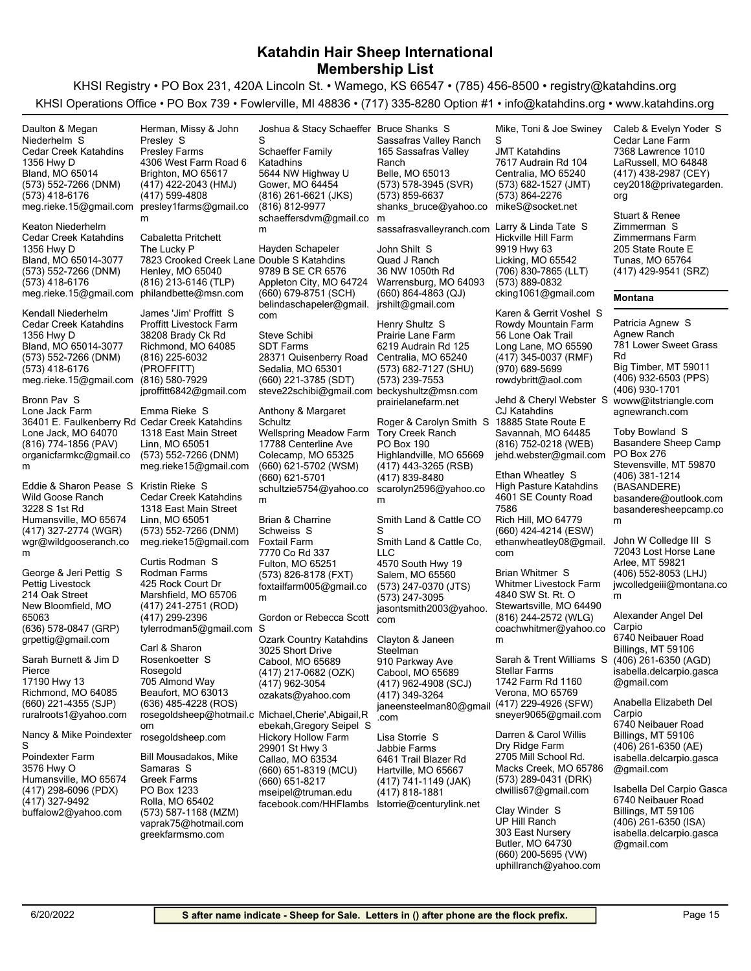KHSI Registry • PO Box 231, 420A Lincoln St. • Wamego, KS 66547 • (785) 456-8500 • registry@katahdins.org KHSI Operations Office • PO Box 739 • Fowlerville, MI 48836 • (717) 335-8280 Option #1 • info@katahdins.org • www.katahdins.org

(573) 552-7266 (DNM) Bland, MO 65014 1356 Hwy D Cedar Creek Katahdins meg.rieke.15@gmail.com (573) 418-6176 Daulton & Megan Niederhelm S (573) 552-7266 (DNM) Bland, MO 65014-3077 1356 Hwy D Cedar Creek Katahdins meg.rieke.15@gmail.com (573) 418-6176 Keaton Niederhelm (573) 552-7266 (DNM) Bland, MO 65014-3077 1356 Hwy D Cedar Creek Katahdins meg.rieke.15@gmail.com (573) 418-6176 Kendall Niederhelm (816) 774-1856 (PAV) Lone Jack, MO 64070 36401 E. Faulkenberry Rd Cedar Creek Katahdins Lone Jack Farm organicfarmkc@gmail.co m Bronn Pav S (417) 327-2774 (WGR) Humansville, MO 65674 3228 S 1st Rd Wild Goose Ranch wgr@wildgooseranch.co m Eddie & Sharon Pease S (636) 578-0847 (GRP) New Bloomfield, MO 65063 214 Oak Street Pettig Livestock grpettig@gmail.com George & Jeri Pettig S (660) 221-4355 (SJP) Richmond, MO 64085 17190 Hwy 13 ruralroots1@yahoo.com Sarah Burnett & Jim D Pierce (417) 298-6096 (PDX) Humansville, MO 65674 3576 Hwy O Poindexter Farm buffalow2@yahoo.com (417) 327-9492 Nancy & Mike Poindexter S (417) 422-2043 (HMJ) Brighton, MO 65617 4306 West Farm Road 6 Presley Farms presley1farms@gmail.co m (417) 599-4808 Herman, Missy & John Presley S (816) 213-6146 (TLP) Henley, MO 65040 7823 Crooked Creek Lane Double S Katahdins The Lucky P philandbette@msn.com Cabaletta Pritchett (816) 225-6032 (PROFFITT) Richmond, MO 64085 38208 Brady Ck Rd Proffitt Livestock Farm jproffitt6842@gmail.com  $(816)$  580-7929 James 'Jim' Proffitt S (573) 552-7266 (DNM) Linn, MO 65051 1318 East Main Street meg.rieke15@gmail.com Emma Rieke S (573) 552-7266 (DNM) Linn, MO 65051 1318 East Main Street Cedar Creek Katahdins meg.rieke15@gmail.com Kristin Rieke S (417) 241-2751 (ROD) Marshfield, MO 65706 425 Rock Court Dr Rodman Farms tylerrodman5@gmail.com (417) 299-2396 Curtis Rodman S (636) 485-4228 (ROS) Beaufort, MO 63013 705 Almond Way Rosegold rosegoldsheep@hotmail.c Michael,Cherie',Abigail,R om rosegoldsheep.com Carl & Sharon Rosenkoetter S (573) 587-1168 (MZM) Rolla, MO 65402 PO Box 1233 Greek Farms vaprak75@hotmail.com greekfarmsmo.com Bill Mousadakos, Mike Samaras S (816) 261-6621 (JKS) Gower, MO 64454 5644 NW Highway U Schaeffer Family Katadhins schaeffersdvm@gmail.co m (816) 812-9977 Joshua & Stacy Schaeffer Bruce Shanks S S (660) 679-8751 (SCH) Appleton City, MO 64724 9789 B SE CR 6576 belindaschapeler@gmail. com Hayden Schapeler (660) 221-3785 (SDT) Sedalia, MO 65301 28371 Quisenberry Road SDT Farms steve22schibi@gmail.com beckyshultz@msn.com Steve Schibi (660) 621-5702 (WSM) Colecamp, MO 65325 17788 Centerline Ave Wellspring Meadow Farm schultzie5754@yahoo.co m (660) 621-5701 Anthony & Margaret **Schultz** (573) 826-8178 (FXT) Fulton, MO 65251 7770 Co Rd 337 Foxtail Farm foxtailfarm005@gmail.co m Brian & Charrine Schweiss S (417) 217-0682 (OZK) Cabool, MO 65689 3025 Short Drive Ozark Country Katahdins ozakats@yahoo.com (417) 962-3054 Gordon or Rebecca Scott S (660) 651-8319 (MCU) Callao, MO 63534 29901 St Hwy 3 Hickory Hollow Farm mseipel@truman.edu (660) 651-8217 facebook.com/HHFlambs lstorrie@centurylink.net ebekah,Gregory Seipel S (573) 578-3945 (SVR) Belle, MO 65013 165 Sassafras Valley Ranch Sassafras Valley Ranch shanks\_bruce@yahoo.co m (573) 859-6637 sassafrasvalleyranch.com Larry & Linda Tate S (660) 864-4863 (QJ) Warrensburg, MO 64093 36 NW 1050th Rd Quad J Ranch jrshilt@gmail.com John Shilt S (573) 682-7127 (SHU) Centralia, MO 65240 6219 Audrain Rd 125 Prairie Lane Farm (573) 239-7553 prairielanefarm.net Henry Shultz S (417) 443-3265 (RSB) Highlandville, MO 65669 PO Box 190 Tory Creek Ranch scarolyn2596@yahoo.co m (417) 839-8480 Roger & Carolyn Smith S (573) 247-0370 (JTS) Salem, MO 65560 4570 South Hwy 19 Smith Land & Cattle Co, LLC jasontsmith2003@yahoo. com (573) 247-3095 Smith Land & Cattle CO S (417) 962-4908 (SCJ) Cabool, MO 65689 910 Parkway Ave janeensteelman80@gmail .com (417) 349-3264 Clayton & Janeen **Steelman** (417) 741-1149 (JAK) Hartville, MO 65667 6461 Trail Blazer Rd Jabbie Farms (417) 818-1881 Lisa Storrie S (573) 682-1527 (JMT) Centralia, MO 65240 7617 Audrain Rd 104 JMT Katahdins mikeS@socket.net (573) 864-2276 Mike, Toni & Joe Swiney S (706) 830-7865 (LLT) Licking, MO 65542 9919 Hwy 63 Hickville Hill Farm cking1061@gmail.com (573) 889-0832 (417) 345-0037 (RMF) Long Lane, MO 65590 56 Lone Oak Trail Rowdy Mountain Farm rowdybritt@aol.com (970) 689-5699 Karen & Gerrit Voshel S (816) 752-0218 (WEB) Savannah, MO 64485 18885 State Route E CJ Katahdins jehd.webster@gmail.com Jehd & Cheryl Webster S woww@itstriangle.com (660) 424-4214 (ESW) Rich Hill, MO 64779 4601 SE County Road 7586 High Pasture Katahdins ethanwheatley08@gmail. com Ethan Wheatley S (816) 244-2572 (WLG) Stewartsville, MO 64490 4840 SW St. Rt. O Whitmer Livestock Farm coachwhitmer@yahoo.co m Brian Whitmer S (417) 229-4926 (SFW) Verona, MO 65769 1742 Farm Rd 1160 Stellar Farms sneyer9065@gmail.com Sarah & Trent Williams S (573) 289-0431 (DRK) Macks Creek, MO 65786 2705 Mill School Rd. Dry Ridge Farm clwillis67@gmail.com Darren & Carol Willis (660) 200-5695 (VW) Butler, MO 64730 303 East Nursery UP Hill Ranch uphillranch@yahoo.com Clay Winder S (417) 438-2987 (CEY) LaRussell, MO 64848 7368 Lawrence 1010 Cedar Lane Farm cey2018@privategarden. org Caleb & Evelyn Yoder S (417) 429-9541 (SRZ) Tunas, MO 65764 205 State Route E Zimmermans Farm Stuart & Renee Zimmerman S **Montana** (406) 932-6503 (PPS) Big Timber, MT 59011 781 Lower Sweet Grass Rd Agnew Ranch (406) 930-1701 agnewranch.com Patricia Agnew S (406) 381-1214 (BASANDERE) Stevensville, MT 59870 PO Box 276 Basandere Sheep Camp basandere@outlook.com basanderesheepcamp.co m Toby Bowland S (406) 552-8053 (LHJ) Arlee, MT 59821 72043 Lost Horse Lane jwcolledgeiii@montana.co m John W Colledge III S (406) 261-6350 (AGD) Billings, MT 59106 6740 Neibauer Road isabella.delcarpio.gasca @gmail.com Alexander Angel Del Carpio (406) 261-6350 (AE) Billings, MT 59106 6740 Neibauer Road isabella.delcarpio.gasca @gmail.com Anabella Elizabeth Del Carpio (406) 261-6350 (ISA) Billings, MT 59106 6740 Neibauer Road isabella.delcarpio.gasca @gmail.com Isabella Del Carpio Gasca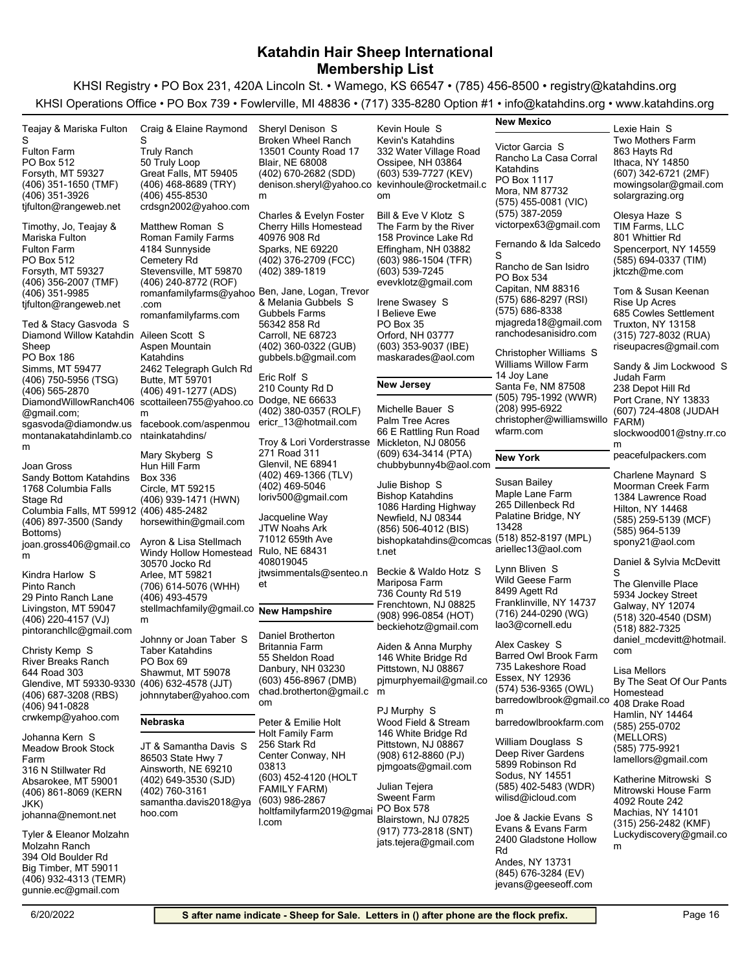| Teajay & Mariska Fulton                                         | Craig & Elaine Raymond                          | Sheryl Denison S                                | Kevin Houle S                                                                           | <b>New Mexico</b>                          | Lexie Hain S                                  |
|-----------------------------------------------------------------|-------------------------------------------------|-------------------------------------------------|-----------------------------------------------------------------------------------------|--------------------------------------------|-----------------------------------------------|
| S                                                               |                                                 | <b>Broken Wheel Ranch</b>                       | Kevin's Katahdins                                                                       |                                            | <b>Two Mothers Farm</b>                       |
| <b>Fulton Farm</b>                                              | <b>Truly Ranch</b>                              | 13501 County Road 17                            | 332 Water Village Road                                                                  | Victor Garcia S                            | 863 Hayts Rd                                  |
| PO Box 512                                                      | 50 Truly Loop                                   | Blair, NE 68008                                 | Ossipee, NH 03864                                                                       | Rancho La Casa Corral                      | Ithaca, NY 14850                              |
| Forsyth, MT 59327                                               | Great Falls, MT 59405                           | (402) 670-2682 (SDD)                            | (603) 539-7727 (KEV)                                                                    | Katahdins<br>PO Box 1117                   | (607) 342-6721 (2MF)                          |
| (406) 351-1650 (TMF)                                            | (406) 468-8689 (TRY)                            | denison.sheryl@yahoo.co kevinhoule@rocketmail.c |                                                                                         | Mora, NM 87732                             | mowingsolar@gmail.com                         |
| (406) 351-3926                                                  | (406) 455-8530                                  | m                                               | om                                                                                      | (575) 455-0081 (VIC)                       | solargrazing.org                              |
| tjfulton@rangeweb.net                                           | crdsgn2002@yahoo.com                            | Charles & Evelyn Foster                         | Bill & Eve V Klotz S                                                                    | (575) 387-2059                             | Olesya Haze S                                 |
| Timothy, Jo, Teajay &                                           | Matthew Roman S                                 | Cherry Hills Homestead                          | The Farm by the River                                                                   | victorpex63@gmail.com                      | TIM Farms, LLC                                |
| Mariska Fulton                                                  | Roman Family Farms                              | 40976 908 Rd                                    | 158 Province Lake Rd                                                                    | Fernando & Ida Salcedo                     | 801 Whittier Rd                               |
| <b>Fulton Farm</b>                                              | 4184 Sunnyside                                  | Sparks, NE 69220                                | Effingham, NH 03882                                                                     | S                                          | Spencerport, NY 14559                         |
| PO Box 512<br>Forsyth, MT 59327                                 | Cemetery Rd<br>Stevensville, MT 59870           | (402) 376-2709 (FCC)<br>(402) 389-1819          | $(603)$ 986-1504 (TFR)<br>(603) 539-7245                                                | Rancho de San Isidro                       | (585) 694-0337 (TIM)<br>jktczh@me.com         |
| (406) 356-2007 (TMF)                                            | (406) 240-8772 (ROF)                            |                                                 | evevklotz@gmail.com                                                                     | PO Box 534                                 |                                               |
| (406) 351-9985                                                  | romanfamilyfarms@yahoo Ben, Jane, Logan, Trevor |                                                 |                                                                                         | Capitan, NM 88316                          | Tom & Susan Keenan                            |
| tifulton@rangeweb.net                                           | .com                                            | & Melania Gubbels S                             | Irene Swasey S                                                                          | (575) 686-8297 (RSI)                       | Rise Up Acres                                 |
|                                                                 | romanfamilyfarms.com                            | Gubbels Farms                                   | I Believe Ewe                                                                           | (575) 686-8338<br>mjagreda18@gmail.com     | 685 Cowles Settlement                         |
| Ted & Stacy Gasvoda S<br>Diamond Willow Katahdin Aileen Scott S |                                                 | 56342 858 Rd<br>Carroll, NE 68723               | PO Box 35<br>Orford, NH 03777                                                           | ranchodesanisidro.com                      | Truxton, NY 13158<br>(315) 727-8032 (RUA)     |
| Sheep                                                           | Aspen Mountain                                  | (402) 360-0322 (GUB)                            | (603) 353-9037 (IBE)                                                                    |                                            | riseupacres@gmail.com                         |
| <b>PO Box 186</b>                                               | Katahdins                                       | gubbels.b@gmail.com                             | maskarades@aol.com                                                                      | Christopher Williams S                     |                                               |
| Simms, MT 59477                                                 | 2462 Telegraph Gulch Rd                         |                                                 |                                                                                         | Williams Willow Farm                       | Sandy & Jim Lockwood S                        |
| (406) 750-5956 (TSG)                                            | Butte, MT 59701                                 | Eric Rolf S                                     | <b>New Jersey</b>                                                                       | 14 Joy Lane<br>Santa Fe, NM 87508          | Judah Farm                                    |
| (406) 565-2870                                                  | (406) 491-1277 (ADS)                            | 210 County Rd D                                 |                                                                                         | (505) 795-1992 (WWR)                       | 238 Depot Hill Rd                             |
|                                                                 | DiamondWillowRanch406 scottaileen755@yahoo.co   | Dodge, NE 66633<br>(402) 380-0357 (ROLF)        | Michelle Bauer S                                                                        | (208) 995-6922                             | Port Crane, NY 13833<br>(607) 724-4808 (JUDAH |
| @gmail.com;<br>sgasvoda@diamondw.us                             | m<br>facebook.com/aspenmou                      | ericr 13@hotmail.com                            | Palm Tree Acres                                                                         | christopher@williamswillo                  | FARM)                                         |
| montanakatahdinlamb.co                                          | ntainkatahdins/                                 |                                                 | 66 E Rattling Run Road                                                                  | wfarm.com                                  | slockwood001@stny.rr.co                       |
| m                                                               |                                                 | Troy & Lori Vorderstrasse                       | Mickleton, NJ 08056                                                                     |                                            | m                                             |
|                                                                 | Mary Skyberg S                                  | 271 Road 311<br>Glenvil, NE 68941               | (609) 634-3414 (PTA)                                                                    | <b>New York</b>                            | peacefulpackers.com                           |
| Joan Gross<br>Sandy Bottom Katahdins                            | Hun Hill Farm<br>Box 336                        | (402) 469-1366 (TLV)                            | chubbybunny4b@aol.com                                                                   |                                            | Charlene Maynard S                            |
| 1768 Columbia Falls                                             | Circle, MT 59215                                | (402) 469-5046                                  | Julie Bishop S                                                                          | Susan Bailey                               | Moorman Creek Farm                            |
| Stage Rd                                                        | (406) 939-1471 (HWN)                            | loriv500@gmail.com                              | <b>Bishop Katahdins</b>                                                                 | Maple Lane Farm                            | 1384 Lawrence Road                            |
| Columbia Falls, MT 59912 (406) 485-2482                         |                                                 |                                                 | 1086 Harding Highway                                                                    | 265 Dillenbeck Rd<br>Palatine Bridge, NY   | Hilton, NY 14468                              |
| (406) 897-3500 (Sandy                                           | horsewithin@gmail.com                           | Jacqueline Way<br>JTW Noahs Ark                 | Newfield, NJ 08344                                                                      | 13428                                      | (585) 259-5139 (MCF)                          |
| Bottoms)                                                        | Ayron & Lisa Stellmach                          | 71012 659th Ave                                 | (856) 506-4012 (BIS)<br>bishopkatahdins@comcas                                          | (518) 852-8197 (MPL)                       | (585) 964-5139<br>spony21@aol.com             |
| joan.gross406@gmail.co<br>m                                     | Windy Hollow Homestead                          | Rulo, NE 68431                                  | t.net                                                                                   | ariellec13@aol.com                         |                                               |
|                                                                 | 30570 Jocko Rd                                  | 408019045                                       |                                                                                         |                                            | Daniel & Sylvia McDevitt                      |
| Kindra Harlow S                                                 | Arlee, MT 59821                                 | jtwsimmentals@senteo.n                          | Beckie & Waldo Hotz S                                                                   | Lynn Bliven S<br>Wild Geese Farm           | S                                             |
| Pinto Ranch                                                     | (706) 614-5076 (WHH)                            | et                                              | Mariposa Farm<br>736 County Rd 519                                                      | 8499 Agett Rd                              | The Glenville Place                           |
| 29 Pinto Ranch Lane                                             | (406) 493-4579                                  |                                                 | Frenchtown, NJ 08825                                                                    | Franklinville, NY 14737                    | 5934 Jockey Street<br>Galway, NY 12074        |
| Livingston, MT 59047<br>(406) 220-4157 (VJ)                     | stellmachfamily@gmail.co New Hampshire<br>m     |                                                 | (908) 996-0854 (HOT)                                                                    | (716) 244-0290 (WG)                        | (518) 320-4540 (DSM)                          |
| pintoranchllc@gmail.com                                         |                                                 |                                                 | beckiehotz@gmail.com                                                                    | lao3@cornell.edu                           | (518) 882-7325                                |
|                                                                 | Johnny or Joan Taber S                          | Daniel Brotherton                               |                                                                                         | Alex Caskey S                              | daniel mcdevitt@hotmail.                      |
| Christy Kemp S                                                  | <b>Taber Katahdins</b>                          | Britannia Farm<br>55 Sheldon Road               | Aiden & Anna Murphy<br>146 White Bridge Rd                                              | Barred Owl Brook Farm                      | com                                           |
| River Breaks Ranch                                              | PO Box 69                                       | Danbury, NH 03230                               | Pittstown, NJ 08867                                                                     | 735 Lakeshore Road                         | Lisa Mellors                                  |
| 644 Road 303<br>Glendive, MT 59330-9330 (406) 632-4578 (JJT)    | Shawmut, MT 59078                               | (603) 456-8967 (DMB)                            | pimurphyemail@gmail.co                                                                  | Essex, NY 12936                            | By The Seat Of Our Pants                      |
| (406) 687-3208 (RBS)                                            | johnnytaber@yahoo.com                           | chad.brotherton@gmail.c                         | m                                                                                       | (574) 536-9365 (OWL)                       | Homestead                                     |
| (406) 941-0828                                                  |                                                 | om                                              | PJ Murphy S                                                                             | barredowlbrook@gmail.co<br>m               | 408 Drake Road                                |
| crwkemp@yahoo.com                                               | Nebraska                                        | Peter & Emilie Holt                             | Wood Field & Stream                                                                     | barredowlbrookfarm.com                     | Hamlin, NY 14464                              |
| Johanna Kern S                                                  |                                                 | Holt Family Farm                                | 146 White Bridge Rd                                                                     |                                            | (585) 255-0702<br>(MELLORS)                   |
| <b>Meadow Brook Stock</b>                                       | JT & Samantha Davis S                           | 256 Stark Rd                                    | Pittstown, NJ 08867                                                                     | William Douglass S                         | (585) 775-9921                                |
| Farm                                                            | 86503 State Hwy 7                               | Center Conway, NH                               | $(908)$ 612-8860 (PJ)                                                                   | Deep River Gardens                         | lamellors@gmail.com                           |
| 316 N Stillwater Rd                                             | Ainsworth, NE 69210                             | 03813                                           | pjmgoats@gmail.com                                                                      | 5899 Robinson Rd<br>Sodus, NY 14551        |                                               |
| Absarokee, MT 59001                                             | $(402)$ 649-3530 (SJD)                          | (603) 452-4120 (HOLT<br><b>FAMILY FARM)</b>     | Julian Tejera                                                                           | (585) 402-5483 (WDR)                       | Katherine Mitrowski S                         |
| (406) 861-8069 (KERN                                            | (402) 760-3161<br>samantha.davis2018@ya         | (603) 986-2867                                  | Sweent Farm                                                                             | wilisd@icloud.com                          | Mitrowski House Farm<br>4092 Route 242        |
| JKK)<br>johanna@nemont.net                                      | hoo.com                                         | holtfamilyfarm2019@gmai                         | PO Box 578                                                                              |                                            | Machias, NY 14101                             |
|                                                                 |                                                 | l.com                                           | Blairstown, NJ 07825                                                                    | Joe & Jackie Evans S<br>Evans & Evans Farm | (315) 256-2482 (KMF)                          |
| Tyler & Eleanor Molzahn                                         |                                                 |                                                 | (917) 773-2818 (SNT)                                                                    | 2400 Gladstone Hollow                      | Luckydiscovery@gmail.co                       |
| Molzahn Ranch                                                   |                                                 |                                                 | jats.tejera@gmail.com                                                                   | Rd                                         | m                                             |
| 394 Old Boulder Rd<br>Big Timber, MT 59011                      |                                                 |                                                 |                                                                                         | Andes, NY 13731                            |                                               |
| (406) 932-4313 (TEMR)                                           |                                                 |                                                 |                                                                                         | (845) 676-3284 (EV)                        |                                               |
| gunnie.ec@gmail.com                                             |                                                 |                                                 |                                                                                         | jevans@geeseoff.com                        |                                               |
|                                                                 |                                                 |                                                 |                                                                                         |                                            |                                               |
| 6/20/2022                                                       |                                                 |                                                 | S after name indicate - Sheep for Sale. Letters in () after phone are the flock prefix. |                                            | Page 16                                       |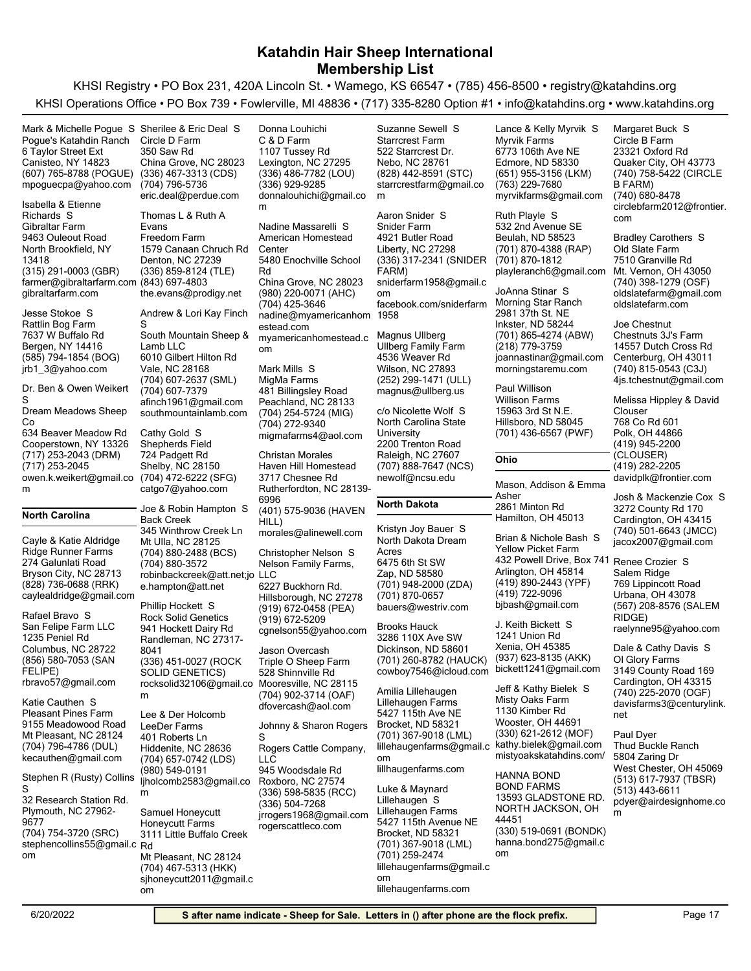KHSI Registry • PO Box 231, 420A Lincoln St. • Wamego, KS 66547 • (785) 456-8500 • registry@katahdins.org KHSI Operations Office • PO Box 739 • Fowlerville, MI 48836 • (717) 335-8280 Option #1 • info@katahdins.org • www.katahdins.org

m

Snider Farm

Aaron Snider S

(607) 765-8788 (POGUE) (336) 467-3313 (CDS) Canisteo, NY 14823 6 Taylor Street Ext Pogue's Katahdin Ranch mpoguecpa@yahoo.com Mark & Michelle Pogue S Sherilee & Eric Deal S

(315) 291-0003 (GBR) North Brookfield, NY 13418 9463 Ouleout Road Gibraltar Farm farmer@gibraltarfarm.com (843) 697-4803 gibraltarfarm.com Isabella & Etienne Richards S

(585) 794-1854 (BOG) Bergen, NY 14416 7637 W Buffalo Rd Rattlin Bog Farm jrb1\_3@yahoo.com Jesse Stokoe S

Dr. Ben & Owen Weikert S

634 Beaver Meadow Rd Dream Meadows Sheep Co

(717) 253-2043 (DRM) Cooperstown, NY 13326 owen.k.weikert@gmail.co (717) 253-2045

**North Carolina**

m

(828) 736-0688 (RRK) Bryson City, NC 28713 274 Galunlati Road Ridge Runner Farms caylealdridge@gmail.com Cayle & Katie Aldridge

(856) 580-7053 (SAN FELIPE) Columbus, NC 28722 1235 Peniel Rd San Felipe Farm LLC rbravo57@gmail.com Rafael Bravo S

(704) 796-4786 (DUL) Mt Pleasant, NC 28124 9155 Meadowood Road Pleasant Pines Farm kecauthen@gmail.com Katie Cauthen S

(704) 754-3720 (SRC) Plymouth, NC 27962- 9677 32 Research Station Rd. stephencollins55@gmail.c Rd om Stephen R (Rusty) Collins S

China Grove, NC 28023 350 Saw Rd Circle D Farm eric.deal@perdue.com (704) 796-5736

(336) 859-8124 (TLE) Denton, NC 27239 1579 Canaan Chruch Rd Freedom Farm the.evans@prodigy.net Thomas L & Ruth A Evans

(704) 607-2637 (SML) Vale, NC 28168 6010 Gilbert Hilton Rd South Mountain Sheep & Lamb LLC afinch1961@gmail.com (704) 607-7379 southmountainlamb.com Andrew & Lori Kay Finch S

(704) 472-6222 (SFG) Shelby, NC 28150 724 Padgett Rd Shepherds Field catgo7@yahoo.com Cathy Gold S

(704) 880-2488 (BCS) Mt Ulla, NC 28125 345 Winthrow Creek Ln Back Creek robinbackcreek@att.net;jo LLC e.hampton@att.net (704) 880-3572 Joe & Robin Hampton S Phillip Hockett S

(336) 451-0027 (ROCK SOLID GENETICS) Randleman, NC 27317- 8041 941 Hockett Dairy Rd Rock Solid Genetics rocksolid32106@gmail.co m

(704) 657-0742 (LDS) Hiddenite, NC 28636 401 Roberts Ln LeeDer Farms ljholcomb2583@gmail.co m (980) 549-0191 Lee & Der Holcomb

(704) 467-5313 (HKK) Mt Pleasant, NC 28124 3111 Little Buffalo Creek Honeycutt Farms sjhoneycutt2011@gmail.c om Samuel Honeycutt

(336) 486-7782 (LOU) Lexington, NC 27295 1107 Tussey Rd C & D Farm donnalouhichi@gmail.co m (336) 929-9285 Donna Louhichi

(980) 220-0071 (AHC) China Grove, NC 28023 5480 Enochville School Rd American Homestead **Center** nadine@myamericanhom 1958 estead.com (704) 425-3646 myamericanhomestead.c om Nadine Massarelli S (704) 254-5724 (MIG) Peachland, NC 28133 481 Billingsley Road MigMa Farms migmafarms4@aol.com (704) 272-9340 Mark Mills S

(401) 575-9036 (HAVEN HILL) Rutherfordton, NC 28139- 6996 3717 Chesnee Rd Haven Hill Homestead morales@alinewell.com Christan Morales (919) 672-0458 (PEA) Hillsborough, NC 27278 6227 Buckhorn Rd. Nelson Family Farms, cgnelson55@yahoo.com (919) 672-5209 Christopher Nelson S (704) 902-3714 (OAF) Mooresville, NC 28115 528 Shinnville Rd Triple O Sheep Farm Jason Overcash

dfovercash@aol.com (336) 598-5835 (RCC) Roxboro, NC 27574 945 Woodsdale Rd Rogers Cattle Company, LLC jrrogers1968@gmail.com (336) 504-7268 rogerscattleco.com Johnny & Sharon Rogers S

(336) 317-2341 (SNIDER FARM) Liberty, NC 27298 4921 Butler Road sniderfarm1958@gmail.c om facebook.com/sniderfarm (252) 299-1471 (ULL) Wilson, NC 27893 4536 Weaver Rd Ullberg Family Farm magnus@ullberg.us Magnus Ullberg Raleigh, NC 27607 2200 Trenton Road North Carolina State **University** c/o Nicolette Wolf S

(828) 442-8591 (STC) Nebo, NC 28761 522 Starrcrest Dr. Starrcrest Farm

Suzanne Sewell S

starrcrestfarm@gmail.co

### **North Dakota**

(701) 948-2000 (ZDA) Zap, ND 58580 6475 6th St SW North Dakota Dream Acres bauers@westriv.com (701) 870-0657 Kristyn Joy Bauer S

(707) 888-7647 (NCS)

newolf@ncsu.edu

(701) 260-8782 (HAUCK) Dickinson, ND 58601 3286 110X Ave SW cowboy7546@icloud.com bickett1241@gmail.com Brooks Hauck

(701) 367-9018 (LML) Brocket, ND 58321 5427 115th Ave NE Lillehaugen Farms lillehaugenfarms@gmail.c kathy.bielek@gmail.com om Amilia Lillehaugen

lillhaugenfarms.com

(701) 367-9018 (LML) Brocket, ND 58321 5427 115th Avenue NE Lillehaugen Farms lillehaugenfarms@gmail.c om (701) 259-2474 lillehaugenfarms.com Luke & Maynard Lillehaugen S

(651) 955-3156 (LKM) Edmore, ND 58330 6773 106th Ave NE Myrvik Farms myrvikfarms@gmail.com (763) 229-7680 Lance & Kelly Myrvik S

(701) 870-4388 (RAP) Beulah, ND 58523 532 2nd Avenue SE playleranch6@gmail.com (701) 870-1812 Ruth Playle S

(701) 865-4274 (ABW) Inkster, ND 58244 2981 37th St. NE Morning Star Ranch joannastinar@gmail.com (218) 779-3759 morningstaremu.com JoAnna Stinar S

(701) 436-6567 (PWF) Hillsboro, ND 58045 15963 3rd St N.E. Willison Farms Paul Willison

#### **Ohio**

Hamilton, OH 45013 2861 Minton Rd Mason, Addison & Emma Asher

(419) 890-2443 (YPF) Arlington, OH 45814 432 Powell Drive, Box 741 Renee Crozier S Yellow Picket Farm bjbash@gmail.com (419) 722-9096 Brian & Nichole Bash S

(937) 623-8135 (AKK) Xenia, OH 45385 1241 Union Rd J. Keith Bickett S

(330) 621-2612 (MOF) Wooster, OH 44691 1130 Kimber Rd Misty Oaks Farm mistyoakskatahdins.com/ Jeff & Kathy Bielek S

(330) 519-0691 (BONDK) NORTH JACKSON, OH 44451 13593 GLADSTONE RD. BOND FARMS hanna.bond275@gmail.c om HANNA BOND

(740) 758-5422 (CIRCLE B FARM) Quaker City, OH 43773 23321 Oxford Rd Circle B Farm circlebfarm2012@frontier. com (740) 680-8478 Margaret Buck S

(740) 398-1279 (OSF) Mt. Vernon, OH 43050 7510 Granville Rd Old Slate Farm oldslatefarm@gmail.com oldslatefarm.com Bradley Carothers S

(740) 815-0543 (C3J) Centerburg, OH 43011 14557 Dutch Cross Rd Chestnuts 3J's Farm 4js.tchestnut@gmail.com Joe Chestnut

(419) 945-2200 (CLOUSER) Polk, OH 44866 768 Co Rd 601 davidplk@frontier.com  $(419)$  282-2205 Melissa Hippley & David Clouser

(740) 501-6643 (JMCC) Cardington, OH 43415 3272 County Rd 170 jacox2007@gmail.com Josh & Mackenzie Cox S

(567) 208-8576 (SALEM RIDGE) Urbana, OH 43078 769 Lippincott Road Salem Ridge raelynne95@yahoo.com

(740) 225-2070 (OGF) Cardington, OH 43315 3149 County Road 169 Ol Glory Farms davisfarms3@centurylink. net Dale & Cathy Davis S

(513) 617-7937 (TBSR) West Chester, OH 45069 5804 Zaring Dr Thud Buckle Ranch pdyer@airdesignhome.co m (513) 443-6611 Paul Dyer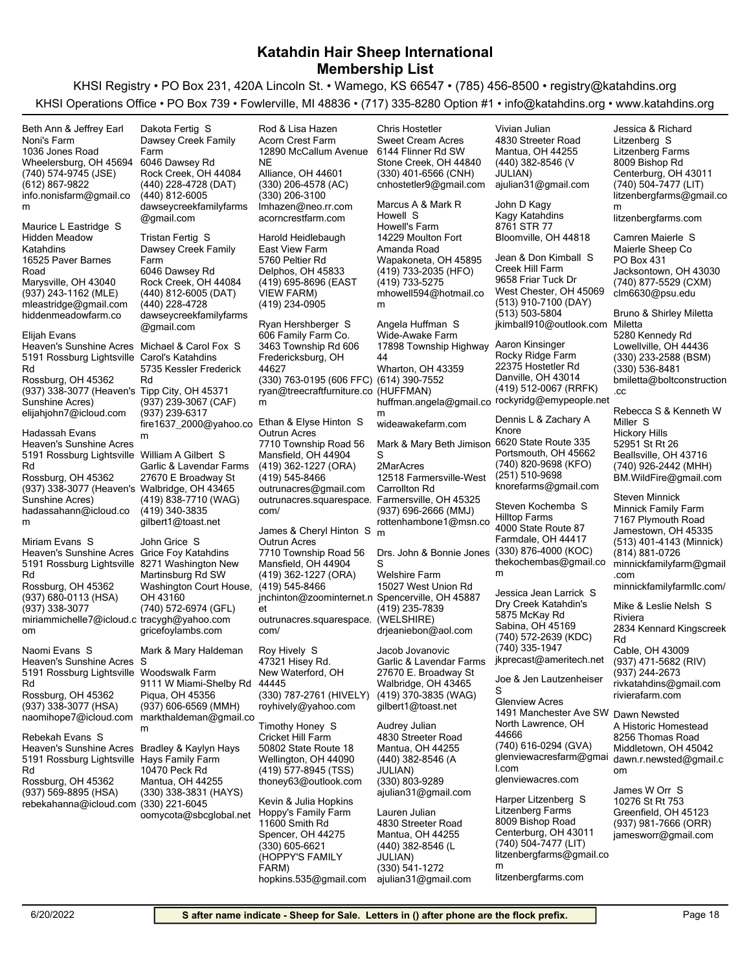KHSI Registry • PO Box 231, 420A Lincoln St. • Wamego, KS 66547 • (785) 456-8500 • registry@katahdins.org KHSI Operations Office • PO Box 739 • Fowlerville, MI 48836 • (717) 335-8280 Option #1 • info@katahdins.org • www.katahdins.org

(740) 574-9745 (JSE) Wheelersburg, OH 45694 1036 Jones Road Noni's Farm info.nonisfarm@gmail.co m (612) 867-9822 Beth Ann & Jeffrey Earl (937) 243-1162 (MLE) Marysville, OH 43040 16525 Paver Barnes Road Hidden Meadow Katahdins mleastridge@gmail.com hiddenmeadowfarm.co Maurice L Eastridge S (937) 338-3077 (Heaven's Tipp City, OH 45371 Sunshine Acres) Rossburg, OH 45362 5191 Rossburg Lightsville Carol's Katahdins Rd Heaven's Sunshine Acres Michael & Carol Fox S elijahjohn7@icloud.com Elijah Evans (937) 338-3077 (Heaven's Walbridge, OH 43465 Sunshine Acres) Rossburg, OH 45362 5191 Rossburg Lightsville William A Gilbert S Rd Heaven's Sunshine Acres hadassahann@icloud.co m Hadassah Evans (937) 680-0113 (HSA) Rossburg, OH 45362 5191 Rossburg Lightsville 8271 Washington New Rd Heaven's Sunshine Acres Grice Foy Katahdins miriammichelle7@icloud.c tracygh@yahoo.com om (937) 338-3077 Miriam Evans S (937) 338-3077 (HSA) Rossburg, OH 45362 5191 Rossburg Lightsville Rd Heaven's Sunshine Acres S naomihope7@icloud.com markthaldeman@gmail.co Naomi Evans S (937) 569-8895 (HSA) Rossburg, OH 45362 5191 Rossburg Lightsville Hays Family Farm Rd Heaven's Sunshine Acres Bradley & Kaylyn Hays rebekahanna@icloud.com (330) 221-6045 Rebekah Evans S (440) 228-4728 (DAT) Rock Creek, OH 44084 6046 Dawsey Rd Dawsey Creek Family Farm dawseycreekfamilyfarms @gmail.com (440) 812-6005 Dakota Fertig S (440) 812-6005 (DAT) Rock Creek, OH 44084 6046 Dawsey Rd Dawsey Creek Family Farm dawseycreekfamilyfarms @gmail.com (440) 228-4728 Tristan Fertig S (937) 239-3067 (CAF) 5735 Kessler Frederick Rd fire1637\_2000@yahoo.co m (937) 239-6317 (419) 838-7710 (WAG) 27670 E Broadway St Garlic & Lavendar Farms gilbert1@toast.net (419) 340-3835 (740) 572-6974 (GFL) Washington Court House, OH 43160 Martinsburg Rd SW gricefoylambs.com John Grice S (937) 606-6569 (MMH) Piqua, OH 45356 9111 W Miami-Shelby Rd Woodswalk Farm m Mark & Mary Haldeman (330) 338-3831 (HAYS) Mantua, OH 44255 10470 Peck Rd (330) 206-4578 (AC) Alliance, OH 44601 12890 McCallum Avenue NE Acorn Crest Farm lmhazen@neo.rr.com (330) 206-3100 acorncrestfarm.com Rod & Lisa Hazen (419) 695-8696 (EAST VIEW FARM) Delphos, OH 45833 5760 Peltier Rd East View Farm (419) 234-0905 Harold Heidlebaugh (330) 763-0195 (606 FFC) (614) 390-7552 Fredericksburg, OH 44627 3463 Township Rd 606 606 Family Farm Co. ryan@treecraftfurniture.co (HUFFMAN) m Ryan Hershberger S (419) 362-1227 (ORA) Mansfield, OH 44904 7710 Township Road 56 Outrun Acres outrunacres@gmail.com (419) 545-8466 outrunacres.squarespace. Farmersville, OH 45325 com/ Ethan & Elyse Hinton S (419) 362-1227 (ORA) Mansfield, OH 44904 7710 Township Road 56 Outrun Acres jnchinton@zoominternet.n Spencerville, OH 45887 et (419) 545-8466 outrunacres.squarespace. com/ James & Cheryl Hinton S (330) 787-2761 (HIVELY) New Waterford, OH 44445 47321 Hisey Rd. royhively@yahoo.com Roy Hively S (419) 577-8945 (TSS) Wellington, OH 44090 50802 State Route 18 Cricket Hill Farm thoney63@outlook.com Timothy Honey S Kevin & Julia Hopkins (330) 401-6566 (CNH) Stone Creek, OH 44840 6144 Flinner Rd SW Sweet Cream Acres cnhostetler9@gmail.com Chris Hostetler (419) 733-2035 (HFO) Wapakoneta, OH 45895 14229 Moulton Fort Amanda Road Howell's Farm mhowell594@hotmail.co m (419) 733-5275 Marcus A & Mark R Howell S Wharton, OH 43359 17898 Township Highway 44 Wide-Awake Farm huffman.angela@gmail.co rockyridg@emypeople.net m wideawakefarm.com Angela Huffman S (937) 696-2666 (MMJ) 12518 Farmersville-West Carrollton Rd 2MarAcres rottenhambone1@msn.co m Mark & Mary Beth Jimison 6620 State Route 335 S (419) 235-7839 (WELSHIRE) 15027 West Union Rd Welshire Farm drjeaniebon@aol.com Drs. John & Bonnie Jones (330) 876-4000 (KOC) S (419) 370-3835 (WAG) Walbridge, OH 43465 27670 E. Broadway St Garlic & Lavendar Farms gilbert1@toast.net Jacob Jovanovic (440) 382-8546 (A JULIAN) Mantua, OH 44255 4830 Streeter Road ajulian31@gmail.com (330) 803-9289 Audrey Julian (440) 382-8546 (V JULIAN) Mantua, OH 44255 4830 Streeter Road ajulian31@gmail.com Vivian Julian Bloomville, OH 44818 8761 STR 77 Kagy Katahdins John D Kagy (513) 910-7100 (DAY) West Chester, OH 45069 9658 Friar Tuck Dr Creek Hill Farm jkimball910@outlook.com (513) 503-5804 Jean & Don Kimball S (419) 512-0067 (RRFK) Danville, OH 43014 22375 Hostetler Rd Rocky Ridge Farm Aaron Kinsinger (740) 820-9698 (KFO) Portsmouth, OH 45662 knorefarms@gmail.com (251) 510-9698 Dennis L & Zachary A Knore Farmdale, OH 44417 4000 State Route 87 Hilltop Farms thekochembas@gmail.co m Steven Kochemba S (740) 572-2639 (KDC) Sabina, OH 45169 5875 McKay Rd Dry Creek Katahdin's jkprecast@ameritech.net (740) 335-1947 Jessica Jean Larrick S (740) 616-0294 (GVA) North Lawrence, OH 44666 1491 Manchester Ave SW Glenview Acres glenviewacresfarm@gmai l.com glenviewacres.com Joe & Jen Lautzenheiser S Harper Litzenberg S (740) 504-7477 (LIT) Centerburg, OH 43011 8009 Bishop Rd Litzenberg Farms litzenbergfarms@gmail.co m litzenbergfarms.com Jessica & Richard Litzenberg S (740) 877-5529 (CXM) Jacksontown, OH 43030 PO Box 431 Maierle Sheep Co clm6630@psu.edu Camren Maierle S (330) 233-2588 (BSM) Lowellville, OH 44436 5280 Kennedy Rd Miletta bmiletta@boltconstruction .cc (330) 536-8481 Bruno & Shirley Miletta (740) 926-2442 (MHH) Beallsville, OH 43716 52951 St Rt 26 Hickory Hills BM.WildFire@gmail.com Rebecca S & Kenneth W Miller S (513) 401-4143 (Minnick) Jamestown, OH 45335 7167 Plymouth Road Minnick Family Farm minnickfamilyfarm@gmail .com (814) 881-0726 minnickfamilyfarmllc.com/ Steven Minnick (937) 471-5682 (RIV) Cable, OH 43009 2834 Kennard Kingscreek Rd Riviera rivkatahdins@gmail.com (937) 244-2673 rivierafarm.com Mike & Leslie Nelsh S Middletown, OH 45042 8256 Thomas Road A Historic Homestead dawn.r.newsted@gmail.c om Dawn Newsted 10276 St Rt 753 James W Orr S

6/20/2022 **Safter name indicate - Sheep for Sale. Letters in () after phone are the flock prefix.** | Page 18

(440) 382-8546 (L JULIAN)

ajulian31@gmail.com (330) 541-1272

(740) 504-7477 (LIT) Centerburg, OH 43011 8009 Bishop Road Litzenberg Farms

litzenbergfarms.com

m

litzenbergfarms@gmail.co

Mantua, OH 44255 4830 Streeter Road

Lauren Julian

(330) 605-6621 (HOPPY'S FAMILY

Spencer, OH 44275 11600 Smith Rd Hoppy's Family Farm

hopkins.535@gmail.com

FARM)

(937) 981-7666 (ORR) Greenfield, OH 45123

jamesworr@gmail.com

oomycota@sbcglobal.net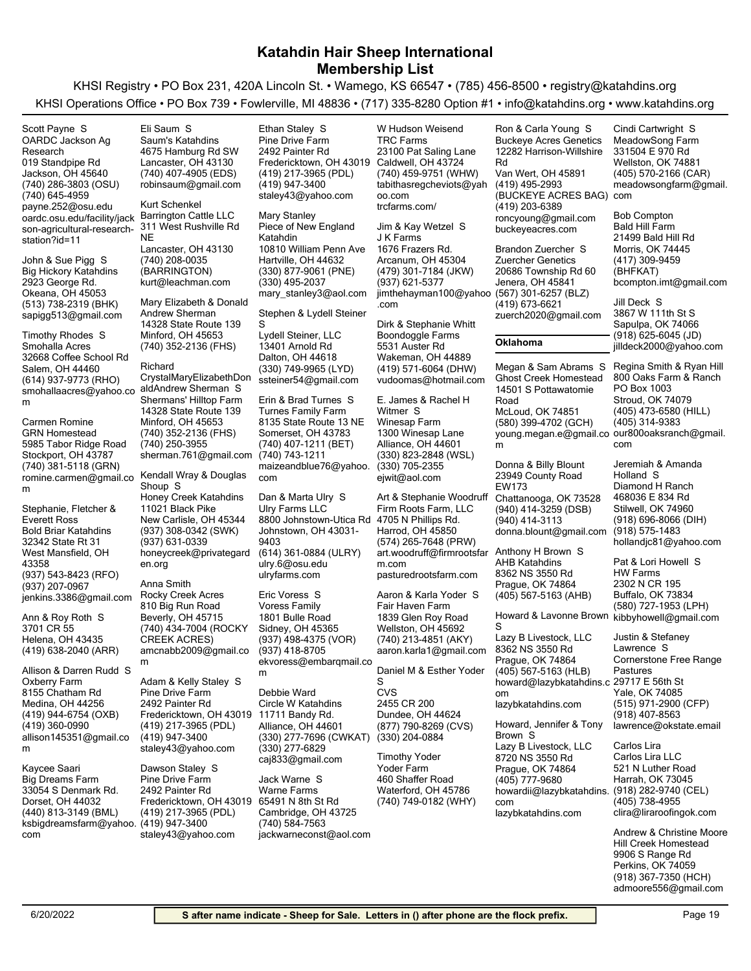KHSI Registry • PO Box 231, 420A Lincoln St. • Wamego, KS 66547 • (785) 456-8500 • registry@katahdins.org KHSI Operations Office • PO Box 739 • Fowlerville, MI 48836 • (717) 335-8280 Option #1 • info@katahdins.org • www.katahdins.org

(740) 286-3803 (OSU) Jackson, OH 45640 019 Standpipe Rd OARDC Jackson Ag Research payne.252@osu.edu (740) 645-4959 oardc.osu.edu/facility/jack son-agricultural-researchstation?id=11 Scott Payne S

(513) 738-2319 (BHK) Okeana, OH 45053 2923 George Rd. Big Hickory Katahdins sapigg513@gmail.com John & Sue Pigg S

(614) 937-9773 (RHO) Salem, OH 44460 32668 Coffee School Rd Smohalla Acres smohallaacres@yahoo.co aldAndrew Sherman S m Timothy Rhodes S

(740) 381-5118 (GRN) Stockport, OH 43787 5985 Tabor Ridge Road GRN Homestead romine.carmen@gmail.co m Carmen Romine

(937) 543-8423 (RFO) West Mansfield, OH 43358 32342 State Rt 31 Bold Briar Katahdins jenkins.3386@gmail.com (937) 207-0967 Stephanie, Fletcher & Everett Ross

(419) 638-2040 (ARR) Helena, OH 43435 3701 CR 55 Ann & Roy Roth S

(419) 944-6754 (OXB) Medina, OH 44256 8155 Chatham Rd Oxberry Farm allison145351@gmail.co m (419) 360-0990 Allison & Darren Rudd S

(440) 813-3149 (BML) Dorset, OH 44032 33054 S Denmark Rd. Big Dreams Farm ksbigdreamsfarm@yahoo. (419) 947-3400 com Kaycee Saari

(740) 407-4905 (EDS) Lancaster, OH 43130 4675 Hamburg Rd SW Saum's Katahdins robinsaum@gmail.com Eli Saum S

(740) 208-0035 (BARRINGTON) Lancaster, OH 43130 311 West Rushville Rd NE Barrington Cattle LLC kurt@leachman.com Kurt Schenkel

(740) 352-2136 (FHS) Minford, OH 45653 14328 State Route 139 Mary Elizabeth & Donald Andrew Sherman

(740) 352-2136 (FHS) Minford, OH 45653 14328 State Route 139 Shermans' Hilltop Farm sherman.761@gmail.com (740) 250-3955 Richard CrystalMaryElizabethDon

(937) 308-0342 (SWK) New Carlisle, OH 45344 11021 Black Pike Honey Creek Katahdins honeycreek@privategard en.org (937) 631-0339 Kendall Wray & Douglas Shoup S

(740) 434-7004 (ROCKY CREEK ACRES) Beverly, OH 45715 810 Big Run Road Rocky Creek Acres amcnabb2009@gmail.co m Anna Smith

(419) 217-3965 (PDL) Fredericktown, OH 43019 2492 Painter Rd Pine Drive Farm staley43@yahoo.com (419) 947-3400 Adam & Kelly Staley S m

(419) 217-3965 (PDL) Fredericktown, OH 43019 2492 Painter Rd Pine Drive Farm staley43@yahoo.com Dawson Staley S

(419) 217-3965 (PDL) Fredericktown, OH 43019 2492 Painter Rd Pine Drive Farm staley43@yahoo.com (419) 947-3400 Ethan Staley S

(330) 877-9061 (PNE) Hartville, OH 44632 10810 William Penn Ave Piece of New England Katahdin mary\_stanley3@aol.com (330) 495-2037 Mary Stanley

Stephen & Lydell Steiner

(330) 749-9965 (LYD) Dalton, OH 44618 13401 Arnold Rd Lydell Steiner, LLC ssteiner54@gmail.com S

(740) 407-1211 (BET) Somerset, OH 43783 8135 State Route 13 NE Turnes Family Farm maizeandblue76@yahoo. com (740) 743-1211 Erin & Brad Turnes S

(614) 361-0884 (ULRY) Johnstown, OH 43031- 9403 8800 Johnstown-Utica Rd Ulry Farms LLC ulry.6@osu.edu ulryfarms.com Dan & Marta Ulry S

(937) 498-4375 (VOR) Sidney, OH 45365 1801 Bulle Road Voress Family ekvoress@embarqmail.co (937) 418-8705 Eric Voress S

(330) 277-7696 (CWKAT) Alliance, OH 44601 11711 Bandy Rd. Circle W Katahdins caj833@gmail.com (330) 277-6829 Debbie Ward

Cambridge, OH 43725 65491 N 8th St Rd Warne Farms jackwarneconst@aol.com (740) 584-7563 Jack Warne S

(740) 459-9751 (WHW) Caldwell, OH 43724 23100 Pat Saling Lane TRC Farms tabithasregcheviots@yah oo.com trcfarms.com/ W Hudson Weisend

(479) 301-7184 (JKW) Arcanum, OH 45304 1676 Frazers Rd. J K Farms jimthehayman100@yahoo .com (937) 621-5377 Jim & Kay Wetzel S

(419) 571-6064 (DHW) Wakeman, OH 44889 5531 Auster Rd Boondoggle Farms vudoomas@hotmail.com Dirk & Stephanie Whitt

(330) 823-2848 (WSL) Alliance, OH 44601 1300 Winesap Lane Winesap Farm ejwit@aol.com (330) 705-2355 E. James & Rachel H Witmer S

(574) 265-7648 (PRW) Harrod, OH 45850 4705 N Phillips Rd. Firm Roots Farm, LLC art.woodruff@firmrootsfar Anthony H Brown S m.com pasturedrootsfarm.com Art & Stephanie Woodruff

(740) 213-4851 (AKY) Wellston, OH 45692 1839 Glen Roy Road Fair Haven Farm aaron.karla1@gmail.com Aaron & Karla Yoder S

CVS Daniel M & Esther Yoder S

(877) 790-8269 (CVS) Dundee, OH 44624 2455 CR 200 (330) 204-0884

(740) 749-0182 (WHY) Waterford, OH 45786 460 Shaffer Road Yoder Farm Timothy Yoder

(419) 495-2993 (BUCKEYE ACRES BAG) com Van Wert, OH 45891 12282 Harrison-Willshire Rd Buckeye Acres Genetics roncyoung@gmail.com (419) 203-6389 buckeyeacres.com Ron & Carla Young S Brandon Zuercher S

(567) 301-6257 (BLZ) Jenera, OH 45841 20686 Township Rd 60 Zuercher Genetics zuerch2020@gmail.com (419) 673-6621

### **Oklahoma**

(580) 399-4702 (GCH) McLoud, OK 74851 14501 S Pottawatomie Road Ghost Creek Homestead young.megan.e@gmail.co our800oaksranch@gmail. m Megan & Sam Abrams S Regina Smith & Ryan Hill

(940) 414-3259 (DSB) Chattanooga, OK 73528 23949 County Road EW173 donna.blount@gmail.com (940) 414-3113 Donna & Billy Blount

(405) 567-5163 (AHB) Prague, OK 74864 8362 NS 3550 Rd AHB Katahdins

Howard & Lavonne Brown kibbyhowell@gmail.com

(405) 567-5163 (HLB) Prague, OK 74864 8362 NS 3550 Rd Lazy B Livestock, LLC howard@lazybkatahdins.c 29717 E 56th St om lazybkatahdins.com S

Prague, OK 74864 8720 NS 3550 Rd Lazy B Livestock, LLC howardii@lazybkatahdins. com (405) 777-9680 lazybkatahdins.com Howard, Jennifer & Tony Brown S

(405) 570-2166 (CAR) Wellston, OK 74881 331504 E 970 Rd MeadowSong Farm meadowsongfarm@gmail. Cindi Cartwright S

(417) 309-9459 (BHFKAT) Morris, OK 74445 21499 Bald Hill Rd Bald Hill Farm bcompton.imt@gmail.com Bob Compton

(918) 625-6045 (JD) Sapulpa, OK 74066 3867 W 111th St S jilldeck2000@yahoo.com Jill Deck S

(405) 473-6580 (HILL) Stroud, OK 74079 PO Box 1003 800 Oaks Farm & Ranch com (405) 314-9383

(918) 696-8066 (DIH) Stilwell, OK 74960 468036 E 834 Rd Diamond H Ranch hollandjc81@yahoo.com (918) 575-1483 Jeremiah & Amanda Holland S

(580) 727-1953 (LPH) Buffalo, OK 73834 2302 N CR 195 HW Farms Pat & Lori Howell S

(515) 971-2900 (CFP) Yale, OK 74085 Cornerstone Free Range Pastures lawrence@okstate.email (918) 407-8563 Justin & Stefaney Lawrence S

(918) 282-9740 (CEL) Harrah, OK 73045 521 N Luther Road Carlos Lira LLC clira@liraroofingok.com (405) 738-4955 Carlos Lira

(918) 367-7350 (HCH) Perkins, OK 74059 9906 S Range Rd Hill Creek Homestead admoore556@gmail.com Andrew & Christine Moore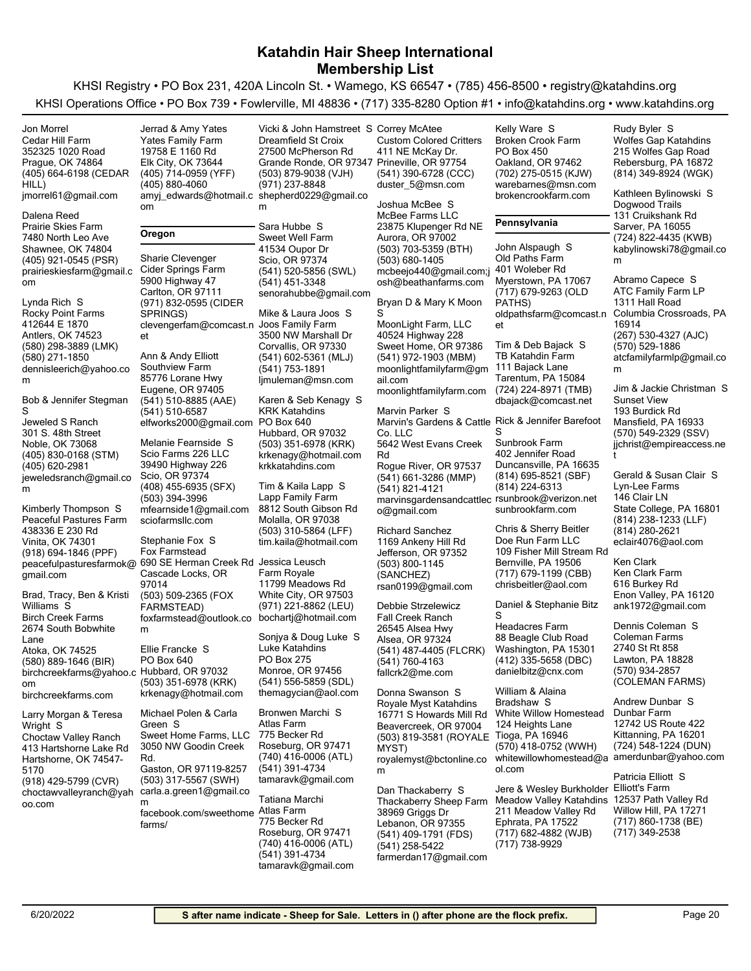KHSI Registry • PO Box 231, 420A Lincoln St. • Wamego, KS 66547 • (785) 456-8500 • registry@katahdins.org KHSI Operations Office • PO Box 739 • Fowlerville, MI 48836 • (717) 335-8280 Option #1 • info@katahdins.org • www.katahdins.org

| Jon Morrel                                       | Jerrad & Amy Yates                                  | Vicki & John Hamstreet S Correy McAtee       |                                                    | Kelly Ware S                            | Rudy Byler S                              |
|--------------------------------------------------|-----------------------------------------------------|----------------------------------------------|----------------------------------------------------|-----------------------------------------|-------------------------------------------|
| Cedar Hill Farm                                  | Yates Family Farm                                   | Dreamfield St Croix                          | <b>Custom Colored Critters</b>                     | <b>Broken Crook Farm</b>                | <b>Wolfes Gap Katahdins</b>               |
| 352325 1020 Road                                 | 19758 E 1160 Rd                                     | 27500 McPherson Rd                           | 411 NE McKay Dr.                                   | PO Box 450                              | 215 Wolfes Gap Road                       |
| Prague, OK 74864                                 | Elk City, OK 73644                                  | Grande Ronde, OR 97347 Prineville, OR 97754  |                                                    | Oakland, OR 97462                       | Rebersburg, PA 16872                      |
| (405) 664-6198 (CEDAR                            | (405) 714-0959 (YFF)                                | (503) 879-9038 (VJH)                         | (541) 390-6728 (CCC)                               | (702) 275-0515 (KJW)                    | (814) 349-8924 (WGK)                      |
| HILL)                                            | (405) 880-4060                                      | (971) 237-8848                               | duster 5@msn.com                                   | warebarnes@msn.com                      | Kathleen Bylinowski S                     |
| imorrel61@gmail.com                              | amyj_edwards@hotmail.c shepherd0229@gmail.co        |                                              | Joshua McBee S                                     | brokencrookfarm.com                     | Dogwood Trails                            |
| Dalena Reed                                      | om                                                  | m                                            | <b>McBee Farms LLC</b>                             |                                         | 131 Cruikshank Rd                         |
| Prairie Skies Farm                               |                                                     | Sara Hubbe S                                 | 23875 Klupenger Rd NE                              | Pennsylvania                            | Sarver, PA 16055                          |
| 7480 North Leo Ave                               | Oregon                                              | Sweet Well Farm                              | Aurora, OR 97002                                   |                                         | (724) 822-4435 (KWB)                      |
| Shawnee, OK 74804                                |                                                     | 41534 Oupor Dr                               | (503) 703-5359 (BTH)                               | John Alspaugh S                         | kabylinowski78@gmail.co                   |
| (405) 921-0545 (PSR)                             | Sharie Clevenger                                    | Scio, OR 97374                               | (503) 680-1405                                     | Old Paths Farm                          | m                                         |
| prairieskiesfarm@gmail.c                         | Cider Springs Farm                                  | (541) 520-5856 (SWL)                         | mcbeejo440@gmail.com;j                             | 401 Woleber Rd                          |                                           |
| om                                               | 5900 Highway 47                                     | (541) 451-3348                               | osh@beathanfarms.com                               | Myerstown, PA 17067                     | Abramo Capece S                           |
|                                                  | Carlton, OR 97111                                   | senorahubbe@gmail.com                        |                                                    | (717) 679-9263 (OLD                     | ATC Family Farm LP                        |
| Lynda Rich S<br><b>Rocky Point Farms</b>         | (971) 832-0595 (CIDER                               | Mike & Laura Joos S                          | Bryan D & Mary K Moon<br>S                         | PATHS)                                  | 1311 Hall Road<br>Columbia Crossroads, PA |
| 412644 E 1870                                    | SPRINGS)<br>clevengerfam@comcast.n                  | Joos Family Farm                             | MoonLight Farm, LLC                                | oldpathsfarm@comcast.n<br>et            | 16914                                     |
| Antlers, OK 74523                                | et                                                  | 3500 NW Marshall Dr                          | 40524 Highway 228                                  |                                         | (267) 530-4327 (AJC)                      |
| (580) 298-3889 (LMK)                             |                                                     | Corvallis, OR 97330                          | Sweet Home, OR 97386                               | Tim & Deb Bajack S                      | (570) 529-1886                            |
| (580) 271-1850                                   | Ann & Andy Elliott                                  | (541) 602-5361 (MLJ)                         | (541) 972-1903 (MBM)                               | TB Katahdin Farm                        | atcfamilyfarmlp@gmail.co                  |
| dennisleerich@yahoo.co                           | Southview Farm                                      | (541) 753-1891                               | moonlightfamilyfarm@gm                             | 111 Bajack Lane                         | m                                         |
| m                                                | 85776 Lorane Hwy                                    | ljmuleman@msn.com                            | ail.com                                            | Tarentum, PA 15084                      |                                           |
|                                                  | Eugene, OR 97405                                    |                                              | moonlightfamilyfarm.com                            | (724) 224-8971 (TMB)                    | Jim & Jackie Christman S                  |
| Bob & Jennifer Stegman<br>S                      | (541) 510-8885 (AAE)                                | Karen & Seb Kenagy S<br><b>KRK Katahdins</b> | Marvin Parker S                                    | dbajack@comcast.net                     | <b>Sunset View</b><br>193 Burdick Rd      |
| Jeweled S Ranch                                  | (541) 510-6587<br>elfworks2000@gmail.com PO Box 640 |                                              | Marvin's Gardens & Cattle Rick & Jennifer Barefoot |                                         | Mansfield, PA 16933                       |
| 301 S. 48th Street                               |                                                     | Hubbard, OR 97032                            | Co. LLC                                            | S                                       | (570) 549-2329 (SSV)                      |
| Noble, OK 73068                                  | Melanie Fearnside S                                 | (503) 351-6978 (KRK)                         | 5642 West Evans Creek                              | Sunbrook Farm                           | jichrist@empireaccess.ne                  |
| (405) 830-0168 (STM)                             | Scio Farms 226 LLC                                  | krkenagy@hotmail.com                         | Rd                                                 | 402 Jennifer Road                       |                                           |
| (405) 620-2981                                   | 39490 Highway 226                                   | krkkatahdins.com                             | Rogue River, OR 97537                              | Duncansville, PA 16635                  |                                           |
| jeweledsranch@gmail.co                           | Scio, OR 97374                                      |                                              | (541) 661-3286 (MMP)                               | (814) 695-8521 (SBF)                    | Gerald & Susan Clair S                    |
| m                                                | (408) 455-6935 (SFX)                                | Tim & Kaila Lapp S                           | (541) 821-4121                                     | (814) 224-6313                          | Lyn-Lee Farms                             |
| Kimberly Thompson S                              | (503) 394-3996<br>mfearnside1@gmail.com             | Lapp Family Farm<br>8812 South Gibson Rd     | marvinsgardensandcattlec rsunbrook@verizon.net     | sunbrookfarm.com                        | 146 Clair LN<br>State College, PA 16801   |
| Peaceful Pastures Farm                           | sciofarmsllc.com                                    | Molalla, OR 97038                            | o@gmail.com                                        |                                         | (814) 238-1233 (LLF)                      |
| 438336 E 230 Rd                                  |                                                     | (503) 310-5864 (LFF)                         | <b>Richard Sanchez</b>                             | Chris & Sherry Beitler                  | (814) 280-2621                            |
| Vinita, OK 74301                                 | Stephanie Fox S                                     | tim.kaila@hotmail.com                        | 1169 Ankeny Hill Rd                                | Doe Run Farm LLC                        | eclair4076@aol.com                        |
| (918) 694-1846 (PPF)                             | Fox Farmstead                                       |                                              | Jefferson, OR 97352                                | 109 Fisher Mill Stream Rd               |                                           |
|                                                  | peacefulpasturesfarmok@ 690 SE Herman Creek Rd      | Jessica Leusch                               | (503) 800-1145                                     | Bernville, PA 19506                     | Ken Clark                                 |
| gmail.com                                        | Cascade Locks, OR                                   | Farm Royale                                  | (SANCHEZ)                                          | (717) 679-1199 (CBB)                    | Ken Clark Farm                            |
| Brad, Tracy, Ben & Kristi                        | 97014<br>(503) 509-2365 (FOX                        | 11799 Meadows Rd<br>White City, OR 97503     | rsan0199@gmail.com                                 | chrisbeitler@aol.com                    | 616 Burkey Rd<br>Enon Valley, PA 16120    |
| Williams S                                       | FARMSTEAD)                                          | (971) 221-8862 (LEU)                         | Debbie Strzelewicz                                 | Daniel & Stephanie Bitz                 | ank1972@gmail.com                         |
| <b>Birch Creek Farms</b>                         | foxfarmstead@outlook.co                             | bochartj@hotmail.com                         | <b>Fall Creek Ranch</b>                            | S                                       |                                           |
| 2674 South Bobwhite                              | m                                                   |                                              | 26545 Alsea Hwy                                    | <b>Headacres Farm</b>                   | Dennis Coleman S                          |
| Lane                                             |                                                     | Sonjya & Doug Luke S                         | Alsea, OR 97324                                    | 88 Beagle Club Road                     | Coleman Farms                             |
| Atoka, OK 74525                                  | Ellie Francke S                                     | Luke Katahdins                               | (541) 487-4405 (FLCRK)                             | Washington, PA 15301                    | 2740 St Rt 858                            |
| (580) 889-1646 (BIR)                             | PO Box 640                                          | PO Box 275                                   | $(541) 760 - 4163$                                 | (412) 335-5658 (DBC)                    | Lawton, PA 18828                          |
| birchcreekfarms@yahoo.c Hubbard, OR 97032        |                                                     | Monroe, OR 97456<br>(541) 556-5859 (SDL)     | fallcrk2@me.com                                    | danielbitz@cnx.com                      | (570) 934-2857<br>(COLEMAN FARMS)         |
| om                                               | (503) 351-6978 (KRK)<br>krkenagy@hotmail.com        | themagycian@aol.com                          | Donna Swanson S                                    | William & Alaina                        |                                           |
| birchcreekfarms.com                              |                                                     |                                              | Royale Myst Katahdins                              | Bradshaw S                              | Andrew Dunbar S                           |
| Larry Morgan & Teresa                            | Michael Polen & Carla                               | Bronwen Marchi S                             | 16771 S Howards Mill Rd                            | White Willow Homestead                  | Dunbar Farm                               |
| Wright S                                         | Green S                                             | Atlas Farm                                   | Beavercreek, OR 97004                              | 124 Heights Lane                        | 12742 US Route 422                        |
| Choctaw Valley Ranch                             | Sweet Home Farms, LLC                               | 775 Becker Rd                                | (503) 819-3581 (ROYALE Tioga, PA 16946             |                                         | Kittanning, PA 16201                      |
| 413 Hartshorne Lake Rd                           | 3050 NW Goodin Creek                                | Roseburg, OR 97471                           | MYST)                                              | (570) 418-0752 (WWH)                    | (724) 548-1224 (DUN)                      |
| Hartshorne, OK 74547-                            | Rd.                                                 | (740) 416-0006 (ATL)<br>(541) 391-4734       | royalemyst@bctonline.co                            | whitewillowhomestead@a                  | amerdunbar@yahoo.com                      |
| 5170                                             | Gaston, OR 97119-8257<br>(503) 317-5567 (SWH)       | tamaravk@gmail.com                           | m                                                  | ol.com                                  | Patricia Elliott S                        |
| $(918)$ 429-5799 (CVR)<br>choctawvalleyranch@yah | carla.a.green1@gmail.co                             |                                              | Dan Thackaberry S                                  | Jere & Wesley Burkholder Elliott's Farm |                                           |
| oo.com                                           | m                                                   | Tatiana Marchi                               | Thackaberry Sheep Farm                             | <b>Meadow Valley Katahdins</b>          | 12537 Path Valley Rd                      |
|                                                  | facebook.com/sweethome                              | Atlas Farm                                   | 38969 Griggs Dr                                    | 211 Meadow Valley Rd                    | Willow Hill, PA 17271                     |
|                                                  | farms/                                              | 775 Becker Rd                                | Lebanon, OR 97355                                  | Ephrata, PA 17522                       | (717) 860-1738 (BE)                       |
|                                                  |                                                     | Roseburg, OR 97471                           | (541) 409-1791 (FDS)                               | (717) 682-4882 (WJB)                    | (717) 349-2538                            |
|                                                  |                                                     | (740) 416-0006 (ATL)                         | (541) 258-5422                                     | (717) 738-9929                          |                                           |

farmerdan17@gmail.com

tamaravk@gmail.com (541) 391-4734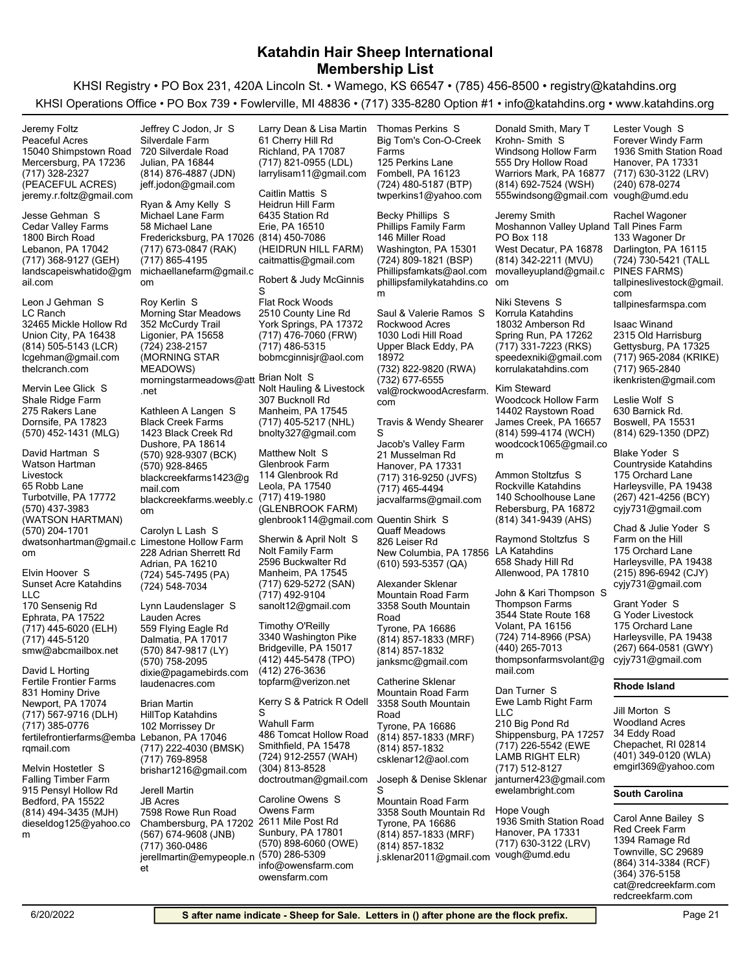KHSI Registry • PO Box 231, 420A Lincoln St. • Wamego, KS 66547 • (785) 456-8500 • registry@katahdins.org KHSI Operations Office • PO Box 739 • Fowlerville, MI 48836 • (717) 335-8280 Option #1 • info@katahdins.org • www.katahdins.org

(717) 328-2327 (PEACEFUL ACRES) Mercersburg, PA 17236 15040 Shimpstown Road Peaceful Acres jeremy.r.foltz@gmail.com Jeremy Foltz (717) 368-9127 (GEH) Lebanon, PA 17042 1800 Birch Road Cedar Valley Farms landscapeiswhatido@gm ail.com Jesse Gehman S (814) 505-5143 (LCR) Union City, PA 16438 32465 Mickle Hollow Rd LC Ranch lcgehman@gmail.com thelcranch.com Leon J Gehman S (570) 452-1431 (MLG) Dornsife, PA 17823 275 Rakers Lane Shale Ridge Farm Mervin Lee Glick S (570) 437-3983 (WATSON HARTMAN) Turbotville, PA 17772 65 Robb Lane Watson Hartman Livestock dwatsonhartman@gmail.c Limestone Hollow Farm om (570) 204-1701 David Hartman S (717) 445-6020 (ELH) Ephrata, PA 17522 170 Sensenig Rd Sunset Acre Katahdins LLC smw@abcmailbox.net (717) 445-5120 Elvin Hoover S (717) 567-9716 (DLH) Newport, PA 17074 831 Hominy Drive Fertile Frontier Farms fertilefrontierfarms@emba Lebanon, PA 17046 rgmail.com (717) 385-0776 David L Horting (814) 494-3435 (MJH) Bedford, PA 15522 915 Pensyl Hollow Rd Falling Timber Farm dieseldog125@yahoo.co m Melvin Hostetler S (814) 876-4887 (JDN) Julian, PA 16844 720 Silverdale Road Silverdale Farm jeff.jodon@gmail.com Jeffrey C Jodon, Jr S (717) 673-0847 (RAK) Fredericksburg, PA 17026 (814) 450-7086 58 Michael Lane Michael Lane Farm michaellanefarm@gmail.c om (717) 865-4195 Ryan & Amy Kelly S (724) 238-2157 (MORNING STAR MEADOWS) Ligonier, PA 15658 352 McCurdy Trail Morning Star Meadows morningstarmeadows@att Brian Nolt S .net Roy Kerlin S (570) 928-9307 (BCK) Dushore, PA 18614 1423 Black Creek Rd Black Creek Farms blackcreekfarms1423@g mail.com (570) 928-8465 blackcreekfarms.weebly.c om Kathleen A Langen S (724) 545-7495 (PA) Adrian, PA 16210 228 Adrian Sherrett Rd (724) 548-7034 Carolyn L Lash S (570) 847-9817 (LY) Dalmatia, PA 17017 559 Flying Eagle Rd Lauden Acres dixie@pagamebirds.com (570) 758-2095 laudenacres.com Lynn Laudenslager S (717) 222-4030 (BMSK) 102 Morrissey Dr HillTop Katahdins brishar1216@gmail.com (717) 769-8958 Brian Martin (567) 674-9608 (JNB) Chambersburg, PA 17202 7598 Rowe Run Road JB Acres jerellmartin@emypeople.n et (717) 360-0486 Jerell Martin (717) 821-0955 (LDL) Richland, PA 17087 61 Cherry Hill Rd larrylisam11@gmail.com Larry Dean & Lisa Martin (HEIDRUN HILL FARM) Erie, PA 16510 6435 Station Rd Heidrun Hill Farm caitmattis@gmail.com Caitlin Mattis S (717) 476-7060 (FRW) York Springs, PA 17372 2510 County Line Rd Flat Rock Woods bobmcginnisjr@aol.com (717) 486-5315 Robert & Judy McGinnis S (717) 405-5217 (NHL) Manheim, PA 17545 307 Bucknoll Rd Nolt Hauling & Livestock bnolty327@gmail.com (717) 419-1980 (GLENBROOK FARM) Leola, PA 17540 114 Glenbrook Rd Glenbrook Farm glenbrook114@gmail.com Quentin Shirk S Matthew Nolt S (717) 629-5272 (SAN) Manheim, PA 17545 2596 Buckwalter Rd Nolt Family Farm sanolt12@gmail.com (717) 492-9104 Sherwin & April Nolt S (412) 445-5478 (TPO) Bridgeville, PA 15017 3340 Washington Pike topfarm@verizon.net (412) 276-3636 Timothy O'Reilly (724) 912-2557 (WAH) Smithfield, PA 15478 486 Tomcat Hollow Road Wahull Farm doctroutman@gmail.com (304) 813-8528 Kerry S & Patrick R Odell S (570) 898-6060 (OWE) Sunbury, PA 17801 2611 Mile Post Rd Owens Farm info@owensfarm.com (570) 286-5309 owensfarm.com Caroline Owens S (724) 480-5187 (BTP) Fombell, PA 16123 125 Perkins Lane Big Tom's Con-O-Creek Farms twperkins1@yahoo.com Thomas Perkins S (724) 809-1821 (BSP) Washington, PA 15301 146 Miller Road Phillips Family Farm Phillipsfamkats@aol.com phillipsfamilykatahdins.co om m Becky Phillips S (732) 822-9820 (RWA) Upper Black Eddy, PA 18972 1030 Lodi Hill Road Rockwood Acres val@rockwoodAcresfarm. com (732) 677-6555 Saul & Valerie Ramos S (717) 316-9250 (JVFS) Hanover, PA 17331 21 Musselman Rd Jacob's Valley Farm jacvalfarms@gmail.com (717) 465-4494 Travis & Wendy Shearer S (610) 593-5357 (QA) New Columbia, PA 17856 LA Katahdins 826 Leiser Rd Quaff Meadows (814) 857-1833 (MRF) Tyrone, PA 16686 3358 South Mountain Road Mountain Road Farm janksmc@gmail.com (814) 857-1832 Alexander Sklenar (814) 857-1833 (MRF) Tyrone, PA 16686 3358 South Mountain Road Mountain Road Farm csklenar12@aol.com (814) 857-1832 Catherine Sklenar (814) 857-1833 (MRF) Tyrone, PA 16686 3358 South Mountain Rd Mountain Road Farm j.sklenar2011@gmail.com vough@umd.edu (814) 857-1832 Joseph & Denise Sklenar S (814) 692-7524 (WSH) Warriors Mark, PA 16877 555 Dry Hollow Road Windsong Hollow Farm 555windsong@gmail.com vough@umd.edu Donald Smith, Mary T Krohn- Smith S (814) 342-2211 (MVU) West Decatur, PA 16878 PO Box 118 Moshannon Valley Upland Tall Pines Farm movalleyupland@gmail.c Jeremy Smith (717) 331-7223 (RKS) Spring Run, PA 17262 18032 Amberson Rd Korrula Katahdins speedexniki@gmail.com korrulakatahdins.com Niki Stevens S (814) 599-4174 (WCH) James Creek, PA 16657 14402 Raystown Road Woodcock Hollow Farm woodcock1065@gmail.co m Kim Steward (814) 341-9439 (AHS) Rebersburg, PA 16872 140 Schoolhouse Lane Rockville Katahdins Ammon Stoltzfus S Allenwood, PA 17810 658 Shady Hill Rd Raymond Stoltzfus S (724) 714-8966 (PSA) Volant, PA 16156 3544 State Route 168 Thompson Farms thompsonfarmsvolant@g mail.com (440) 265-7013 John & Kari Thompson S (717) 226-5542 (EWE LAMB RIGHT ELR) Shippensburg, PA 17257 210 Big Pond Rd Ewe Lamb Right Farm LLC janturner423@gmail.com (717) 512-8127 ewelambright.com Dan Turner S (717) 630-3122 (LRV) Hanover, PA 17331 1936 Smith Station Road Hope Vough (717) 630-3122 (LRV) Hanover, PA 17331 1936 Smith Station Road Forever Windy Farm (240) 678-0274 Lester Vough S (724) 730-5421 (TALL PINES FARMS) Darlington, PA 16115 133 Wagoner Dr tallpineslivestock@gmail. com tallpinesfarmspa.com Rachel Wagoner (717) 965-2084 (KRIKE) Gettysburg, PA 17325 2315 Old Harrisburg ikenkristen@gmail.com (717) 965-2840 Isaac Winand (814) 629-1350 (DPZ) Boswell, PA 15531 630 Barnick Rd. Leslie Wolf S (267) 421-4256 (BCY) Harleysville, PA 19438 175 Orchard Lane Countryside Katahdins cyjy731@gmail.com Blake Yoder S (215) 896-6942 (CJY) Harleysville, PA 19438 175 Orchard Lane Farm on the Hill cyjy731@gmail.com Chad & Julie Yoder S (267) 664-0581 (GWY) Harleysville, PA 19438 175 Orchard Lane G Yoder Livestock cyjy731@gmail.com Grant Yoder S **Rhode Island** (401) 349-0120 (WLA) Chepachet, RI 02814 34 Eddy Road Woodland Acres emgirl369@yahoo.com Jill Morton S **South Carolina** (864) 314-3384 (RCF) Townville, SC 29689 1394 Ramage Rd Red Creek Farm cat@redcreekfarm.com (364) 376-5158 redcreekfarm.com Carol Anne Bailey S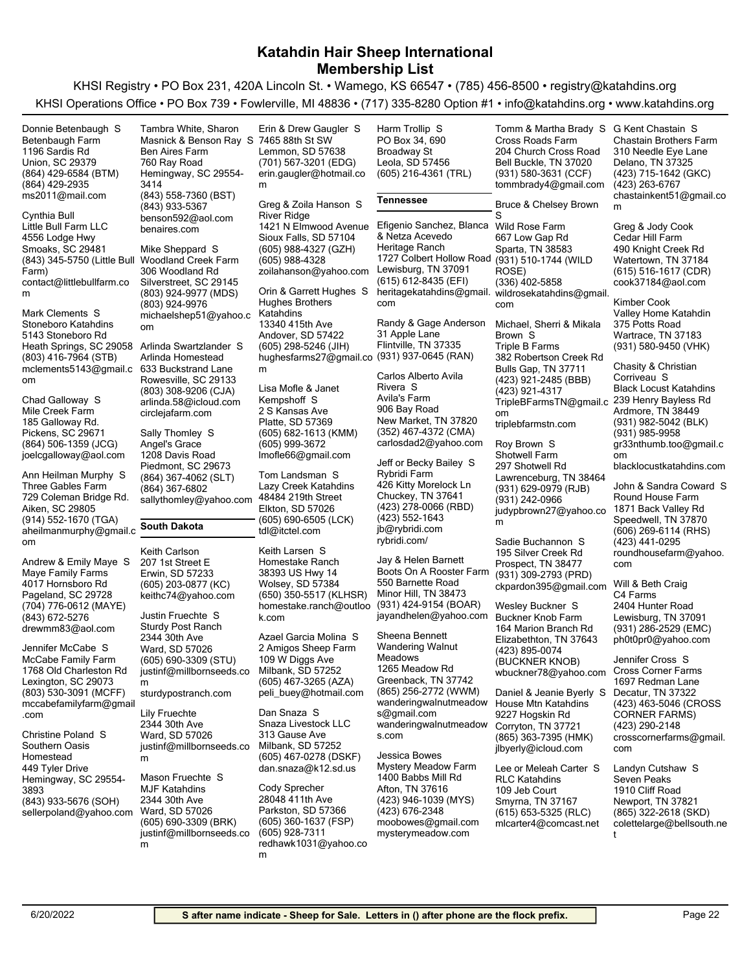KHSI Registry • PO Box 231, 420A Lincoln St. • Wamego, KS 66547 • (785) 456-8500 • registry@katahdins.org KHSI Operations Office • PO Box 739 • Fowlerville, MI 48836 • (717) 335-8280 Option #1 • info@katahdins.org • www.katahdins.org

| Donnie Betenbaugh S                             | Tambra White, Sharon                          | Erin & Drew Gaugler S                         | Harm Trollip S                              | Tomm & Martha Brady S                          | G Kent Chastain S                           |
|-------------------------------------------------|-----------------------------------------------|-----------------------------------------------|---------------------------------------------|------------------------------------------------|---------------------------------------------|
| Betenbaugh Farm                                 | Masnick & Benson Ray S 7465 88th St SW        |                                               | PO Box 34, 690                              | Cross Roads Farm                               | <b>Chastain Brothers Farm</b>               |
| 1196 Sardis Rd                                  | <b>Ben Aires Farm</b>                         | Lemmon, SD 57638                              | <b>Broadway St</b>                          | 204 Church Cross Road                          | 310 Needle Eye Lane                         |
| <b>Union, SC 29379</b>                          | 760 Ray Road                                  | (701) 567-3201 (EDG)                          | Leola, SD 57456                             | Bell Buckle, TN 37020                          | Delano, TN 37325                            |
| (864) 429-6584 (BTM)                            | Hemingway, SC 29554-                          | erin.gaugler@hotmail.co                       | (605) 216-4361 (TRL)                        | (931) 580-3631 (CCF)                           | (423) 715-1642 (GKC)                        |
| (864) 429-2935                                  | 3414                                          | m                                             |                                             | tommbrady4@gmail.com                           | (423) 263-6767                              |
| ms2011@mail.com                                 | (843) 558-7360 (BST)                          |                                               | Tennessee                                   |                                                | chastainkent51@gmail.co                     |
|                                                 | (843) 933-5367                                | Greg & Zoila Hanson S                         |                                             | Bruce & Chelsey Brown                          | m                                           |
| Cynthia Bull                                    | benson592@aol.com                             | River Ridge                                   |                                             |                                                |                                             |
| Little Bull Farm LLC                            | benaires.com                                  | 1421 N Elmwood Avenue                         | Efigenio Sanchez, Blanca<br>& Netza Acevedo | Wild Rose Farm                                 | Greg & Jody Cook                            |
| 4556 Lodge Hwy<br>Smoaks, SC 29481              | Mike Sheppard S                               | Sioux Falls, SD 57104<br>(605) 988-4327 (GZH) | Heritage Ranch                              | 667 Low Gap Rd<br>Sparta, TN 38583             | Cedar Hill Farm<br>490 Knight Creek Rd      |
| (843) 345-5750 (Little Bull Woodland Creek Farm |                                               | (605) 988-4328                                | 1727 Colbert Hollow Road                    | (931) 510-1744 (WILD                           | Watertown, TN 37184                         |
| Farm)                                           | 306 Woodland Rd                               | zoilahanson@yahoo.com                         | Lewisburg, TN 37091                         | ROSE)                                          | (615) 516-1617 (CDR)                        |
| contact@littlebullfarm.co                       | Silverstreet, SC 29145                        |                                               | (615) 612-8435 (EFI)                        | (336) 402-5858                                 | cook37184@aol.com                           |
| m                                               | (803) 924-9977 (MDS)                          | Orin & Garrett Hughes S                       | heritagekatahdins@gmail.                    | wildrosekatahdins@gmail.                       |                                             |
|                                                 | (803) 924-9976                                | Hughes Brothers                               | com                                         | com                                            | Kimber Cook                                 |
| Mark Clements S                                 | michaelshep51@yahoo.c                         | Katahdins                                     |                                             |                                                | Valley Home Katahdin                        |
| Stoneboro Katahdins                             | om                                            | 13340 415th Ave                               | Randy & Gage Anderson                       | Michael, Sherri & Mikala                       | 375 Potts Road                              |
| 5143 Stoneboro Rd                               |                                               | Andover, SD 57422                             | 31 Apple Lane                               | Brown S                                        | Wartrace, TN 37183                          |
| Heath Springs, SC 29058 Arlinda Swartzlander S  |                                               | (605) 298-5246 (JIH)                          | Flintville, TN 37335                        | Triple B Farms                                 | (931) 580-9450 (VHK)                        |
| (803) 416-7964 (STB)                            | Arlinda Homestead                             | hughesfarms27@gmail.co                        | (931) 937-0645 (RAN)                        | 382 Robertson Creek Rd                         | Chasity & Christian                         |
| mclements5143@gmail.c 633 Buckstrand Lane       |                                               | m                                             | Carlos Alberto Avila                        | Bulls Gap, TN 37711                            | Corriveau S                                 |
| om                                              | Rowesville, SC 29133                          | Lisa Mofle & Janet                            | Rivera S                                    | (423) 921-2485 (BBB)<br>(423) 921-4317         | <b>Black Locust Katahdins</b>               |
| Chad Galloway S                                 | (803) 308-9206 (CJA)<br>arlinda.58@icloud.com | Kempshoff S                                   | Avila's Farm                                | TripleBFarmsTN@gmail.c                         | 239 Henry Bayless Rd                        |
| Mile Creek Farm                                 | circlejafarm.com                              | 2 S Kansas Ave                                | 906 Bay Road                                | om                                             | Ardmore, TN 38449                           |
| 185 Galloway Rd.                                |                                               | Platte, SD 57369                              | New Market, TN 37820                        | triplebfarmstn.com                             | (931) 982-5042 (BLK)                        |
| Pickens, SC 29671                               | Sally Thomley S                               | (605) 682-1613 (KMM)                          | (352) 467-4372 (CMA)                        |                                                | (931) 985-9958                              |
| (864) 506-1359 (JCG)                            | Angel's Grace                                 | (605) 999-3672                                | carlosdad2@yahoo.com                        | Roy Brown S                                    | gr33nthumb.too@gmail.c                      |
| joelcgalloway@aol.com                           | 1208 Davis Road                               | Imofle66@gmail.com                            |                                             | Shotwell Farm                                  | om                                          |
|                                                 | Piedmont, SC 29673                            |                                               | Jeff or Becky Bailey S<br>Rybridi Farm      | 297 Shotwell Rd                                | blacklocustkatahdins.com                    |
| Ann Heilman Murphy S                            | (864) 367-4062 (SLT)                          | Tom Landsman S                                | 426 Kitty Morelock Ln                       | Lawrenceburg, TN 38464                         |                                             |
| Three Gables Farm                               | (864) 367-6802                                | Lazy Creek Katahdins<br>48484 219th Street    | Chuckey, TN 37641                           | (931) 629-0979 (RJB)                           | John & Sandra Coward S<br>Round House Farm  |
| 729 Coleman Bridge Rd.<br>Aiken, SC 29805       | sallythomley@yahoo.com                        | Elkton, SD 57026                              | (423) 278-0066 (RBD)                        | (931) 242-0966                                 | 1871 Back Valley Rd                         |
| (914) 552-1670 (TGA)                            |                                               | (605) 690-6505 (LCK)                          | (423) 552-1643                              | judypbrown27@yahoo.co                          | Speedwell, TN 37870                         |
| aheilmanmurphy@gmail.c                          | South Dakota                                  | tdl@itctel.com                                | jb@rybridi.com                              | m                                              | $(606)$ 269-6114 (RHS)                      |
| om                                              |                                               |                                               | rybridi.com/                                | Sadie Buchannon S                              | (423) 441-0295                              |
|                                                 | Keith Carlson                                 | Keith Larsen S                                |                                             | 195 Silver Creek Rd                            | roundhousefarm@yahoo.                       |
| Andrew & Emily Maye S                           | 207 1st Street E                              | Homestake Ranch                               | Jay & Helen Barnett                         | Prospect, TN 38477                             | com                                         |
| Maye Family Farms                               | Erwin, SD 57233                               | 38393 US Hwy 14                               | Boots On A Rooster Farm                     | (931) 309-2793 (PRD)                           |                                             |
| 4017 Hornsboro Rd                               | (605) 203-0877 (KC)                           | Wolsey, SD 57384                              | 550 Barnette Road                           | ckpardon395@gmail.com                          | Will & Beth Craig                           |
| Pageland, SC 29728                              | keithc74@yahoo.com                            | (650) 350-5517 (KLHSR)                        | Minor Hill, TN 38473                        |                                                | C4 Farms                                    |
| (704) 776-0612 (MAYE)                           | Justin Fruechte S                             | homestake.ranch@outloo                        | (931) 424-9154 (BOAR)                       | Wesley Buckner S                               | 2404 Hunter Road                            |
| (843) 672-5276                                  | <b>Sturdy Post Ranch</b>                      | k.com                                         | jayandhelen@yahoo.com                       | <b>Buckner Knob Farm</b>                       | Lewisburg, TN 37091<br>(931) 286-2529 (EMC) |
| drewmm83@aol.com                                | 2344 30th Ave                                 | Azael Garcia Molina S                         | Sheena Bennett                              | 164 Marion Branch Rd<br>Elizabethton, TN 37643 | ph0t0pr0@yahoo.com                          |
| Jennifer McCabe S                               | Ward, SD 57026                                | 2 Amigos Sheep Farm                           | Wandering Walnut                            | (423) 895-0074                                 |                                             |
| McCabe Family Farm                              | (605) 690-3309 (STU)                          | 109 W Diggs Ave                               | Meadows                                     | (BUCKNER KNOB)                                 | Jennifer Cross S                            |
| 1768 Old Charleston Rd                          | justinf@millbornseeds.co                      | Milbank, SD 57252                             | 1265 Meadow Rd                              | wbuckner78@yahoo.com                           | Cross Corner Farms                          |
| Lexington, SC 29073                             | m                                             | (605) 467-3265 (AZA)                          | Greenback, TN 37742                         |                                                | 1697 Redman Lane                            |
| (803) 530-3091 (MCFF)                           | sturdypostranch.com                           | peli_buey@hotmail.com                         | (865) 256-2772 (WWM)                        | Daniel & Jeanie Byerly S                       | Decatur, TN 37322                           |
| mccabefamilyfarm@gmail                          |                                               |                                               | wanderingwalnutmeadow                       | House Mtn Katahdins                            | (423) 463-5046 (CROSS                       |
| .com                                            | Lily Fruechte                                 | Dan Snaza S<br>Snaza Livestock LLC            | s@gmail.com                                 | 9227 Hogskin Rd                                | <b>CORNER FARMS)</b>                        |
| Christine Poland S                              | 2344 30th Ave                                 | 313 Gause Ave                                 | wanderingwalnutmeadow                       | Corryton, TN 37721                             | (423) 290-2148                              |
| Southern Oasis                                  | Ward, SD 57026<br>justinf@millbornseeds.co    | Milbank, SD 57252                             | s.com                                       | (865) 363-7395 (HMK)                           | crosscornerfarms@gmail.                     |
| Homestead                                       | m                                             | (605) 467-0278 (DSKF)                         | Jessica Bowes                               | jlbyerly@icloud.com                            | com                                         |
| 449 Tyler Drive                                 |                                               | dan.snaza@k12.sd.us                           | <b>Mystery Meadow Farm</b>                  | Lee or Meleah Carter S                         | Landyn Cutshaw S                            |
| Hemingway, SC 29554-                            | Mason Fruechte S                              |                                               | 1400 Babbs Mill Rd                          | <b>RLC Katahdins</b>                           | Seven Peaks                                 |
| 3893                                            | <b>MJF Katahdins</b>                          | Cody Sprecher                                 | Afton, TN 37616                             | 109 Jeb Court                                  | 1910 Cliff Road                             |
| (843) 933-5676 (SOH)                            | 2344 30th Ave                                 | 28048 411th Ave                               | (423) 946-1039 (MYS)                        | Smyrna, TN 37167                               | Newport, TN 37821                           |
| sellerpoland@yahoo.com                          | Ward, SD 57026                                | Parkston, SD 57366                            | (423) 676-2348                              | $(615)$ 653-5325 (RLC)                         | (865) 322-2618 (SKD)                        |
|                                                 | (605) 690-3309 (BRK)                          | (605) 360-1637 (FSP)                          | moobowes@gmail.com                          | mlcarter4@comcast.net                          | colettelarge@bellsouth.ne                   |
|                                                 | justinf@millbornseeds.co                      | (605) 928-7311                                | mysterymeadow.com                           |                                                | t                                           |
|                                                 | m                                             | redhawk1031@yahoo.co                          |                                             |                                                |                                             |

m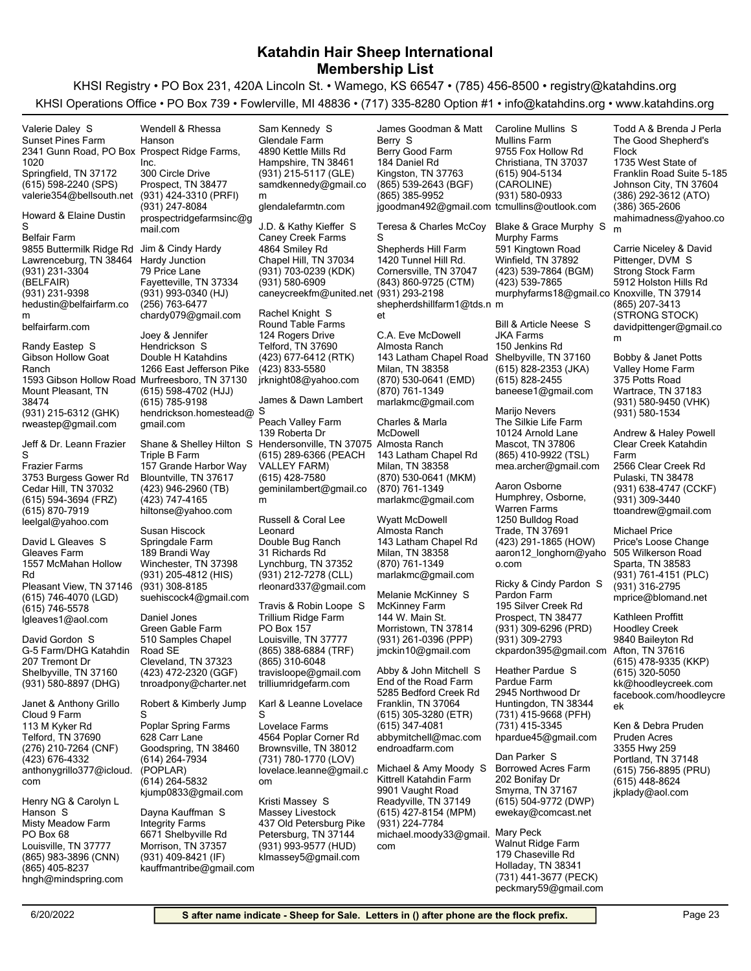KHSI Registry • PO Box 231, 420A Lincoln St. • Wamego, KS 66547 • (785) 456-8500 • registry@katahdins.org KHSI Operations Office • PO Box 739 • Fowlerville, MI 48836 • (717) 335-8280 Option #1 • info@katahdins.org • www.katahdins.org

(615) 598-2240 (SPS) Springfield, TN 37172 2341 Gunn Road, PO Box Prospect Ridge Farms, 1020 Sunset Pines Farm valerie354@bellsouth.net Valerie Daley S (931) 231-3304 (BELFAIR) Lawrenceburg, TN 38464 9855 Buttermilk Ridge Rd Jim & Cindy Hardy Belfair Farm hedustin@belfairfarm.co m (931) 231-9398 belfairfarm.com Howard & Elaine Dustin S (931) 215-6312 (GHK) Mount Pleasant, TN 38474 1593 Gibson Hollow Road Murfreesboro, TN 37130 Gibson Hollow Goat Ranch rweastep@gmail.com Randy Eastep S (615) 594-3694 (FRZ) Cedar Hill, TN 37032 3753 Burgess Gower Rd Frazier Farms leelgal@yahoo.com (615) 870-7919 Jeff & Dr. Leann Frazier S (615) 746-4070 (LGD) Pleasant View, TN 37146 1557 McMahan Hollow Rd Gleaves Farm lgleaves1@aol.com (615) 746-5578 David L Gleaves S (931) 580-8897 (DHG) Shelbyville, TN 37160 207 Tremont Dr G-5 Farm/DHG Katahdin David Gordon S (276) 210-7264 (CNF) Telford, TN 37690 113 M Kyker Rd Cloud 9 Farm anthonygrillo377@icloud. com (423) 676-4332 Janet & Anthony Grillo (865) 983-3896 (CNN) Louisville, TN 37777 PO Box 68 Misty Meadow Farm hngh@mindspring.com (865) 405-8237 Henry NG & Carolyn L Hanson S (931) 424-3310 (PRFI) Prospect, TN 38477 300 Circle Drive Inc. prospectridgefarmsinc@g mail.com (931) 247-8084 Wendell & Rhessa Hanson (931) 993-0340 (HJ) Fayetteville, TN 37334 79 Price Lane Hardy Junction chardy079@gmail.com (256) 763-6477 (615) 598-4702 (HJJ) 1266 East Jefferson Pike Double H Katahdins hendrickson.homestead@ gmail.com (615) 785-9198 Joey & Jennifer Hendrickson S (423) 946-2960 (TB) Blountville, TN 37617 157 Grande Harbor Way Triple B Farm hiltonse@yahoo.com (423) 747-4165 Shane & Shelley Hilton S Hendersonville, TN 37075 Almosta Ranch (931) 205-4812 (HIS) Winchester, TN 37398 189 Brandi Way Springdale Farm suehiscock4@gmail.com (931) 308-8185 Susan Hiscock (423) 472-2320 (GGF) Cleveland, TN 37323 510 Samples Chapel Road SE Green Gable Farm tnroadpony@charter.net Daniel Jones (614) 264-7934 (POPLAR) Goodspring, TN 38460 628 Carr Lane Poplar Spring Farms kjump0833@gmail.com (614) 264-5832 Robert & Kimberly Jump S (931) 409-8421 (IF) Morrison, TN 37357 6671 Shelbyville Rd Integrity Farms kauffmantribe@gmail.com Dayna Kauffman S (931) 215-5117 (GLE) Hampshire, TN 38461 4890 Kettle Mills Rd Glendale Farm samdkennedy@gmail.co m glendalefarmtn.com Sam Kennedy S (931) 703-0239 (KDK) Chapel Hill, TN 37034 4864 Smiley Rd Caney Creek Farms caneycreekfm@united.net (931) 293-2198 (931) 580-6909 J.D. & Kathy Kieffer S (423) 677-6412 (RTK) Telford, TN 37690 124 Rogers Drive Round Table Farms jrknight08@yahoo.com (423) 833-5580 Rachel Knight S (615) 289-6366 (PEACH VALLEY FARM) 139 Roberta Dr Peach Valley Farm geminilambert@gmail.co m (615) 428-7580 James & Dawn Lambert S (931) 212-7278 (CLL) Lynchburg, TN 37352 31 Richards Rd Double Bug Ranch rleonard337@gmail.com Russell & Coral Lee Leonard (865) 388-6884 (TRF) Louisville, TN 37777 PO Box 157 Trillium Ridge Farm travisloope@gmail.com (865) 310-6048 trilliumridgefarm.com Travis & Robin Loope S (731) 780-1770 (LOV) Brownsville, TN 38012 4564 Poplar Corner Rd Lovelace Farms lovelace.leanne@gmail.c om Karl & Leanne Lovelace S (931) 993-9577 (HUD) Petersburg, TN 37144 437 Old Petersburg Pike Massey Livestock klmassey5@gmail.com Kristi Massey S (865) 539-2643 (BGF) Kingston, TN 37763 184 Daniel Rd Berry Good Farm jgoodman492@gmail.com tcmullins@outlook.com (865) 385-9952 James Goodman & Matt Berry S (843) 860-9725 (CTM) Cornersville, TN 37047 1420 Tunnel Hill Rd. Shepherds Hill Farm shepherdshillfarm1@tds.n m et Teresa & Charles McCoy S (870) 530-0641 (EMD) Milan, TN 38358 143 Latham Chapel Road Shelbyville, TN 37160 Almosta Ranch marlakmc@gmail.com (870) 761-1349 C.A. Eve McDowell (870) 530-0641 (MKM) Milan, TN 38358 143 Latham Chapel Rd marlakmc@gmail.com (870) 761-1349 Charles & Marla McDowell Milan, TN 38358 143 Latham Chapel Rd Almosta Ranch marlakmc@gmail.com (870) 761-1349 Wyatt McDowell (931) 261-0396 (PPP) Morristown, TN 37814 144 W. Main St. McKinney Farm jmckin10@gmail.com Melanie McKinney S (615) 305-3280 (ETR) Franklin, TN 37064 5285 Bedford Creek Rd End of the Road Farm abbymitchell@mac.com (615) 347-4081 endroadfarm.com Abby & John Mitchell S (615) 427-8154 (MPM) Readyville, TN 37149 9901 Vaught Road Kittrell Katahdin Farm michael.moody33@gmail. Mary Peck com (931) 224-7784 Michael & Amy Moody S (615) 904-5134 (CAROLINE) Christiana, TN 37037 9755 Fox Hollow Rd Mullins Farm (931) 580-0933 Caroline Mullins S (423) 539-7864 (BGM) Winfield, TN 37892 591 Kingtown Road Murphy Farms murphyfarms18@gmail.co Knoxville, TN 37914 (423) 539-7865 Blake & Grace Murphy S (615) 828-2353 (JKA) 150 Jenkins Rd JKA Farms baneese1@gmail.com (615) 828-2455 Bill & Article Neese S (865) 410-9922 (TSL) Mascot, TN 37806 10124 Arnold Lane The Silkie Life Farm mea.archer@gmail.com Marijo Nevers (423) 291-1865 (HOW) Trade, TN 37691 1250 Bulldog Road Humphrey, Osborne, Warren Farms aaron12\_longhorn@yaho o.com Aaron Osborne (931) 309-6296 (PRD) Prospect, TN 38477 195 Silver Creek Rd Pardon Farm ckpardon395@gmail.com Afton, TN 37616 (931) 309-2793 Ricky & Cindy Pardon S (731) 415-9668 (PFH) Huntingdon, TN 38344 2945 Northwood Dr Pardue Farm hpardue45@gmail.com (731) 415-3345 Heather Pardue S (615) 504-9772 (DWP) Smyrna, TN 37167 202 Bonifay Dr Borrowed Acres Farm ewekay@comcast.net Dan Parker S (731) 441-3677 (PECK) Holladay, TN 38341 179 Chaseville Rd Walnut Ridge Farm peckmary59@gmail.com (386) 292-3612 (ATO) Johnson City, TN 37604 1735 West State of Franklin Road Suite 5-185 The Good Shepherd's Flock mahimadness@yahoo.co m (386) 365-2606 Todd A & Brenda J Perla (865) 207-3413 (STRONG STOCK) 5912 Holston Hills Rd Strong Stock Farm davidpittenger@gmail.co m Carrie Niceley & David Pittenger, DVM S (931) 580-9450 (VHK) Wartrace, TN 37183 375 Potts Road Valley Home Farm (931) 580-1534 Bobby & Janet Potts (931) 638-4747 (CCKF) Pulaski, TN 38478 2566 Clear Creek Rd Clear Creek Katahdin Farm ttoandrew@gmail.com (931) 309-3440 Andrew & Haley Powell (931) 761-4151 (PLC) Sparta, TN 38583 505 Wilkerson Road Price's Loose Change mprice@blomand.net (931) 316-2795 Michael Price (615) 478-9335 (KKP) 9840 Baileyton Rd Hoodley Creek kk@hoodleycreek.com (615) 320-5050 facebook.com/hoodleycre ek Kathleen Proffitt (615) 756-8895 (PRU) Portland, TN 37148 3355 Hwy 259 Pruden Acres jkplady@aol.com (615) 448-8624 Ken & Debra Pruden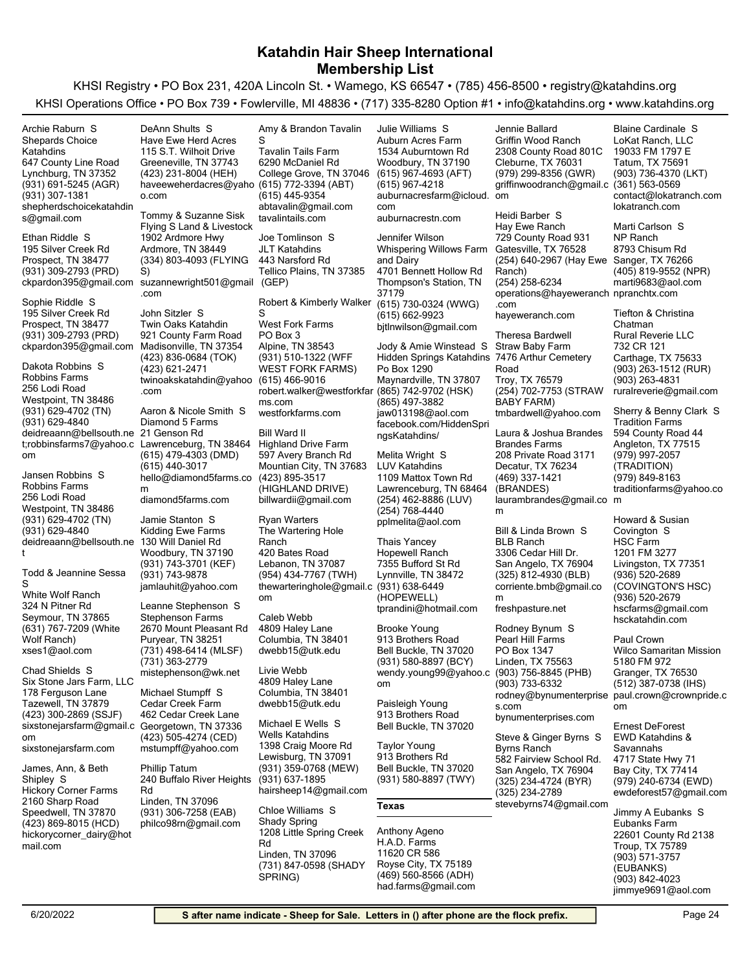KHSI Registry • PO Box 231, 420A Lincoln St. • Wamego, KS 66547 • (785) 456-8500 • registry@katahdins.org KHSI Operations Office • PO Box 739 • Fowlerville, MI 48836 • (717) 335-8280 Option #1 • info@katahdins.org • www.katahdins.org

| Archie Raburn S                               | DeAnn Shults S                                 | Amy & Brandon Tavalin                          | Julie Williams S                              | Jennie Ballard                                   | <b>Blaine Cardinale S</b>           |
|-----------------------------------------------|------------------------------------------------|------------------------------------------------|-----------------------------------------------|--------------------------------------------------|-------------------------------------|
| <b>Shepards Choice</b>                        | Have Ewe Herd Acres                            | S                                              | Auburn Acres Farm                             | Griffin Wood Ranch                               | LoKat Ranch, LLC                    |
| Katahdins                                     | 115 S.T. Wilhoit Drive                         | <b>Tavalin Tails Farm</b>                      | 1534 Auburntown Rd                            | 2308 County Road 801C                            | 19033 FM 1797 E                     |
| 647 County Line Road                          | Greeneville, TN 37743                          | 6290 McDaniel Rd                               | Woodbury, TN 37190                            | Cleburne, TX 76031                               | Tatum, TX 75691                     |
| Lynchburg, TN 37352                           | (423) 231-8004 (HEH)                           | College Grove, TN 37046                        | (615) 967-4693 (AFT)                          | (979) 299-8356 (GWR)                             | (903) 736-4370 (LKT)                |
| (931) 691-5245 (AGR)                          | haveeweherdacres@yaho (615) 772-3394 (ABT)     |                                                | (615) 967-4218                                | griffinwoodranch@gmail.c                         | $(361) 563 - 0569$                  |
| (931) 307-1381                                | o.com                                          | (615) 445-9354                                 | auburnacresfarm@icloud. om                    |                                                  | contact@lokatranch.com              |
| shepherdschoicekatahdin                       |                                                | abtavalin@gmail.com                            | com                                           |                                                  | lokatranch.com                      |
| s@gmail.com                                   | Tommy & Suzanne Sisk                           | tavalintails.com                               | auburnacrestn.com                             | Heidi Barber S                                   |                                     |
|                                               | Flying S Land & Livestock                      |                                                |                                               | Hay Ewe Ranch                                    | Marti Carlson S                     |
| Ethan Riddle S                                | 1902 Ardmore Hwy                               | Joe Tomlinson S                                | Jennifer Wilson                               | 729 County Road 931                              | NP Ranch                            |
| 195 Silver Creek Rd                           | Ardmore, TN 38449                              | <b>JLT Katahdins</b>                           | Whispering Willows Farm                       | Gatesville, TX 76528                             | 8793 Chisum Rd                      |
| Prospect, TN 38477                            | (334) 803-4093 (FLYING                         | 443 Narsford Rd                                | and Dairy                                     | (254) 640-2967 (Hay Ewe Sanger, TX 76266         |                                     |
| (931) 309-2793 (PRD)                          | S)                                             | Tellico Plains, TN 37385                       | 4701 Bennett Hollow Rd                        | Ranch)                                           | (405) 819-9552 (NPR)                |
| ckpardon395@gmail.com                         | suzannewright501@gmail (GEP)                   |                                                | Thompson's Station, TN                        | (254) 258-6234                                   | marti9683@aol.com                   |
| Sophie Riddle S                               | .com                                           |                                                | 37179                                         | operations@hayeweranch npranchtx.com             |                                     |
| 195 Silver Creek Rd                           | John Sitzler S                                 | Robert & Kimberly Walker<br>S                  | (615) 730-0324 (WWG)                          | .com                                             | Tiefton & Christina                 |
| Prospect, TN 38477                            | Twin Oaks Katahdin                             | <b>West Fork Farms</b>                         | (615) 662-9923                                | hayeweranch.com                                  | Chatman                             |
| (931) 309-2793 (PRD)                          | 921 County Farm Road                           | PO Box 3                                       | bjtlnwilson@gmail.com                         | <b>Theresa Bardwell</b>                          | <b>Rural Reverie LLC</b>            |
| ckpardon395@gmail.com Madisonville, TN 37354  |                                                | Alpine, TN 38543                               | Jody & Amie Winstead S                        | Straw Baby Farm                                  | 732 CR 121                          |
|                                               | (423) 836-0684 (TOK)                           | (931) 510-1322 (WFF                            | Hidden Springs Katahdins 7476 Arthur Cemetery |                                                  | Carthage, TX 75633                  |
| Dakota Robbins S                              | (423) 621-2471                                 | <b>WEST FORK FARMS)</b>                        | Po Box 1290                                   | Road                                             | (903) 263-1512 (RUR)                |
| Robbins Farms                                 | twinoakskatahdin@yahoo (615) 466-9016          |                                                | Maynardville, TN 37807                        | Troy, TX 76579                                   | (903) 263-4831                      |
| 256 Lodi Road                                 | .com                                           | robert.walker@westforkfar (865) 742-9702 (HSK) |                                               | (254) 702-7753 (STRAW                            | ruralreverie@gmail.com              |
| Westpoint, TN 38486                           |                                                | ms.com                                         | (865) 497-3882                                | BABY FARM)                                       |                                     |
| (931) 629-4702 (TN)                           | Aaron & Nicole Smith S                         | westforkfarms.com                              | jaw013198@aol.com                             | tmbardwell@yahoo.com                             | Sherry & Benny Clark S              |
| (931) 629-4840                                | Diamond 5 Farms                                |                                                | facebook.com/HiddenSpri                       |                                                  | <b>Tradition Farms</b>              |
| deidreaann@bellsouth.ne 21 Genson Rd          |                                                | Bill Ward II                                   | ngsKatahdins/                                 | Laura & Joshua Brandes                           | 594 County Road 44                  |
|                                               | t;robbinsfarms7@yahoo.c Lawrenceburg, TN 38464 | <b>Highland Drive Farm</b>                     |                                               | <b>Brandes Farms</b>                             | Angleton, TX 77515                  |
| om                                            | (615) 479-4303 (DMD)                           | 597 Avery Branch Rd                            | Melita Wright S                               | 208 Private Road 3171                            | (979) 997-2057                      |
|                                               | (615) 440-3017                                 | Mountian City, TN 37683                        | <b>LUV Katahdins</b>                          | Decatur, TX 76234                                | (TRADITION)                         |
| Jansen Robbins S                              | hello@diamond5farms.co                         | (423) 895-3517                                 | 1109 Mattox Town Rd                           | (469) 337-1421                                   | (979) 849-8163                      |
| Robbins Farms                                 | m                                              | (HIGHLAND DRIVE)                               | Lawrenceburg, TN 68464                        | (BRANDES)                                        | traditionfarms@yahoo.co             |
| 256 Lodi Road                                 | diamond5farms.com                              | billwardii@gmail.com                           | (254) 462-8886 (LUV)                          | laurambrandes@gmail.co m                         |                                     |
| Westpoint, TN 38486                           |                                                |                                                | (254) 768-4440                                | m                                                |                                     |
| (931) 629-4702 (TN)                           | Jamie Stanton S                                | <b>Ryan Warters</b>                            | pplmelita@aol.com                             |                                                  | Howard & Susian                     |
| (931) 629-4840                                | Kidding Ewe Farms                              | The Wartering Hole                             |                                               | Bill & Linda Brown S                             | Covington S                         |
| deidreaann@bellsouth.ne                       | 130 Will Daniel Rd                             | Ranch                                          | <b>Thais Yancey</b>                           | <b>BLB Ranch</b>                                 | <b>HSC Farm</b>                     |
| t                                             | Woodbury, TN 37190                             | 420 Bates Road                                 | <b>Hopewell Ranch</b>                         | 3306 Cedar Hill Dr.                              | 1201 FM 3277                        |
| Todd & Jeannine Sessa                         | (931) 743-3701 (KEF)                           | Lebanon, TN 37087                              | 7355 Bufford St Rd                            | San Angelo, TX 76904                             | Livingston, TX 77351                |
| S                                             | (931) 743-9878<br>jamlauhit@yahoo.com          | (954) 434-7767 (TWH)                           | Lynnville, TN 38472                           | $(325)$ 812-4930 (BLB)<br>corriente.bmb@gmail.co | (936) 520-2689<br>(COVINGTON'S HSC) |
| White Wolf Ranch                              |                                                | thewarteringhole@gmail.c (931) 638-6449        | (HOPEWELL)                                    | m                                                | (936) 520-2679                      |
| 324 N Pitner Rd                               | Leanne Stephenson S                            | om                                             | tprandini@hotmail.com                         | freshpasture.net                                 | hscfarms@gmail.com                  |
| Seymour, TN 37865                             | <b>Stephenson Farms</b>                        | Caleb Webb                                     |                                               |                                                  | hsckatahdin.com                     |
| (631) 767-7209 (White                         | 2670 Mount Pleasant Rd                         | 4809 Haley Lane                                | <b>Brooke Young</b>                           | Rodney Bynum S                                   |                                     |
| Wolf Ranch)                                   | Puryear, TN 38251                              | Columbia, TN 38401                             | 913 Brothers Road                             | Pearl Hill Farms                                 | Paul Crown                          |
| xses1@aol.com                                 | (731) 498-6414 (MLSF)                          | dwebb15@utk.edu                                | Bell Buckle, TN 37020                         | PO Box 1347                                      | <b>Wilco Samaritan Mission</b>      |
|                                               | (731) 363-2779                                 |                                                | (931) 580-8897 (BCY)                          | Linden, TX 75563                                 | 5180 FM 972                         |
| Chad Shields S                                | mistephenson@wk.net                            | Livie Webb                                     | wendy.young99@yahoo.c                         | (903) 756-8845 (PHB)                             | Granger, TX 76530                   |
| Six Stone Jars Farm, LLC                      |                                                | 4809 Haley Lane                                | om                                            | (903) 733-6332                                   | (512) 387-0738 (IHS)                |
| 178 Ferguson Lane                             | Michael Stumpff S                              | Columbia, TN 38401                             |                                               | rodney@bynumenterprise                           | paul.crown@crownpride.c             |
| Tazewell, TN 37879                            | Cedar Creek Farm                               | dwebb15@utk.edu                                | Paisleigh Young                               | s.com                                            | om                                  |
| (423) 300-2869 (SSJF)                         | 462 Cedar Creek Lane                           |                                                | 913 Brothers Road                             | bynumenterprises.com                             |                                     |
| sixstonejarsfarm@gmail.c Georgetown, TN 37336 |                                                | Michael E Wells S<br><b>Wells Katahdins</b>    | Bell Buckle, TN 37020                         |                                                  | Ernest DeForest                     |
| om                                            | (423) 505-4274 (CED)                           | 1398 Craig Moore Rd                            | Taylor Young                                  | Steve & Ginger Byrns S                           | <b>EWD Katahdins &amp;</b>          |
| sixstonejarsfarm.com                          | mstumpff@yahoo.com                             | Lewisburg, TN 37091                            | 913 Brothers Rd                               | Byrns Ranch                                      | Savannahs                           |
| James, Ann, & Beth                            | <b>Phillip Tatum</b>                           | (931) 359-0768 (MEW)                           | Bell Buckle, TN 37020                         | 582 Fairview School Rd.                          | 4717 State Hwy 71                   |
| Shipley S                                     | 240 Buffalo River Heights                      | (931) 637-1895                                 | (931) 580-8897 (TWY)                          | San Angelo, TX 76904                             | Bay City, TX 77414                  |
| <b>Hickory Corner Farms</b>                   | Rd                                             | hairsheep14@gmail.com                          |                                               | (325) 234-4724 (BYR)                             | (979) 240-6734 (EWD)                |
| 2160 Sharp Road                               | Linden, TN 37096                               |                                                |                                               | (325) 234-2789                                   | ewdeforest57@gmail.com              |
| Speedwell, TN 37870                           | (931) 306-7258 (EAB)                           | Chloe Williams S                               | Texas                                         | stevebyrns74@gmail.com                           | Jimmy A Eubanks S                   |
| (423) 869-8015 (HCD)                          | philco98rn@gmail.com                           | Shady Spring                                   |                                               |                                                  | Eubanks Farm                        |
| hickorycorner_dairy@hot                       |                                                | 1208 Little Spring Creek                       | Anthony Ageno                                 |                                                  | 22601 County Rd 2138                |
| mail.com                                      |                                                | Rd                                             | H.A.D. Farms                                  |                                                  | Troup, TX 75789                     |
|                                               |                                                | Linden, TN 37096                               | 11620 CR 586                                  |                                                  | (903) 571-3757                      |
|                                               |                                                | (731) 847-0598 (SHADY                          | Royse City, TX 75189                          |                                                  | (EUBANKS)                           |
|                                               |                                                | SPRING)                                        | (469) 560-8566 (ADH)                          |                                                  | (903) 842-4023                      |

had.farms@gmail.com

jimmye9691@aol.com (903) 842-4023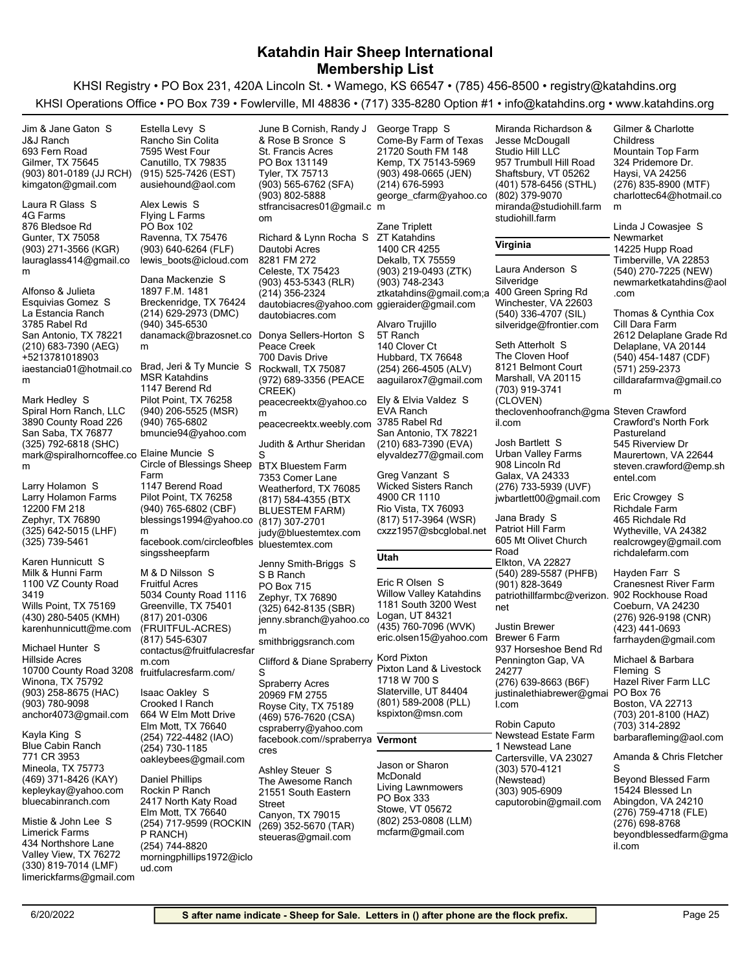KHSI Registry • PO Box 231, 420A Lincoln St. • Wamego, KS 66547 • (785) 456-8500 • registry@katahdins.org KHSI Operations Office • PO Box 739 • Fowlerville, MI 48836 • (717) 335-8280 Option #1 • info@katahdins.org • www.katahdins.org



(330) 819-7014 (LMF)

limerickfarms@gmail.com

ud.com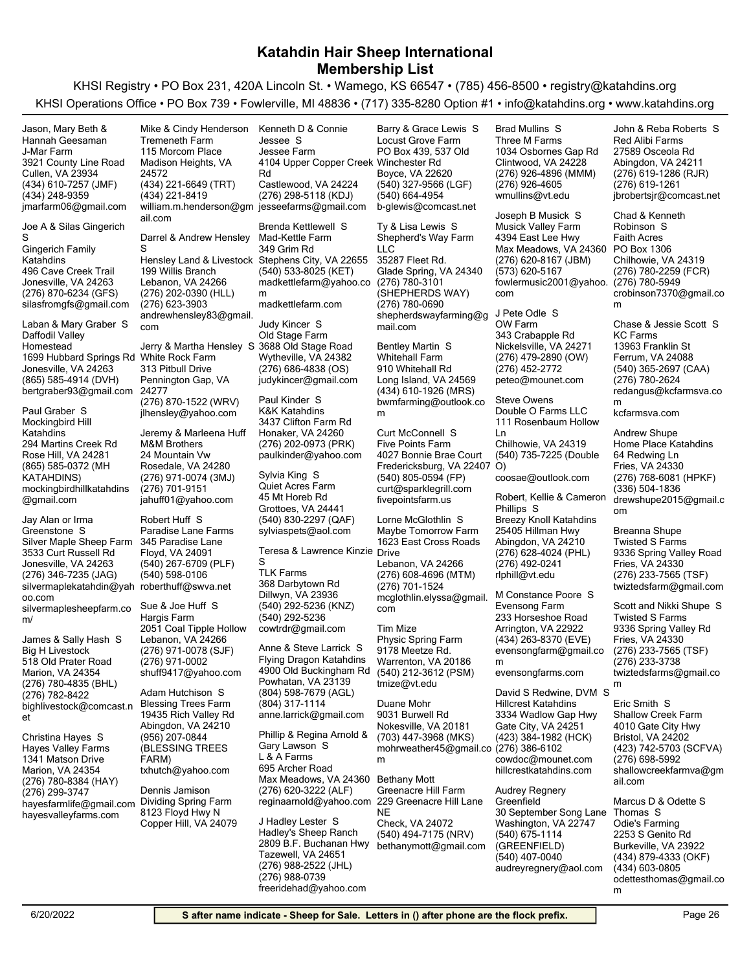| Jason, Mary Beth &                          | Mike & Cindy Henderson                           | Kenneth D & Connie                                | Barry & Grace Lewis S                         | Brad Mullins S                          | John & Reba Roberts S                    |
|---------------------------------------------|--------------------------------------------------|---------------------------------------------------|-----------------------------------------------|-----------------------------------------|------------------------------------------|
| Hannah Geesaman                             | <b>Tremeneth Farm</b>                            | Jessee S                                          | Locust Grove Farm                             | Three M Farms                           | Red Alibi Farms                          |
| J-Mar Farm                                  | 115 Morcom Place                                 | Jessee Farm                                       | PO Box 439, 537 Old                           | 1034 Osbornes Gap Rd                    | 27589 Osceola Rd                         |
| 3921 County Line Road                       | Madison Heights, VA                              | 4104 Upper Copper Creek Winchester Rd             |                                               | Clintwood, VA 24228                     | Abingdon, VA 24211                       |
| Cullen, VA 23934                            | 24572                                            | Rd                                                | Boyce, VA 22620                               | (276) 926-4896 (MMM)                    | (276) 619-1286 (RJR)                     |
| (434) 610-7257 (JMF)                        | (434) 221-6649 (TRT)                             | Castlewood, VA 24224                              | (540) 327-9566 (LGF)                          | (276) 926-4605                          | (276) 619-1261                           |
| (434) 248-9359                              | (434) 221-8419                                   | (276) 298-5118 (KDJ)                              | (540) 664-4954                                | wmullins@vt.edu                         | jbrobertsjr@comcast.net                  |
| jmarfarm06@gmail.com                        | william.m.henderson@gm_jesseefarms@gmail.com     |                                                   | b-glewis@comcast.net                          | Joseph B Musick S                       | Chad & Kenneth                           |
| Joe A & Silas Gingerich                     | ail.com                                          | Brenda Kettlewell S                               | Ty & Lisa Lewis S                             | <b>Musick Valley Farm</b>               | Robinson S                               |
| S                                           | Darrel & Andrew Hensley                          | Mad-Kettle Farm                                   | Shepherd's Way Farm                           | 4394 East Lee Hwy                       | Faith Acres                              |
| <b>Gingerich Family</b>                     | S                                                | 349 Grim Rd                                       | LLC                                           | Max Meadows, VA 24360                   | PO Box 1306                              |
| Katahdins                                   | Hensley Land & Livestock Stephens City, VA 22655 |                                                   | 35287 Fleet Rd.                               | (276) 620-8167 (JBM)                    | Chilhowie, VA 24319                      |
| 496 Cave Creek Trail                        | 199 Willis Branch                                | (540) 533-8025 (KET)                              | Glade Spring, VA 24340                        | (573) 620-5167                          | (276) 780-2259 (FCR)                     |
| Jonesville, VA 24263                        | Lebanon, VA 24266                                | madkettlefarm@yahoo.co (276) 780-3101             |                                               | fowlermusic2001@yahoo. (276) 780-5949   |                                          |
| (276) 870-6234 (GFS)                        | (276) 202-0390 (HLL)                             | m                                                 | (SHEPHERDS WAY)                               | com                                     | crobinson7370@gmail.co                   |
| silasfromgfs@gmail.com                      | (276) 623-3903                                   | madkettlefarm.com                                 | (276) 780-0690                                |                                         | m                                        |
|                                             | andrewhensley83@gmail.                           |                                                   | shepherdswayfarming@g                         | J Pete Odle S                           |                                          |
| Laban & Mary Graber S                       | com                                              | Judy Kincer S                                     | mail.com                                      | OW Farm                                 | Chase & Jessie Scott S                   |
| Daffodil Valley                             |                                                  | Old Stage Farm                                    |                                               | 343 Crabapple Rd                        | <b>KC Farms</b>                          |
| Homestead                                   | Jerry & Martha Hensley S 3688 Old Stage Road     |                                                   | <b>Bentley Martin S</b>                       | Nickelsville, VA 24271                  | 13963 Franklin St                        |
| 1699 Hubbard Springs Rd White Rock Farm     |                                                  | Wytheville, VA 24382                              | <b>Whitehall Farm</b>                         | (276) 479-2890 (OW)                     | Ferrum, VA 24088                         |
| Jonesville, VA 24263                        | 313 Pitbull Drive                                | $(276)$ 686-4838 (OS)                             | 910 Whitehall Rd                              | (276) 452-2772                          | (540) 365-2697 (CAA)                     |
| (865) 585-4914 (DVH)                        | Pennington Gap, VA                               | judykincer@gmail.com                              | Long Island, VA 24569                         | peteo@mounet.com                        | (276) 780-2624                           |
| bertgraber93@gmail.com                      | 24277                                            | Paul Kinder S                                     | (434) 610-1926 (MRS)                          | <b>Steve Owens</b>                      | redangus@kcfarmsva.co                    |
| Paul Graber S                               | (276) 870-1522 (WRV)                             | K&K Katahdins                                     | bwmfarming@outlook.co                         | Double O Farms LLC                      | m                                        |
| Mockingbird Hill                            | jlhensley@yahoo.com                              | 3437 Clifton Farm Rd                              | m                                             | 111 Rosenbaum Hollow                    | kcfarmsva.com                            |
| Katahdins                                   | Jeremy & Marleena Huff                           | Honaker, VA 24260                                 | Curt McConnell S                              | Ln                                      | Andrew Shupe                             |
| 294 Martins Creek Rd                        | M&M Brothers                                     | (276) 202-0973 (PRK)                              | <b>Five Points Farm</b>                       | Chilhowie, VA 24319                     | Home Place Katahdins                     |
| Rose Hill, VA 24281                         | 24 Mountain Vw                                   | paulkinder@yahoo.com                              | 4027 Bonnie Brae Court                        | (540) 735-7225 (Double                  | 64 Redwing Ln                            |
| (865) 585-0372 (MH                          | Rosedale, VA 24280                               |                                                   | Fredericksburg, VA 22407 O)                   |                                         | Fries, VA 24330                          |
| KATAHDINS)                                  | (276) 971-0074 (3MJ)                             | Sylvia King S                                     | (540) 805-0594 (FP)                           | coosae@outlook.com                      | (276) 768-6081 (HPKF)                    |
| mockingbirdhillkatahdins                    | (276) 701-9151                                   | <b>Quiet Acres Farm</b>                           | curt@sparklegrill.com                         |                                         | (336) 504-1836                           |
| @gmail.com                                  | jahuff01@yahoo.com                               | 45 Mt Horeb Rd                                    | fivepointsfarm.us                             | Robert, Kellie & Cameron                | drewshupe2015@gmail.c                    |
|                                             |                                                  | Grottoes, VA 24441                                |                                               | Phillips S                              | om                                       |
| Jay Alan or Irma                            | Robert Huff S                                    | (540) 830-2297 (QAF)                              | Lorne McGlothlin S                            | <b>Breezy Knoll Katahdins</b>           |                                          |
| Greenstone S<br>Silver Maple Sheep Farm     | Paradise Lane Farms<br>345 Paradise Lane         | sylviaspets@aol.com                               | Maybe Tomorrow Farm<br>1623 East Cross Roads  | 25405 Hillman Hwy<br>Abingdon, VA 24210 | Breanna Shupe<br><b>Twisted S Farms</b>  |
| 3533 Curt Russell Rd                        | Floyd, VA 24091                                  | Teresa & Lawrence Kinzie Drive                    |                                               | (276) 628-4024 (PHL)                    | 9336 Spring Valley Road                  |
| Jonesville, VA 24263                        | (540) 267-6709 (PLF)                             | S                                                 | Lebanon, VA 24266                             | (276) 492-0241                          | Fries, VA 24330                          |
| (276) 346-7235 (JAG)                        | (540) 598-0106                                   | <b>TLK Farms</b>                                  | (276) 608-4696 (MTM)                          | rlphill@vt.edu                          | (276) 233-7565 (TSF)                     |
| silvermaplekatahdin@yah roberthuff@swva.net |                                                  | 368 Darbytown Rd                                  | (276) 701-1524                                |                                         | twiztedsfarm@gmail.com                   |
| oo.com                                      |                                                  | Dillwyn, VA 23936                                 | mcglothlin.elyssa@gmail.                      | M Constance Poore S                     |                                          |
| silvermaplesheepfarm.co                     | Sue & Joe Huff S                                 | (540) 292-5236 (KNZ)                              | com                                           | Evensong Farm                           | Scott and Nikki Shupe S                  |
| m/                                          | Hargis Farm                                      | (540) 292-5236                                    |                                               | 233 Horseshoe Road                      | <b>Twisted S Farms</b>                   |
|                                             | 2051 Coal Tipple Hollow                          | cowtrdr@gmail.com                                 | <b>Tim Mize</b>                               | Arrington, VA 22922                     | 9336 Spring Valley Rd                    |
| James & Sally Hash S                        | Lebanon, VA 24266                                |                                                   | Physic Spring Farm                            | (434) 263-8370 (EVE)                    | Fries, VA 24330                          |
| <b>Big H Livestock</b>                      | (276) 971-0078 (SJF)                             | Anne & Steve Larrick S                            | 9178 Meetze Rd.                               | evensongfarm@gmail.co                   | (276) 233-7565 (TSF)                     |
| 518 Old Prater Road                         | (276) 971-0002                                   | Flying Dragon Katahdins<br>4900 Old Buckingham Rd | Warrenton, VA 20186                           | m                                       | (276) 233-3738                           |
| Marion, VA 24354                            | shuff9417@yahoo.com                              | Powhatan, VA 23139                                | (540) 212-3612 (PSM)                          | evensongfarms.com                       | twiztedsfarms@gmail.co                   |
| (276) 780-4835 (BHL)                        | Adam Hutchison S                                 | (804) 598-7679 (AGL)                              | tmize@vt.edu                                  | David S Redwine, DVM S                  | m                                        |
| (276) 782-8422<br>bighlivestock@comcast.n   | <b>Blessing Trees Farm</b>                       | (804) 317-1114                                    | Duane Mohr                                    | <b>Hillcrest Katahdins</b>              | Eric Smith S                             |
|                                             | 19435 Rich Valley Rd                             | anne.larrick@gmail.com                            | 9031 Burwell Rd                               | 3334 Wadlow Gap Hwy                     | <b>Shallow Creek Farm</b>                |
| et                                          | Abingdon, VA 24210                               |                                                   | Nokesville, VA 20181                          | Gate City, VA 24251                     | 4010 Gate City Hwy                       |
| Christina Hayes S                           | (956) 207-0844                                   | Phillip & Regina Arnold &                         | (703) 447-3968 (MKS)                          | (423) 384-1982 (HCK)                    | Bristol, VA 24202                        |
| <b>Hayes Valley Farms</b>                   | (BLESSING TREES                                  | Gary Lawson S                                     | mohrweather45@gmail.co (276) 386-6102         |                                         | (423) 742-5703 (SCFVA)                   |
| 1341 Matson Drive                           | FARM)                                            | L & A Farms                                       | m                                             | cowdoc@mounet.com                       | (276) 698-5992                           |
| Marion, VA 24354                            | txhutch@yahoo.com                                | 695 Archer Road                                   |                                               | hillcrestkatahdins.com                  | shallowcreekfarmva@gm                    |
| (276) 780-8384 (HAY)                        |                                                  | Max Meadows, VA 24360 Bethany Mott                |                                               |                                         | ail.com                                  |
| (276) 299-3747                              | Dennis Jamison                                   | (276) 620-3222 (ALF)                              | Greenacre Hill Farm                           | Audrey Regnery                          |                                          |
| hayesfarmlife@gmail.com                     | Dividing Spring Farm                             | reginaarnold@yahoo.com 229 Greenacre Hill Lane    |                                               | Greenfield                              | Marcus D & Odette S                      |
| hayesvalleyfarms.com                        | 8123 Floyd Hwy N                                 | J Hadley Lester S                                 | NE                                            | 30 September Song Lane                  | Thomas S                                 |
|                                             | Copper Hill, VA 24079                            | Hadley's Sheep Ranch                              | Check, VA 24072                               | Washington, VA 22747                    | Odie's Farming                           |
|                                             |                                                  | 2809 B.F. Buchanan Hwy                            | (540) 494-7175 (NRV)<br>bethanymott@gmail.com | (540) 675-1114<br>(GREENFIELD)          | 2253 S Genito Rd<br>Burkeville, VA 23922 |
|                                             |                                                  | Tazewell, VA 24651                                |                                               | (540) 407-0040                          | (434) 879-4333 (OKF)                     |
|                                             |                                                  | (276) 988-2522 (JHL)                              |                                               | audreyregnery@aol.com                   | (434) 603-0805                           |
|                                             |                                                  | (276) 988-0739                                    |                                               |                                         | odettesthomas@gmail.co                   |
|                                             |                                                  | freeridehad@yahoo.com                             |                                               |                                         | m                                        |
|                                             |                                                  |                                                   |                                               |                                         |                                          |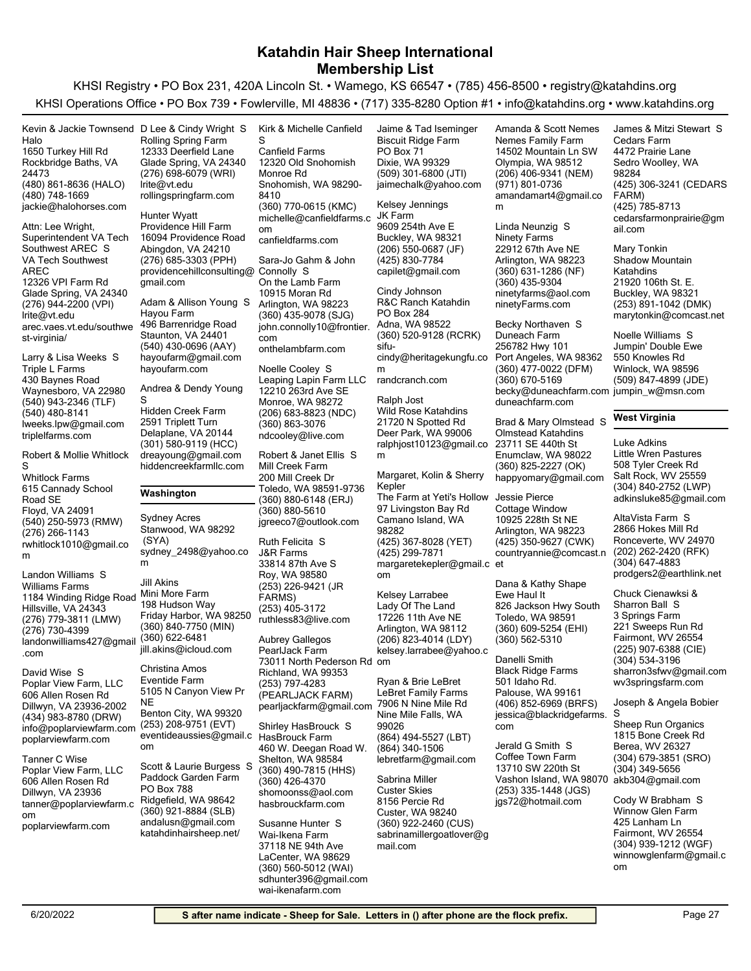KHSI Registry • PO Box 231, 420A Lincoln St. • Wamego, KS 66547 • (785) 456-8500 • registry@katahdins.org KHSI Operations Office • PO Box 739 • Fowlerville, MI 48836 • (717) 335-8280 Option #1 • info@katahdins.org • www.katahdins.org

(480) 861-8636 (HALO) Rockbridge Baths, VA 24473 1650 Turkey Hill Rd Halo jackie@halohorses.com (480) 748-1669 Kevin & Jackie Townsend D Lee & Cindy Wright S

(276) 944-2200 (VPI) Glade Spring, VA 24340 12326 VPI Farm Rd VA Tech Southwest AREC lrite@vt.edu arec.vaes.vt.edu/southwe st-virginia/ Attn: Lee Wright, Superintendent VA Tech Southwest AREC S

(540) 943-2346 (TLF) Waynesboro, VA 22980 430 Baynes Road Triple L Farms lweeks.lpw@gmail.com (540) 480-8141 triplelfarms.com Larry & Lisa Weeks S

(540) 250-5973 (RMW) Floyd, VA 24091 615 Cannady School Road SE Whitlock Farms rwhitlock1010@gmail.co m (276) 266-1143 Robert & Mollie Whitlock S

(276) 779-3811 (LMW) Hillsville, VA 24343 1184 Winding Ridge Road Mini More Farm Williams Farms landonwilliams427@gmail .com (276) 730-4399 Landon Williams S

(434) 983-8780 (DRW) Dillwyn, VA 23936-2002 606 Allen Rosen Rd Poplar View Farm, LLC info@poplarviewfarm.com poplarviewfarm.com David Wise S

Dillwyn, VA 23936 606 Allen Rosen Rd Poplar View Farm, LLC tanner@poplarviewfarm.c om poplarviewfarm.com Tanner C Wise

(276) 698-6079 (WRI) Glade Spring, VA 24340 12333 Deerfield Lane Rolling Spring Farm lrite@vt.edu rollingspringfarm.com

(276) 685-3303 (PPH) Abingdon, VA 24210 16094 Providence Road Providence Hill Farm providencehillconsulting@ Connolly S gmail.com Hunter Wyatt

(540) 430-0696 (AAY) Staunton, VA 24401 496 Barrenridge Road Hayou Farm hayoufarm@gmail.com hayoufarm.com Adam & Allison Young S

2591 Triplett Turn Hidden Creek Farm Andrea & Dendy Young S

(301) 580-9119 (HCC) Delaplane, VA 20144 dreayoung@gmail.com hiddencreekfarmllc.com

#### **Washington**

 (SYA) Stanwood, WA 98292 Sydney Acres sydney\_2498@yahoo.co m (360) 840-7750 (MIN) Friday Harbor, WA 98250 198 Hudson Way (360) 622-6481 Jill Akins

jill.akins@icloud.com (253) 208-9751 (EVT) Benton City, WA 99320 5105 N Canyon View Pr NE Eventide Farm eventideaussies@gmail.c om Christina Amos

(360) 921-8884 (SLB) Ridgefield, WA 98642 PO Box 788 Paddock Garden Farm andalusn@gmail.com katahdinhairsheep.net/ Scott & Laurie Burgess S (360) 770-0615 (KMC) Snohomish, WA 98290- 8410 12320 Old Snohomish Monroe Rd Canfield Farms michelle@canfieldfarms.c om canfieldfarms.com Kirk & Michelle Canfield S

(360) 435-9078 (SJG) Arlington, WA 98223 10915 Moran Rd On the Lamb Farm john.connolly10@frontier. com onthelambfarm.com Sara-Jo Gahm & John

(206) 683-8823 (NDC) Monroe, WA 98272 12210 263rd Ave SE Leaping Lapin Farm LLC ndcooley@live.com (360) 863-3076 Noelle Cooley S

(360) 880-6148 (ERJ) Toledo, WA 98591-9736 200 Mill Creek Dr Mill Creek Farm jgreeco7@outlook.com (360) 880-5610 Robert & Janet Ellis S

(253) 226-9421 (JR FARMS) Roy, WA 98580 33814 87th Ave S J&R Farms ruthless83@live.com (253) 405-3172 Ruth Felicita S

(253) 797-4283 (PEARLJACK FARM) Richland, WA 99353 73011 North Pederson Rd om PearlJack Farm pearljackfarm@gmail.com Aubrey Gallegos

(360) 490-7815 (HHS) Shelton, WA 98584 460 W. Deegan Road W. HasBrouck Farm shomoonss@aol.com (360) 426-4370 hasbrouckfarm.com Shirley HasBrouck S

(360) 560-5012 (WAI) LaCenter, WA 98629 37118 NE 94th Ave Wai-Ikena Farm sdhunter396@gmail.com wai-ikenafarm.com Susanne Hunter S

(509) 301-6800 (JTI) Dixie, WA 99329 PO Box 71 Biscuit Ridge Farm jaimechalk@yahoo.com Jaime & Tad Iseminger

(206) 550-0687 (JF) Buckley, WA 98321 9609 254th Ave E JK Farm capilet@gmail.com (425) 830-7784 Kelsey Jennings

(360) 520-9128 (RCRK) Adna, WA 98522 PO Box 284 R&C Ranch Katahdin sifucindy@heritagekungfu.co m randcranch.com Cindy Johnson

Deer Park, WA 99006 21720 N Spotted Rd Wild Rose Katahdins ralphjost10123@gmail.co m Ralph Jost

(425) 367-8028 (YET) Camano Island, WA 98282 97 Livingston Bay Rd The Farm at Yeti's Hollow margaretekepler@gmail.c et om (425) 299-7871 Margaret, Kolin & Sherry Kepler

(206) 823-4014 (LDY) Arlington, WA 98112 17226 11th Ave NE Lady Of The Land kelsey.larrabee@yahoo.c Kelsey Larrabee

(864) 494-5527 (LBT) Nine Mile Falls, WA 99026 7906 N Nine Mile Rd LeBret Family Farms lebretfarm@gmail.com (864) 340-1506 Ryan & Brie LeBret

(360) 922-2460 (CUS) Custer, WA 98240 8156 Percie Rd Custer Skies sabrinamillergoatlover@g mail.com Sabrina Miller

(206) 406-9341 (NEM) Olympia, WA 98512 14502 Mountain Ln SW Nemes Family Farm amandamart4@gmail.co m (971) 801-0736 Amanda & Scott Nemes

(360) 631-1286 (NF) Arlington, WA 98223 22912 67th Ave NE Ninety Farms ninetyfarms@aol.com (360) 435-9304 ninetyFarms.com Linda Neunzig S

(360) 477-0022 (DFM) Port Angeles, WA 98362 256782 Hwy 101 Duneach Farm becky@duneachfarm.com jumpin\_w@msn.com (360) 670-5169 duneachfarm.com Becky Northaven S

(360) 825-2227 (OK) Enumclaw, WA 98022 23711 SE 440th St Olmstead Katahdins happyomary@gmail.com Brad & Mary Olmstead S

(425) 350-9627 (CWK) Arlington, WA 98223 10925 228th St NE Cottage Window countryannie@comcast.n Jessie Pierce

(360) 609-5254 (EHI) Toledo, WA 98591 826 Jackson Hwy South Ewe Haul It (360) 562-5310 Dana & Kathy Shape

(406) 852-6969 (BRFS) Palouse, WA 99161 501 Idaho Rd. Black Ridge Farms jessica@blackridgefarms. com Danelli Smith

(253) 335-1448 (JGS) Vashon Island, WA 98070 akb304@gmail.com 13710 SW 220th St Coffee Town Farm jgs72@hotmail.com Jerald G Smith S

(425) 306-3241 (CEDARS FARM) Sedro Woolley, WA 98284 4472 Prairie Lane Cedars Farm cedarsfarmonprairie@gm ail.com (425) 785-8713 James & Mitzi Stewart S

(253) 891-1042 (DMK) Buckley, WA 98321 21920 106th St. E. Shadow Mountain Katahdins marytonkin@comcast.net Mary Tonkin

(509) 847-4899 (JDE) Winlock, WA 98596 550 Knowles Rd Jumpin' Double Ewe Noelle Williams S

### **West Virginia**

(304) 840-2752 (LWP) Salt Rock, WV 25559 508 Tyler Creek Rd Little Wren Pastures adkinsluke85@gmail.com Luke Adkins

(202) 262-2420 (RFK) Ronceverte, WV 24970 2866 Hokes Mill Rd prodgers2@earthlink.net (304) 647-4883 AltaVista Farm S

(225) 907-6388 (CIE) Fairmont, WV 26554 221 Sweeps Run Rd 3 Springs Farm sharron3sfwv@gmail.com (304) 534-3196 wv3springsfarm.com Chuck Cienawksi & Sharron Ball S

Joseph & Angela Bobier S

(304) 679-3851 (SRO) Berea, WV 26327 1815 Bone Creek Rd Sheep Run Organics (304) 349-5656

(304) 939-1212 (WGF) Fairmont, WV 26554 425 Lanham Ln Winnow Glen Farm winnowglenfarm@gmail.c om Cody W Brabham S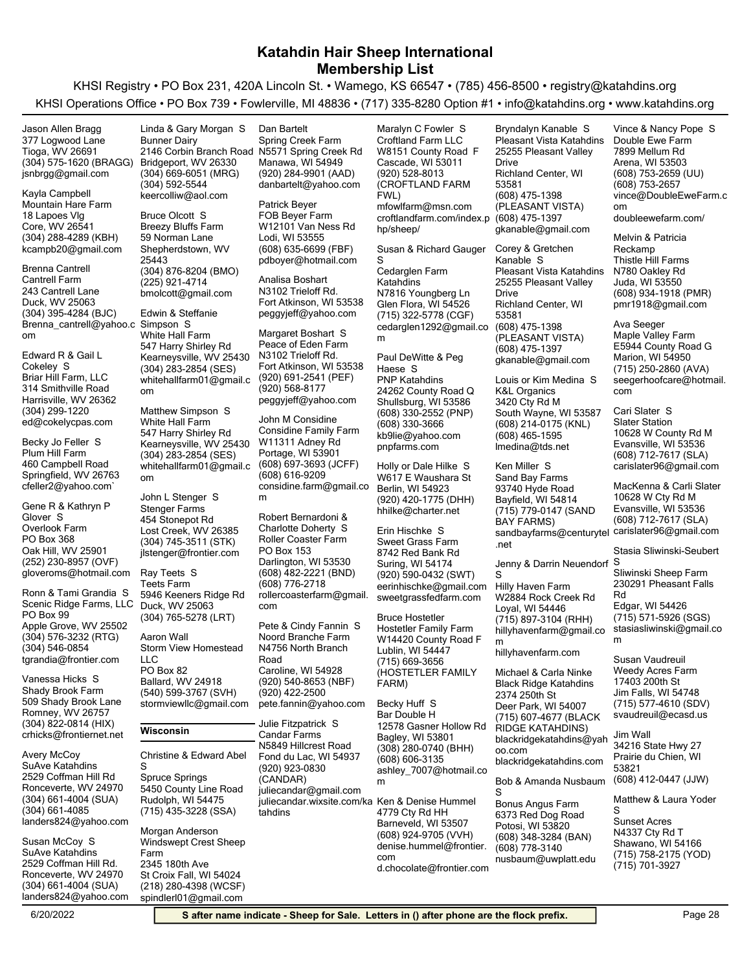KHSI Registry • PO Box 231, 420A Lincoln St. • Wamego, KS 66547 • (785) 456-8500 • registry@katahdins.org KHSI Operations Office • PO Box 739 • Fowlerville, MI 48836 • (717) 335-8280 Option #1 • info@katahdins.org • www.katahdins.org

(304) 575-1620 (BRAGG) Tioga, WV 26691 377 Logwood Lane jsnbrgg@gmail.com Jason Allen Bragg

(304) 288-4289 (KBH) Core, WV 26541 18 Lapoes Vlg Mountain Hare Farm kcampb20@gmail.com Kayla Campbell

(304) 395-4284 (BJC) Duck, WV 25063 243 Cantrell Lane Cantrell Farm Brenna\_cantrell@yahoo.c Simpson S om Brenna Cantrell

Harrisville, WV 26362 314 Smithville Road Briar Hill Farm, LLC ed@cokelycpas.com (304) 299-1220 Edward R & Gail L Cokeley S

Springfield, WV 26763 460 Campbell Road Plum Hill Farm cfeller2@yahoo.com` Becky Jo Feller S

(252) 230-8957 (OVF) Oak Hill, WV 25901 PO Box 368 Overlook Farm gloveroms@hotmail.com Gene R & Kathryn P Glover S

(304) 576-3232 (RTG) Apple Grove, WV 25502 PO Box 99 Scenic Ridge Farms, LLC tgrandia@frontier.com (304) 546-0854 Ronn & Tami Grandia S

(304) 822-0814 (HIX) Romney, WV 26757 509 Shady Brook Lane Shady Brook Farm crhicks@frontiernet.net Vanessa Hicks S

(304) 661-4004 (SUA) Ronceverte, WV 24970 2529 Coffman Hill Rd SuAve Katahdins landers824@yahoo.com (304) 661-4085 Avery McCoy

(304) 661-4004 (SUA) Ronceverte, WV 24970 2529 Coffman Hill Rd. SuAve Katahdins landers824@yahoo.com Susan McCoy S

(304) 669-6051 (MRG) Bridgeport, WV 26330 2146 Corbin Branch Road Bunner Dairy keercolliw@aol.com (304) 592-5544 Linda & Gary Morgan S

(304) 876-8204 (BMO) Shepherdstown, WV 25443 59 Norman Lane Breezy Bluffs Farm bmolcott@gmail.com (225) 921-4714 Bruce Olcott S

(304) 283-2854 (SES) Kearneysville, WV 25430 547 Harry Shirley Rd White Hall Farm whitehallfarm01@gmail.c om Edwin & Steffanie

(304) 283-2854 (SES) Kearneysville, WV 25430 547 Harry Shirley Rd White Hall Farm whitehallfarm01@gmail.c om Matthew Simpson S

(304) 745-3511 (STK) Lost Creek, WV 26385 454 Stonepot Rd Stenger Farms jlstenger@frontier.com John L Stenger S

(304) 765-5278 (LRT) Duck, WV 25063 5946 Keeners Ridge Rd Teets Farm Ray Teets S

(540) 599-3767 (SVH) Ballard, WV 24918 PO Box 82 Storm View Homestead LLC stormviewllc@gmail.com Aaron Wall

#### **Wisconsin**

Christine & Edward Abel S

(715) 435-3228 (SSA) Rudolph, WI 54475 5450 County Line Road Spruce Springs

(218) 280-4398 (WCSF) St Croix Fall, WI 54024 2345 180th Ave Windswept Crest Sheep Farm spindlerl01@gmail.com Morgan Anderson

(920) 284-9901 (AAD) Manawa, WI 54949 N5571 Spring Creek Rd Spring Creek Farm danbartelt@yahoo.com Dan Bartelt

(608) 635-6699 (FBF) Lodi, WI 53555 W12101 Van Ness Rd FOB Beyer Farm pdboyer@hotmail.com Patrick Beyer

Fort Atkinson, WI 53538 N3102 Trieloff Rd. peggyjeff@yahoo.com Analisa Boshart

(920) 691-2541 (PEF) Fort Atkinson, WI 53538 N3102 Trieloff Rd. Peace of Eden Farm peggyjeff@yahoo.com (920) 568-8177 Margaret Boshart S

(608) 697-3693 (JCFF) Portage, WI 53901 W11311 Adney Rd Considine Family Farm considine.farm@gmail.co m (608) 616-9209 John M Considine

(608) 482-2221 (BND) Darlington, WI 53530 PO Box 153 Roller Coaster Farm rollercoasterfarm@gmail. com (608) 776-2718 Robert Bernardoni & Charlotte Doherty S

(920) 540-8653 (NBF) Caroline, WI 54928 N4756 North Branch Road Noord Branche Farm pete.fannin@yahoo.com (920) 422-2500 Pete & Cindy Fannin S

(920) 923-0830 (CANDAR) Fond du Lac, WI 54937 N5849 Hillcrest Road Candar Farms juliecandar@gmail.com juliecandar.wixsite.com/ka Ken & Denise Hummel tahdins Julie Fitzpatrick S

(920) 528-8013 (CROFTLAND FARM FWL) Cascade, WI 53011 W8151 County Road F Croftland Farm LLC mfowlfarm@msn.com croftlandfarm.com/index.p (608) 475-1397 hp/sheep/

Maralyn C Fowler S

Susan & Richard Gauger S

(715) 322-5778 (CGF) Glen Flora, WI 54526 N7816 Youngberg Ln Cedarglen Farm Katahdins cedarglen1292@gmail.co m

(608) 330-2552 (PNP) Shullsburg, WI 53586 24262 County Road Q PNP Katahdins kb9lie@yahoo.com (608) 330-3666 pnpfarms.com Paul DeWitte & Peg Haese S

(920) 420-1775 (DHH) Berlin, WI 54923 W617 E Waushara St hhilke@charter.net Holly or Dale Hilke S

(920) 590-0432 (SWT) Suring, WI 54174 8742 Red Bank Rd Sweet Grass Farm eerinhischke@gmail.com sweetgrassfedfarm.com Erin Hischke S

(715) 669-3656 (HOSTETLER FAMILY FARM) Lublin, WI 54447 W14420 County Road F Hostetler Family Farm Bruce Hostetler

(308) 280-0740 (BHH) Bagley, WI 53801 12578 Gasner Hollow Rd Bar Double H ashley\_7007@hotmail.co m (608) 606-3135 Becky Huff S

(608) 924-9705 (VVH) Barneveld, WI 53507 4779 Cty Rd HH denise.hummel@frontier. com d.chocolate@frontier.com (608) 475-1398 (PLEASANT VISTA) Richland Center, WI 53581 25255 Pleasant Valley Drive Pleasant Vista Katahdins gkanable@gmail.com Bryndalyn Kanable S

(608) 475-1398 (PLEASANT VISTA) Richland Center, WI 53581 25255 Pleasant Valley Drive Pleasant Vista Katahdins gkanable@gmail.com (608) 475-1397 Corey & Gretchen Kanable S

(608) 214-0175 (KNL) South Wayne, WI 53587 3420 Cty Rd M K&L Organics lmedina@tds.net (608) 465-1595 Louis or Kim Medina S

(715) 779-0147 (SAND BAY FARMS) Bayfield, WI 54814 93740 Hyde Road Sand Bay Farms sandbayfarms@centurytel carislater96@gmail.com .net Ken Miller S

Jenny & Darrin Neuendorf S

(715) 897-3104 (RHH) Loyal, WI 54446 W2884 Rock Creek Rd Hilly Haven Farm hillyhavenfarm@gmail.co m S

hillyhavenfarm.com

(715) 607-4677 (BLACK RIDGE KATAHDINS) Deer Park, WI 54007 2374 250th St Black Ridge Katahdins blackridgekatahdins@yah oo.com blackridgekatahdins.com Michael & Carla Ninke

Bob & Amanda Nusbaum S

(608) 348-3284 (BAN) Potosi, WI 53820 6373 Red Dog Road Bonus Angus Farm nusbaum@uwplatt.edu (608) 778-3140

(608) 753-2659 (UU) Arena, WI 53503 7899 Mellum Rd Double Ewe Farm vince@DoubleEweFarm.c om (608) 753-2657 doubleewefarm.com/ Vince & Nancy Pope S

(608) 934-1918 (PMR) Juda, WI 53550 N780 Oakley Rd Thistle Hill Farms pmr1918@gmail.com Melvin & Patricia Reckamp

(715) 250-2860 (AVA) Marion, WI 54950 E5944 County Road G Maple Valley Farm seegerhoofcare@hotmail. com Ava Seeger

(608) 712-7617 (SLA) Evansville, WI 53536 10628 W County Rd M Slater Station carislater96@gmail.com Cari Slater S

(608) 712-7617 (SLA) Evansville, WI 53536 10628 W Cty Rd M MacKenna & Carli Slater

Stasia Sliwinski-Seubert

230291 Pheasant Falls Rd Sliwinski Sheep Farm

(715) 571-5926 (SGS) Edgar, WI 54426 stasiasliwinski@gmail.co m

(715) 577-4610 (SDV) Jim Falls, WI 54748 17403 200th St Weedy Acres Farm svaudreuil@ecasd.us Susan Vaudreuil

(608) 412-0447 (JJW) Prairie du Chien, WI 53821 34216 State Hwy 27 Jim Wall

Matthew & Laura Yoder

(715) 758-2175 (YOD) Shawano, WI 54166 N4337 Cty Rd T Sunset Acres (715) 701-3927 S